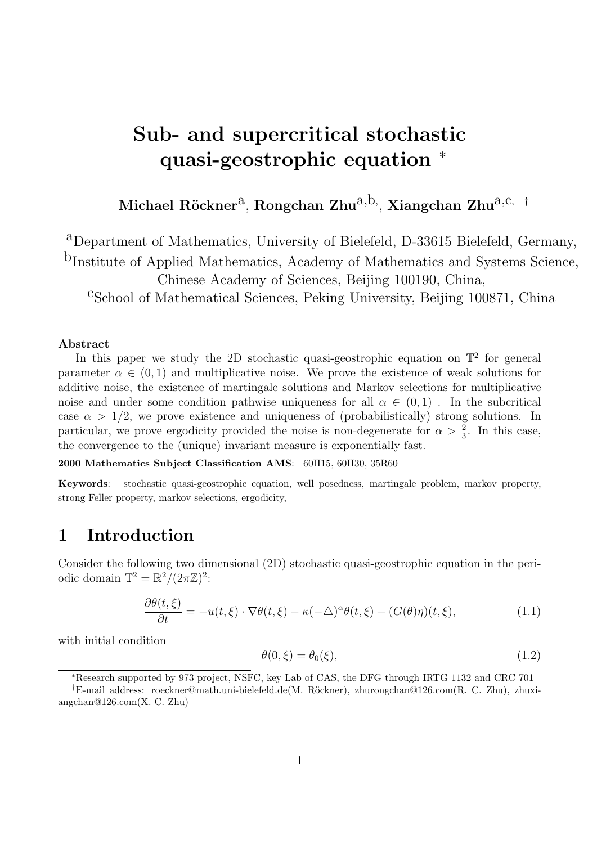## **Sub- and supercritical stochastic quasi-geostrophic equation** *<sup>∗</sup>*

**Michael R¨ockner**a, **Rongchan Zhu**a,b*,* , **Xiangchan Zhu**a,c*, †*

aDepartment of Mathematics, University of Bielefeld, D-33615 Bielefeld, Germany, bInstitute of Applied Mathematics, Academy of Mathematics and Systems Science, Chinese Academy of Sciences, Beijing 100190, China, <sup>c</sup>School of Mathematical Sciences, Peking University, Beijing 100871, China

#### **Abstract**

In this paper we study the 2D stochastic quasi-geostrophic equation on  $\mathbb{T}^2$  for general parameter  $\alpha \in (0,1)$  and multiplicative noise. We prove the existence of weak solutions for additive noise, the existence of martingale solutions and Markov selections for multiplicative noise and under some condition pathwise uniqueness for all  $\alpha \in (0,1)$ . In the subcritical case  $\alpha > 1/2$ , we prove existence and uniqueness of (probabilistically) strong solutions. In particular, we prove ergodicity provided the noise is non-degenerate for  $\alpha > \frac{2}{3}$ . In this case, the convergence to the (unique) invariant measure is exponentially fast.

**2000 Mathematics Subject Classification AMS**: 60H15, 60H30, 35R60

**Keywords**: stochastic quasi-geostrophic equation, well posedness, martingale problem, markov property, strong Feller property, markov selections, ergodicity,

### **1 Introduction**

Consider the following two dimensional (2D) stochastic quasi-geostrophic equation in the periodic domain  $\mathbb{T}^2 = \mathbb{R}^2 / (2\pi \mathbb{Z})^2$ :

$$
\frac{\partial \theta(t,\xi)}{\partial t} = -u(t,\xi) \cdot \nabla \theta(t,\xi) - \kappa(-\Delta)^{\alpha} \theta(t,\xi) + (G(\theta)\eta)(t,\xi),\tag{1.1}
$$

with initial condition

$$
\theta(0,\xi) = \theta_0(\xi),\tag{1.2}
$$

*<sup>∗</sup>*Research supported by 973 project, NSFC, key Lab of CAS, the DFG through IRTG 1132 and CRC 701

*<sup>†</sup>*E-mail address: roeckner@math.uni-bielefeld.de(M. R¨ockner), zhurongchan@126.com(R. C. Zhu), zhuxiangchan@126.com(X. C. Zhu)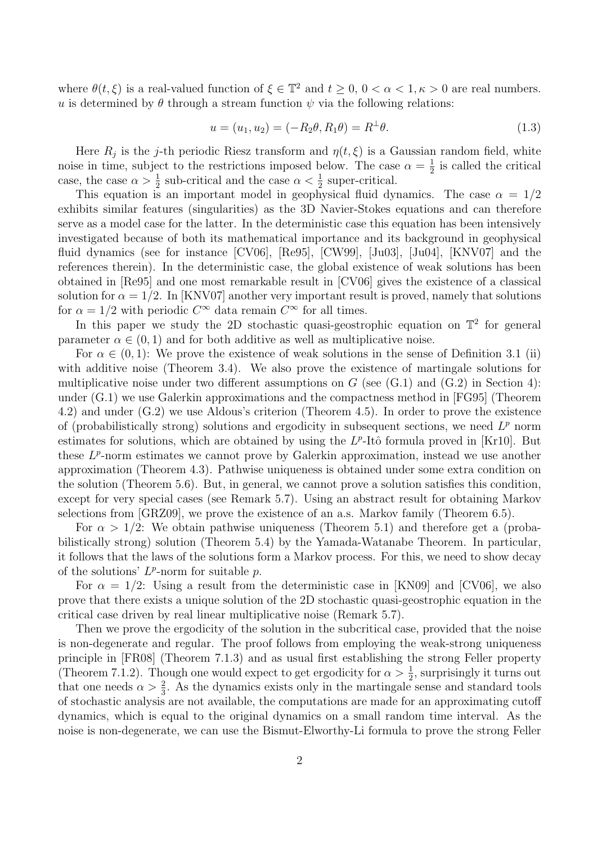where  $\theta(t,\xi)$  is a real-valued function of  $\xi \in \mathbb{T}^2$  and  $t \geq 0$ ,  $0 < \alpha < 1, \kappa > 0$  are real numbers. u is determined by  $\theta$  through a stream function  $\psi$  via the following relations:

$$
u = (u_1, u_2) = (-R_2 \theta, R_1 \theta) = R^{\perp} \theta.
$$
\n(1.3)

Here  $R_j$  is the j-th periodic Riesz transform and  $\eta(t,\xi)$  is a Gaussian random field, white noise in time, subject to the restrictions imposed below. The case  $\alpha = \frac{1}{2}$  $\frac{1}{2}$  is called the critical case, the case  $\alpha > \frac{1}{2}$  sub-critical and the case  $\alpha < \frac{1}{2}$  super-critical.

This equation is an important model in geophysical fluid dynamics. The case  $\alpha = 1/2$ exhibits similar features (singularities) as the 3D Navier-Stokes equations and can therefore serve as a model case for the latter. In the deterministic case this equation has been intensively investigated because of both its mathematical importance and its background in geophysical fluid dynamics (see for instance [CV06], [Re95], [CW99], [Ju03], [Ju04], [KNV07] and the references therein). In the deterministic case, the global existence of weak solutions has been obtained in [Re95] and one most remarkable result in [CV06] gives the existence of a classical solution for  $\alpha = 1/2$ . In [KNV07] another very important result is proved, namely that solutions for  $\alpha = 1/2$  with periodic  $C^{\infty}$  data remain  $C^{\infty}$  for all times.

In this paper we study the 2D stochastic quasi-geostrophic equation on  $\mathbb{T}^2$  for general parameter  $\alpha \in (0,1)$  and for both additive as well as multiplicative noise.

For  $\alpha \in (0,1)$ : We prove the existence of weak solutions in the sense of Definition 3.1 (ii) with additive noise (Theorem 3.4). We also prove the existence of martingale solutions for multiplicative noise under two different assumptions on  $G$  (see (G.1) and (G.2) in Section 4): under (G.1) we use Galerkin approximations and the compactness method in [FG95] (Theorem 4.2) and under (G.2) we use Aldous's criterion (Theorem 4.5). In order to prove the existence of (probabilistically strong) solutions and ergodicity in subsequent sections, we need  $L^p$  norm estimates for solutions, which are obtained by using the  $L^p$ -Itô formula proved in [Kr10]. But these  $L^p$ -norm estimates we cannot prove by Galerkin approximation, instead we use another approximation (Theorem 4.3). Pathwise uniqueness is obtained under some extra condition on the solution (Theorem 5.6). But, in general, we cannot prove a solution satisfies this condition, except for very special cases (see Remark 5.7). Using an abstract result for obtaining Markov selections from [GRZ09], we prove the existence of an a.s. Markov family (Theorem 6.5).

For  $\alpha > 1/2$ : We obtain pathwise uniqueness (Theorem 5.1) and therefore get a (probabilistically strong) solution (Theorem 5.4) by the Yamada-Watanabe Theorem. In particular, it follows that the laws of the solutions form a Markov process. For this, we need to show decay of the solutions'  $L^p$ -norm for suitable p.

For  $\alpha = 1/2$ : Using a result from the deterministic case in [KN09] and [CV06], we also prove that there exists a unique solution of the 2D stochastic quasi-geostrophic equation in the critical case driven by real linear multiplicative noise (Remark 5.7).

Then we prove the ergodicity of the solution in the subcritical case, provided that the noise is non-degenerate and regular. The proof follows from employing the weak-strong uniqueness principle in [FR08] (Theorem 7.1.3) and as usual first establishing the strong Feller property (Theorem 7.1.2). Though one would expect to get ergodicity for  $\alpha > \frac{1}{2}$ , surprisingly it turns out that one needs  $\alpha > \frac{2}{3}$ . As the dynamics exists only in the martingale sense and standard tools of stochastic analysis are not available, the computations are made for an approximating cutoff dynamics, which is equal to the original dynamics on a small random time interval. As the noise is non-degenerate, we can use the Bismut-Elworthy-Li formula to prove the strong Feller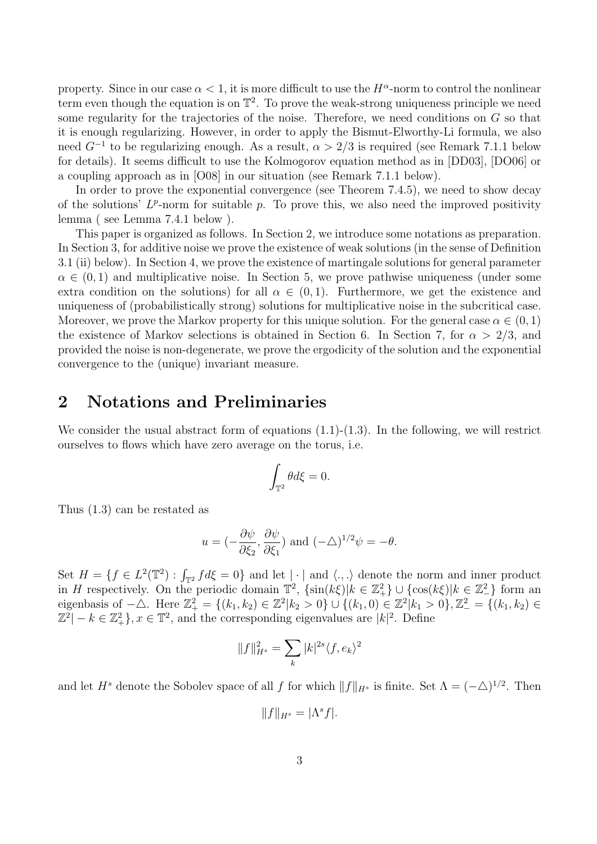property. Since in our case  $\alpha < 1$ , it is more difficult to use the  $H^{\alpha}$ -norm to control the nonlinear term even though the equation is on  $\mathbb{T}^2$ . To prove the weak-strong uniqueness principle we need some regularity for the trajectories of the noise. Therefore, we need conditions on  $G$  so that it is enough regularizing. However, in order to apply the Bismut-Elworthy-Li formula, we also need  $G^{-1}$  to be regularizing enough. As a result,  $\alpha > 2/3$  is required (see Remark 7.1.1 below for details). It seems difficult to use the Kolmogorov equation method as in [DD03], [DO06] or a coupling approach as in [O08] in our situation (see Remark 7.1.1 below).

In order to prove the exponential convergence (see Theorem 7.4.5), we need to show decay of the solutions'  $L^p$ -norm for suitable p. To prove this, we also need the improved positivity lemma ( see Lemma 7.4.1 below ).

This paper is organized as follows. In Section 2, we introduce some notations as preparation. In Section 3, for additive noise we prove the existence of weak solutions (in the sense of Definition 3.1 (ii) below). In Section 4, we prove the existence of martingale solutions for general parameter  $\alpha \in (0,1)$  and multiplicative noise. In Section 5, we prove pathwise uniqueness (under some extra condition on the solutions) for all  $\alpha \in (0,1)$ . Furthermore, we get the existence and uniqueness of (probabilistically strong) solutions for multiplicative noise in the subcritical case. Moreover, we prove the Markov property for this unique solution. For the general case  $\alpha \in (0,1)$ the existence of Markov selections is obtained in Section 6. In Section 7, for  $\alpha > 2/3$ , and provided the noise is non-degenerate, we prove the ergodicity of the solution and the exponential convergence to the (unique) invariant measure.

### **2 Notations and Preliminaries**

We consider the usual abstract form of equations  $(1.1)-(1.3)$ . In the following, we will restrict ourselves to flows which have zero average on the torus, i.e.

$$
\int_{\mathbb{T}^2} \theta d\xi = 0.
$$

Thus (1.3) can be restated as

$$
u = (-\frac{\partial \psi}{\partial \xi_2}, \frac{\partial \psi}{\partial \xi_1})
$$
 and  $(-\triangle)^{1/2} \psi = -\theta$ .

Set  $H = \{f \in L^2(\mathbb{T}^2) : \int_{\mathbb{T}^2} f d\xi = 0\}$  and let  $\vert \cdot \vert$  and  $\langle \cdot, \cdot \rangle$  denote the norm and inner product in *H* respectively. On the periodic domain  $\mathbb{T}^2$ ,  $\{\sin(k\xi)|k \in \mathbb{Z}_+^2\} \cup \{\cos(k\xi)|k \in \mathbb{Z}_-^2\}$  form an eigenbasis of  $-\triangle$ . Here  $\mathbb{Z}_+^2 = \{(k_1, k_2) \in \mathbb{Z}^2 | k_2 > 0\} \cup \{(k_1, 0) \in \mathbb{Z}^2 | k_1 > 0\}, \mathbb{Z}_-^2 = \{(k_1, k_2) \in \mathbb{Z}^2 | k_2 > 0\}$  $\mathbb{Z}^2$ | −  $k \in \mathbb{Z}_+^2$ ,  $x \in \mathbb{T}^2$ , and the corresponding eigenvalues are  $|k|^2$ . Define

$$
\|f\|_{H^s}^2=\sum_k |k|^{2s}\langle f, e_k\rangle^2
$$

and let  $H^s$  denote the Sobolev space of all *f* for which  $||f||_{H^s}$  is finite. Set  $\Lambda = (-\triangle)^{1/2}$ . Then

$$
||f||_{H^s} = |\Lambda^s f|.
$$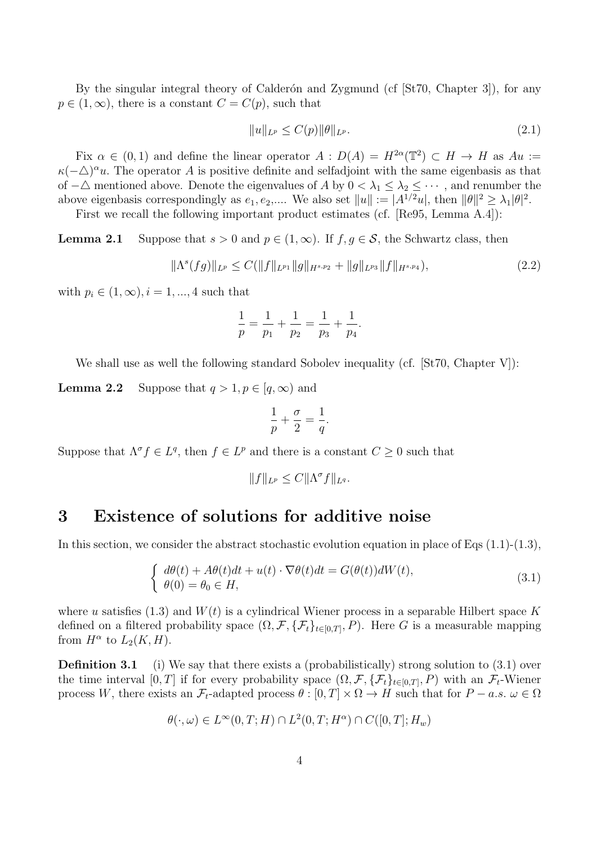By the singular integral theory of Calderón and Zygmund (cf  $[St70, Chapter 3]$ ), for any  $p \in (1, \infty)$ , there is a constant  $C = C(p)$ , such that

$$
||u||_{L^p} \le C(p)||\theta||_{L^p}.\tag{2.1}
$$

Fix  $\alpha \in (0,1)$  and define the linear operator  $A: D(A) = H^{2\alpha}(\mathbb{T}^2) \subset H \to H$  as  $Au :=$  $\kappa(-\Delta)^{\alpha}u$ . The operator A is positive definite and selfadjoint with the same eigenbasis as that of  $-\Delta$  mentioned above. Denote the eigenvalues of A by  $0 < \lambda_1 \leq \lambda_2 \leq \cdots$ , and renumber the above eigenbasis correspondingly as  $e_1, e_2,...$  We also set  $||u|| := |A^{1/2}u|$ , then  $||\theta||^2 \ge \lambda_1 |\theta|^2$ . First we recall the following important product estimates (cf. [Re95, Lemma A.4]):

**Lemma 2.1** Suppose that  $s > 0$  and  $p \in (1, \infty)$ . If  $f, g \in S$ , the Schwartz class, then

$$
\|\Lambda^s(fg)\|_{L^p} \le C(\|f\|_{L^{p_1}}\|g\|_{H^{s,p_2}} + \|g\|_{L^{p_3}}\|f\|_{H^{s,p_4}}),\tag{2.2}
$$

with  $p_i \in (1, \infty), i = 1, ..., 4$  such that

$$
\frac{1}{p} = \frac{1}{p_1} + \frac{1}{p_2} = \frac{1}{p_3} + \frac{1}{p_4}.
$$

We shall use as well the following standard Sobolev inequality (cf. [St70, Chapter V]):

**Lemma 2.2** Suppose that  $q > 1, p \in [q, \infty)$  and

$$
\frac{1}{p} + \frac{\sigma}{2} = \frac{1}{q}.
$$

Suppose that  $\Lambda^{\sigma} f \in L^q$ , then  $f \in L^p$  and there is a constant  $C \geq 0$  such that

$$
||f||_{L^p} \leq C||\Lambda^{\sigma}f||_{L^q}.
$$

### **3 Existence of solutions for additive noise**

In this section, we consider the abstract stochastic evolution equation in place of Eqs  $(1.1)-(1.3)$ ,

$$
\begin{cases}\nd\theta(t) + A\theta(t)dt + u(t) \cdot \nabla\theta(t)dt = G(\theta(t))dW(t), \\
\theta(0) = \theta_0 \in H,\n\end{cases}
$$
\n(3.1)

where u satisfies (1.3) and  $W(t)$  is a cylindrical Wiener process in a separable Hilbert space K defined on a filtered probability space  $(\Omega, \mathcal{F}, \{\mathcal{F}_t\}_{t\in[0,T]}, P)$ . Here G is a measurable mapping from  $H^{\alpha}$  to  $L_2(K, H)$ .

**Definition 3.1** (i) We say that there exists a (probabilistically) strong solution to (3.1) over the time interval  $[0, T]$  if for every probability space  $(\Omega, \mathcal{F}, \{\mathcal{F}_t\}_{t \in [0,T]}, P)$  with an  $\mathcal{F}_t$ -Wiener process W, there exists an  $\mathcal{F}_t$ -adapted process  $\theta : [0, T] \times \Omega \to H$  such that for  $P - a.s. \omega \in \Omega$ 

$$
\theta(\cdot,\omega) \in L^{\infty}(0,T;H) \cap L^2(0,T;H^{\alpha}) \cap C([0,T];H_w)
$$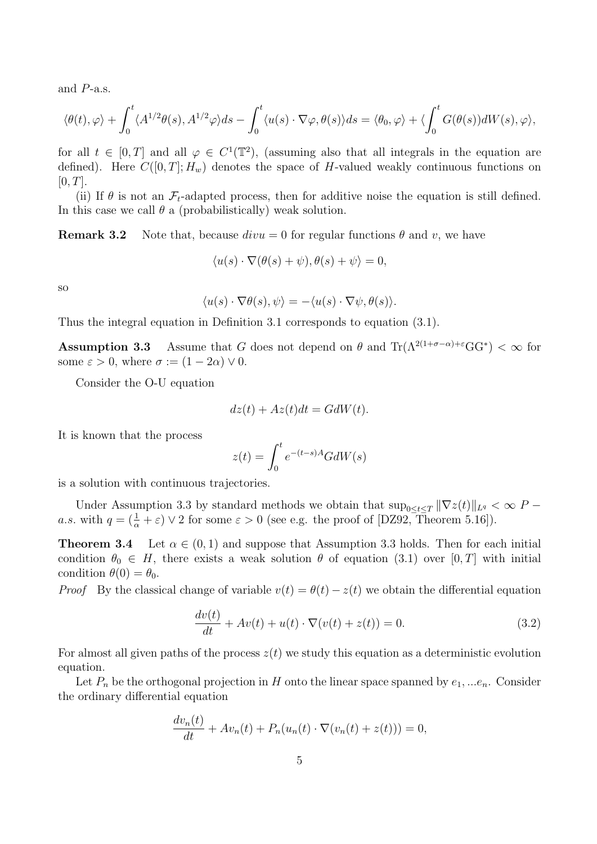and  $P$ -a.s.

$$
\langle \theta(t), \varphi \rangle + \int_0^t \langle A^{1/2} \theta(s), A^{1/2} \varphi \rangle ds - \int_0^t \langle u(s) \cdot \nabla \varphi, \theta(s) \rangle ds = \langle \theta_0, \varphi \rangle + \langle \int_0^t G(\theta(s)) dW(s), \varphi \rangle,
$$

for all  $t \in [0,T]$  and all  $\varphi \in C^1(\mathbb{T}^2)$ , (assuming also that all integrals in the equation are defined). Here  $C([0, T]; H_w)$  denotes the space of H-valued weakly continuous functions on  $[0, T]$ .

(ii) If  $\theta$  is not an  $\mathcal{F}_t$ -adapted process, then for additive noise the equation is still defined. In this case we call  $\theta$  a (probabilistically) weak solution.

**Remark 3.2** Note that, because  $divu = 0$  for regular functions  $\theta$  and v, we have

$$
\langle u(s) \cdot \nabla(\theta(s) + \psi), \theta(s) + \psi \rangle = 0,
$$

so

$$
\langle u(s) \cdot \nabla \theta(s), \psi \rangle = -\langle u(s) \cdot \nabla \psi, \theta(s) \rangle.
$$

Thus the integral equation in Definition 3.1 corresponds to equation (3.1).

**Assumption 3.3** Assume that G does not depend on  $\theta$  and Tr( $\Lambda^{2(1+\sigma-\alpha)+\varepsilon}GG^*$ ) <  $\infty$  for some  $\varepsilon > 0$ , where  $\sigma := (1 - 2\alpha) \vee 0$ .

Consider the O-U equation

$$
dz(t) + Az(t)dt = GdW(t).
$$

It is known that the process

$$
z(t) = \int_0^t e^{-(t-s)A} G dW(s)
$$

is a solution with continuous trajectories.

Under Assumption 3.3 by standard methods we obtain that  $\sup_{0 \leq t \leq T} ||\nabla z(t)||_{L^q} < \infty P -$ *a.s.* with  $q = (\frac{1}{\alpha} + \varepsilon) \vee 2$  for some  $\varepsilon > 0$  (see e.g. the proof of [DZ92, Theorem 5.16]).

**Theorem 3.4** Let  $\alpha \in (0,1)$  and suppose that Assumption 3.3 holds. Then for each initial condition  $\theta_0 \in H$ , there exists a weak solution  $\theta$  of equation (3.1) over [0, *T*] with initial condition  $\theta(0) = \theta_0$ .

*Proof* By the classical change of variable  $v(t) = \theta(t) - z(t)$  we obtain the differential equation

$$
\frac{dv(t)}{dt} + Av(t) + u(t) \cdot \nabla (v(t) + z(t)) = 0.
$$
\n(3.2)

For almost all given paths of the process  $z(t)$  we study this equation as a deterministic evolution equation.

Let  $P_n$  be the orthogonal projection in H onto the linear space spanned by  $e_1, \ldots e_n$ . Consider the ordinary differential equation

$$
\frac{dv_n(t)}{dt} + Av_n(t) + P_n(u_n(t) \cdot \nabla (v_n(t) + z(t))) = 0,
$$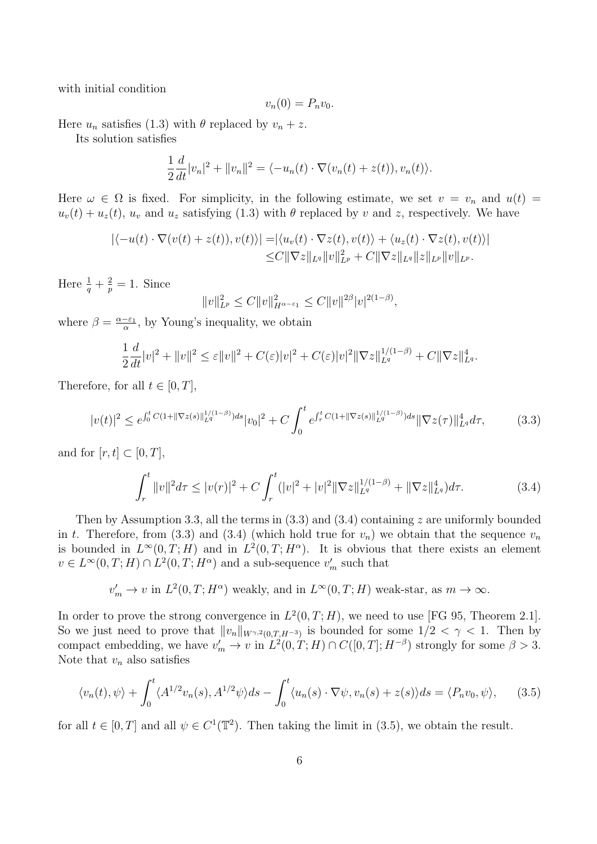with initial condition

$$
v_n(0) = P_n v_0.
$$

Here  $u_n$  satisfies (1.3) with  $\theta$  replaced by  $v_n + z$ .

Its solution satisfies

$$
\frac{1}{2}\frac{d}{dt}|v_n|^2 + ||v_n||^2 = \langle -u_n(t)\cdot \nabla(v_n(t) + z(t)), v_n(t)\rangle.
$$

Here  $\omega \in \Omega$  is fixed. For simplicity, in the following estimate, we set  $v = v_n$  and  $u(t) =$  $u_v(t) + u_z(t)$ ,  $u_v$  and  $u_z$  satisfying (1.3) with  $\theta$  replaced by  $v$  and  $z$ , respectively. We have

$$
\begin{aligned} |\langle -u(t)\cdot\nabla(v(t)+z(t)),v(t)\rangle| &= |\langle u_v(t)\cdot\nabla z(t),v(t)\rangle + \langle u_z(t)\cdot\nabla z(t),v(t)\rangle| \\ &\leq & C \|\nabla z\|_{L^q} \|v\|_{L^p}^2 + C \|\nabla z\|_{L^q} \|z\|_{L^p} \|v\|_{L^p}.\end{aligned}
$$

Here  $\frac{1}{q} + \frac{2}{p}$  $\frac{2}{p} = 1$ . Since

$$
||v||_{L^{p}}^{2} \leq C||v||_{H^{\alpha-\varepsilon_{1}}}^{2} \leq C||v||^{2\beta}|v|^{2(1-\beta)},
$$

where  $\beta = \frac{\alpha - \varepsilon_1}{\alpha}$ , by Young's inequality, we obtain

$$
\frac{1}{2}\frac{d}{dt}|v|^2 + \|v\|^2 \le \varepsilon \|v\|^2 + C(\varepsilon)|v|^2 + C(\varepsilon)|v|^2 \|\nabla z\|_{L^q}^{1/(1-\beta)} + C \|\nabla z\|_{L^q}^4.
$$

Therefore, for all  $t \in [0, T]$ ,

$$
|v(t)|^2 \le e^{\int_0^t C(1+\|\nabla z(s)\|_{L^q}^{1/(1-\beta)})ds}|v_0|^2 + C \int_0^t e^{\int_\tau^t C(1+\|\nabla z(s)\|_{L^q}^{1/(1-\beta)})ds} \|\nabla z(\tau)\|_{L^q}^4 d\tau,
$$
 (3.3)

and for  $[r, t] \subset [0, T]$ ,

$$
\int_{r}^{t} \|v\|^{2} d\tau \le |v(r)|^{2} + C \int_{r}^{t} (|v|^{2} + |v|^{2} \|\nabla z\|_{L^{q}}^{1/(1-\beta)} + \|\nabla z\|_{L^{q}}^{4}) d\tau.
$$
 (3.4)

Then by Assumption 3.3, all the terms in  $(3.3)$  and  $(3.4)$  containing z are uniformly bounded in t. Therefore, from (3.3) and (3.4) (which hold true for  $v_n$ ) we obtain that the sequence  $v_n$ is bounded in  $L^{\infty}(0,T;H)$  and in  $L^2(0,T;H^{\alpha})$ . It is obvious that there exists an element  $v \in L^{\infty}(0, T; H) \cap L^{2}(0, T; H^{\alpha})$  and a sub-sequence  $v'_{m}$  such that

$$
v'_m \to v
$$
 in  $L^2(0,T;H^{\alpha})$  weakly, and in  $L^{\infty}(0,T;H)$  weak-star, as  $m \to \infty$ .

In order to prove the strong convergence in  $L^2(0,T;H)$ , we need to use [FG 95, Theorem 2.1]. So we just need to prove that  $||v_n||_{W^{\gamma,2}(0,T,H^{-3})}$  is bounded for some  $1/2 < \gamma < 1$ . Then by compact embedding, we have  $v'_m \to v$  in  $L^2(0,T;H) \cap C([0,T];H^{-\beta})$  strongly for some  $\beta > 3$ . Note that  $v_n$  also satisfies

$$
\langle v_n(t), \psi \rangle + \int_0^t \langle A^{1/2} v_n(s), A^{1/2} \psi \rangle ds - \int_0^t \langle u_n(s) \cdot \nabla \psi, v_n(s) + z(s) \rangle ds = \langle P_n v_0, \psi \rangle, \tag{3.5}
$$

for all  $t \in [0, T]$  and all  $\psi \in C^1(\mathbb{T}^2)$ . Then taking the limit in (3.5), we obtain the result.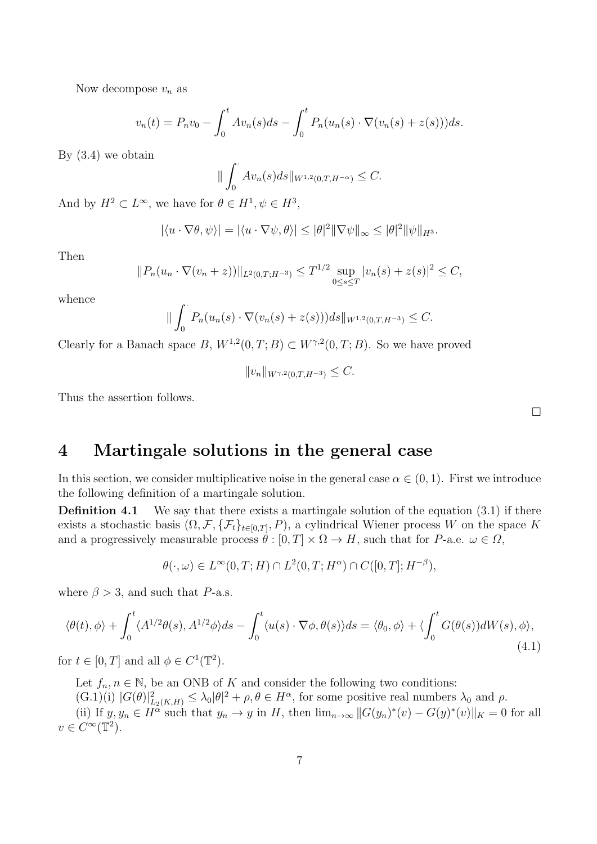Now decompose  $v_n$  as

$$
v_n(t) = P_n v_0 - \int_0^t A v_n(s) ds - \int_0^t P_n(u_n(s) \cdot \nabla (v_n(s) + z(s))) ds.
$$

By (3.4) we obtain

$$
\|\int_0^{\cdot} Av_n(s)ds\|_{W^{1,2}(0,T,H^{-\alpha})} \leq C.
$$

And by  $H^2 \subset L^{\infty}$ , we have for  $\theta \in H^1, \psi \in H^3$ ,

$$
|\langle u \cdot \nabla \theta, \psi \rangle| = |\langle u \cdot \nabla \psi, \theta \rangle| \le |\theta|^2 \|\nabla \psi\|_{\infty} \le |\theta|^2 \|\psi\|_{H^3}.
$$

Then

$$
||P_n(u_n \cdot \nabla (v_n + z))||_{L^2(0,T;H^{-3})} \le T^{1/2} \sup_{0 \le s \le T} |v_n(s) + z(s)|^2 \le C,
$$

whence

$$
\|\int_0^{\cdot} P_n(u_n(s)\cdot \nabla(v_n(s)+z(s)))ds\|_{W^{1,2}(0,T,H^{-3})} \leq C.
$$

Clearly for a Banach space  $B, W^{1,2}(0,T;B) \subset W^{\gamma,2}(0,T;B)$ . So we have proved

 $||v_n||_{W^{\gamma,2}(0,T,H^{-3})} < C.$ 

Thus the assertion follows.

**4 Martingale solutions in the general case**

In this section, we consider multiplicative noise in the general case  $\alpha \in (0,1)$ . First we introduce the following definition of a martingale solution.

**Definition 4.1** We say that there exists a martingale solution of the equation (3.1) if there exists a stochastic basis  $(\Omega, \mathcal{F}, \{\mathcal{F}_t\}_{t\in[0,T]}, P)$ , a cylindrical Wiener process W on the space K and a progressively measurable process  $\theta : [0, T] \times \Omega \to H$ , such that for P-a.e.  $\omega \in \Omega$ ,

$$
\theta(\cdot,\omega) \in L^{\infty}(0,T;H) \cap L^2(0,T;H^{\alpha}) \cap C([0,T];H^{-\beta}),
$$

where  $\beta > 3$ , and such that P-a.s.

$$
\langle \theta(t), \phi \rangle + \int_0^t \langle A^{1/2} \theta(s), A^{1/2} \phi \rangle ds - \int_0^t \langle u(s) \cdot \nabla \phi, \theta(s) \rangle ds = \langle \theta_0, \phi \rangle + \langle \int_0^t G(\theta(s)) dW(s), \phi \rangle, \tag{4.1}
$$

for  $t \in [0, T]$  and all  $\phi \in C^1(\mathbb{T}^2)$ .

Let  $f_n, n \in \mathbb{N}$ , be an ONB of K and consider the following two conditions:

 $(G.1)(i) |G(\theta)|^2_{L_2(K,H)} \leq \lambda_0 |\theta|^2 + \rho, \theta \in H^{\alpha}$ , for some positive real numbers  $\lambda_0$  and  $\rho$ .

(ii) If  $y, y_n \in H^\alpha$  such that  $y_n \to y$  in H, then  $\lim_{n\to\infty} ||G(y_n)^*(v) - G(y)^*(v)||_K = 0$  for all  $v \in C^{\infty}(\mathbb{T}^2).$ 

□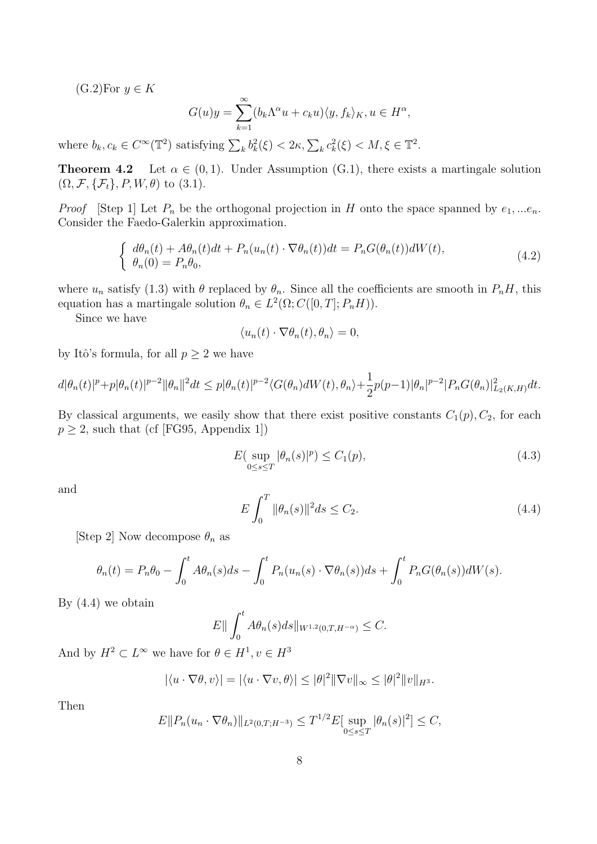$(G.2)$ For  $y \in K$ 

$$
G(u)y = \sum_{k=1}^{\infty} (b_k \Lambda^{\alpha} u + c_k u) \langle y, f_k \rangle_K, u \in H^{\alpha},
$$

where  $b_k, c_k \in C^{\infty}(\mathbb{T}^2)$  satisfying  $\sum_k b_k^2(\xi) < 2\kappa, \sum_k c_k^2(\xi) < M, \xi \in \mathbb{T}^2$ .

**Theorem 4.2** Let  $\alpha \in (0,1)$ . Under Assumption (G.1), there exists a martingale solution  $(\Omega, \mathcal{F}, \{\mathcal{F}_t\}, P, W, \theta)$  to (3.1).

*Proof* [Step 1] Let  $P_n$  be the orthogonal projection in H onto the space spanned by  $e_1, \ldots e_n$ . Consider the Faedo-Galerkin approximation.

$$
\begin{cases}\nd\theta_n(t) + A\theta_n(t)dt + P_n(u_n(t) \cdot \nabla \theta_n(t))dt = P_n G(\theta_n(t))dW(t), \\
\theta_n(0) = P_n \theta_0,\n\end{cases} \tag{4.2}
$$

where  $u_n$  satisfy (1.3) with  $\theta$  replaced by  $\theta_n$ . Since all the coefficients are smooth in  $P_nH$ , this equation has a martingale solution  $\theta_n \in L^2(\Omega; C([0, T]; P_n H)).$ 

Since we have

$$
\langle u_n(t) \cdot \nabla \theta_n(t), \theta_n \rangle = 0,
$$

by Itô's formula, for all  $p \geq 2$  we have

$$
d|\theta_n(t)|^p + p|\theta_n(t)|^{p-2} ||\theta_n||^2 dt \leq p|\theta_n(t)|^{p-2} \langle G(\theta_n)dW(t), \theta_n \rangle + \frac{1}{2} p(p-1) |\theta_n|^{p-2} |P_n G(\theta_n)|^2_{L_2(K,H)} dt.
$$

By classical arguments, we easily show that there exist positive constants  $C_1(p), C_2$ , for each  $p \geq 2$ , such that (cf [FG95, Appendix 1])

$$
E\left(\sup_{0\leq s\leq T}|\theta_n(s)|^p\right)\leq C_1(p),\tag{4.3}
$$

and

$$
E\int_0^T \|\theta_n(s)\|^2 ds \le C_2. \tag{4.4}
$$

[Step 2] Now decompose  $\theta_n$  as

$$
\theta_n(t) = P_n \theta_0 - \int_0^t A \theta_n(s) ds - \int_0^t P_n(u_n(s) \cdot \nabla \theta_n(s)) ds + \int_0^t P_n G(\theta_n(s)) dW(s).
$$

By (4.4) we obtain

$$
E\|\int_0^t A\theta_n(s)ds\|_{W^{1,2}(0,T,H^{-\alpha})} \leq C.
$$

And by  $H^2 \subset L^\infty$  we have for  $\theta \in H^1, v \in H^3$ 

$$
|\langle u \cdot \nabla \theta, v \rangle| = |\langle u \cdot \nabla v, \theta \rangle| \le |\theta|^2 \|\nabla v\|_{\infty} \le |\theta|^2 \|v\|_{H^3}.
$$

Then

$$
E||P_n(u_n \cdot \nabla \theta_n)||_{L^2(0,T;H^{-3})} \le T^{1/2} E[\sup_{0 \le s \le T} |\theta_n(s)|^2] \le C,
$$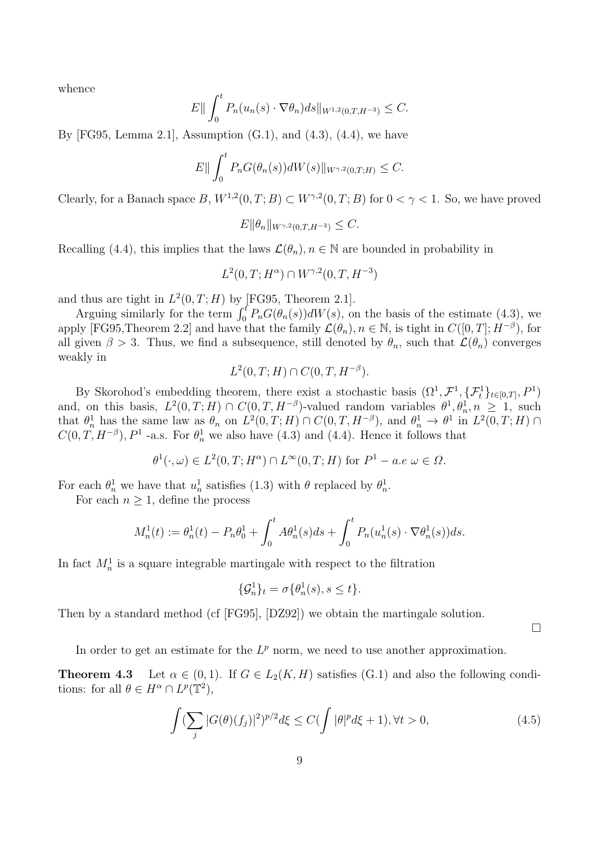whence

$$
E||\int_0^t P_n(u_n(s)\cdot \nabla \theta_n)ds||_{W^{1,2}(0,T,H^{-3})} \leq C.
$$

By [FG95, Lemma 2.1], Assumption  $(G.1)$ , and  $(4.3)$ ,  $(4.4)$ , we have

$$
E\|\int_0^t P_nG(\theta_n(s))dW(s)\|_{W^{\gamma,2}(0,T;H)}\leq C.
$$

Clearly, for a Banach space  $B, W^{1,2}(0,T;B) \subset W^{\gamma,2}(0,T;B)$  for  $0 < \gamma < 1$ . So, we have proved

$$
E\|\theta_n\|_{W^{\gamma,2}(0,T,H^{-3})} \leq C.
$$

Recalling (4.4), this implies that the laws  $\mathcal{L}(\theta_n), n \in \mathbb{N}$  are bounded in probability in

 $L^2(0, T; H^{\alpha}) \cap W^{\gamma,2}(0, T, H^{-3})$ 

and thus are tight in  $L^2(0,T;H)$  by [FG95, Theorem 2.1].

Arguing similarly for the term  $\int_0^t P_n G(\theta_n(s)) dW(s)$ , on the basis of the estimate (4.3), we apply [FG95,Theorem 2.2] and have that the family  $\mathcal{L}(\theta_n), n \in \mathbb{N}$ , is tight in  $C([0,T]; H^{-\beta})$ , for all given  $\beta > 3$ . Thus, we find a subsequence, still denoted by  $\theta_n$ , such that  $\mathcal{L}(\theta_n)$  converges weakly in

$$
L^2(0,T;H) \cap C(0,T,H^{-\beta}).
$$

By Skorohod's embedding theorem, there exist a stochastic basis  $(\Omega^1, \mathcal{F}^1, {\{\mathcal{F}_t^1\}}_{t\in[0,T]}, P^1)$ and, on this basis,  $L^2(0,T;H) \cap C(0,T,H^{-\beta})$ -valued random variables  $\theta^1, \theta_n^1, n \ge 1$ , such that  $\theta_n^1$  has the same law as  $\theta_n$  on  $L^2(0,T;H) \cap C(0,T,H^{-\beta})$ , and  $\theta_n^1 \to \theta^1$  in  $L^2(0,T;H) \cap$  $C(0, T, H^{-\beta}), P^1$  -a.s. For  $\theta_n^1$  we also have (4.3) and (4.4). Hence it follows that

$$
\theta^1(\cdot,\omega) \in L^2(0,T;H^{\alpha}) \cap L^{\infty}(0,T;H) \text{ for } P^1 - a.e \omega \in \Omega.
$$

For each  $\theta_n^1$  we have that  $u_n^1$  satisfies (1.3) with  $\theta$  replaced by  $\theta_n^1$ .

For each  $n \geq 1$ , define the process

$$
M_n^1(t) := \theta_n^1(t) - P_n \theta_0^1 + \int_0^t A \theta_n^1(s) ds + \int_0^t P_n(u_n^1(s) \cdot \nabla \theta_n^1(s)) ds.
$$

In fact  $M_n^1$  is a square integrable martingale with respect to the filtration

$$
\{\mathcal{G}_n^1\}_t = \sigma\{\theta_n^1(s), s \le t\}.
$$

Then by a standard method (cf [FG95], [DZ92]) we obtain the martingale solution.

□

In order to get an estimate for the  $L^p$  norm, we need to use another approximation.

**Theorem 4.3** Let  $\alpha \in (0,1)$ . If  $G \in L_2(K,H)$  satisfies  $(G.1)$  and also the following conditions: for all  $\theta \in H^{\alpha} \cap L^{p}(\mathbb{T}^{2}),$ 

$$
\int (\sum_{j} |G(\theta)(f_j)|^2)^{p/2} d\xi \le C(\int |\theta|^p d\xi + 1), \forall t > 0,
$$
\n(4.5)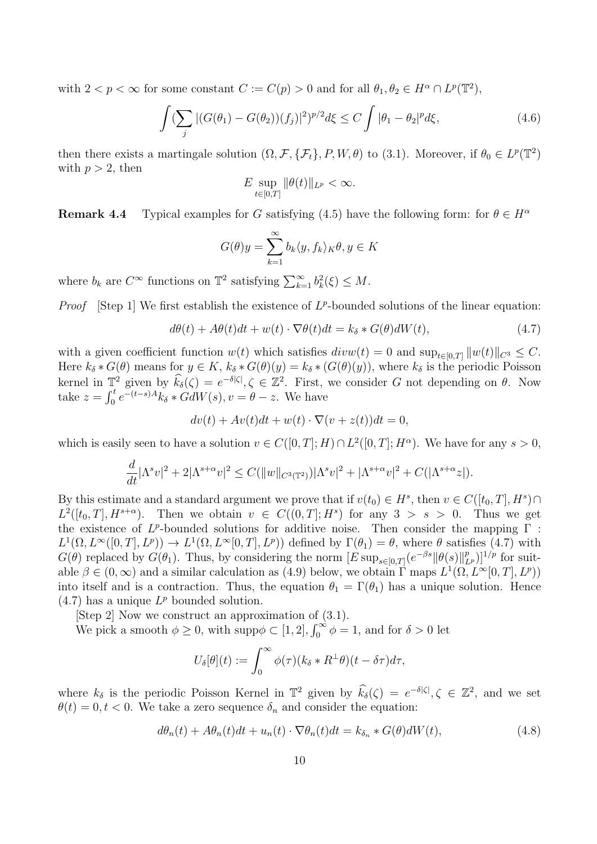with  $2 < p < \infty$  for some constant  $C := C(p) > 0$  and for all  $\theta_1, \theta_2 \in H^{\alpha} \cap L^p(\mathbb{T}^2)$ ,

$$
\int (\sum_{j} |(G(\theta_1) - G(\theta_2))(f_j)|^2)^{p/2} d\xi \le C \int |\theta_1 - \theta_2|^p d\xi,
$$
\n(4.6)

then there exists a martingale solution  $(\Omega, \mathcal{F}, \{\mathcal{F}_t\}, P, W, \theta)$  to (3.1). Moreover, if  $\theta_0 \in L^p(\mathbb{T}^2)$ with  $p > 2$ , then

$$
E \sup_{t \in [0,T]} \|\theta(t)\|_{L^p} < \infty.
$$

**Remark 4.4** Typical examples for G satisfying (4.5) have the following form: for  $\theta \in H^{\alpha}$ 

$$
G(\theta)y = \sum_{k=1}^{\infty} b_k \langle y, f_k \rangle_K \theta, y \in K
$$

where  $b_k$  are  $C^{\infty}$  functions on  $\mathbb{T}^2$  satisfying  $\sum_{k=1}^{\infty} b_k^2(\xi) \leq M$ .

*Proof* [Step 1] We first establish the existence of  $L^p$ -bounded solutions of the linear equation:

$$
d\theta(t) + A\theta(t)dt + w(t) \cdot \nabla\theta(t)dt = k_{\delta} * G(\theta)dW(t),
$$
\n(4.7)

with a given coefficient function  $w(t)$  which satisfies  $divw(t) = 0$  and  $\sup_{t \in [0,T]} ||w(t)||_{C^3} \leq C$ . Here  $k_{\delta} * G(\theta)$  means for  $y \in K$ ,  $k_{\delta} * G(\theta)(y) = k_{\delta} * (G(\theta)(y))$ , where  $k_{\delta}$  is the periodic Poisson kernel in  $\mathbb{T}^2$  given by  $k_{\delta}(\zeta) = e^{-\delta|\zeta|}, \zeta \in \mathbb{Z}^2$ . First, we consider G not depending on  $\theta$ . Now take  $z = \int_0^t e^{-(t-s)A} k_\delta * \tilde{G} dW(s), v = \theta - z$ . We have

$$
dv(t) + Av(t)dt + w(t) \cdot \nabla(v + z(t))dt = 0,
$$

which is easily seen to have a solution  $v \in C([0, T]; H) \cap L^2([0, T]; H^{\alpha})$ . We have for any  $s > 0$ ,

$$
\frac{d}{dt}|\Lambda^s v|^2 + 2|\Lambda^{s+\alpha} v|^2 \le C(||w||_{C^3(\mathbb{T}^2)})|\Lambda^s v|^2 + |\Lambda^{s+\alpha} v|^2 + C(|\Lambda^{s+\alpha} z|).
$$

By this estimate and a standard argument we prove that if  $v(t_0) \in H^s$ , then  $v \in C([t_0, T], H^s) \cap$  $L^2([t_0,T], H^{s+\alpha})$ . Then we obtain  $v \in C((0,T]; H^s)$  for any  $3 > s > 0$ . Thus we get the existence of  $L^p$ -bounded solutions for additive noise. Then consider the mapping  $\Gamma$ :  $L^1(\Omega, L^\infty([0,T], L^p)) \to L^1(\Omega, L^\infty[0,T], L^p))$  defined by  $\Gamma(\theta_1) = \theta$ , where  $\theta$  satisfies (4.7) with  $G(\theta)$  replaced by  $G(\theta_1)$ . Thus, by considering the norm  $[E \sup_{s \in [0,T]} (e^{-\beta s} || \theta(s) ||_{L^p}^p)]^{1/p}$  for suitable  $\beta \in (0, \infty)$  and a similar calculation as (4.9) below, we obtain  $\Gamma$  maps  $L^1(\Omega, L^{\infty}[0, T], L^p)$ into itself and is a contraction. Thus, the equation  $\theta_1 = \Gamma(\theta_1)$  has a unique solution. Hence  $(4.7)$  has a unique  $L^p$  bounded solution.

[Step 2] Now we construct an approximation of (3.1).

We pick a smooth  $\phi \geq 0$ , with supp $\phi \subset [1, 2]$ ,  $\int_0^\infty \phi = 1$ , and for  $\delta > 0$  let

$$
U_{\delta}[\theta](t) := \int_0^\infty \phi(\tau)(k_\delta * R^\perp \theta)(t - \delta \tau) d\tau,
$$

where  $k_{\delta}$  is the periodic Poisson Kernel in  $\mathbb{T}^2$  given by  $k_{\delta}(\zeta) = e^{-\delta|\zeta|}, \zeta \in \mathbb{Z}^2$ , and we set  $\theta(t) = 0, t < 0$ . We take a zero sequence  $\delta_n$  and consider the equation:

$$
d\theta_n(t) + A\theta_n(t)dt + u_n(t) \cdot \nabla \theta_n(t)dt = k_{\delta_n} * G(\theta)dW(t),
$$
\n(4.8)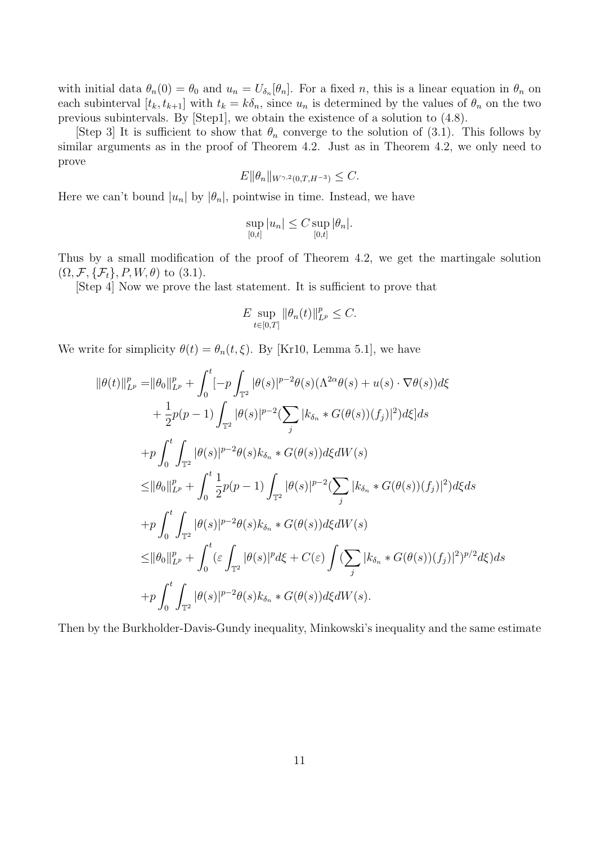with initial data  $\theta_n(0) = \theta_0$  and  $u_n = U_{\delta_n}[\theta_n]$ . For a fixed n, this is a linear equation in  $\theta_n$  on each subinterval  $[t_k, t_{k+1}]$  with  $t_k = k\delta_n$ , since  $u_n$  is determined by the values of  $\theta_n$  on the two previous subintervals. By [Step1], we obtain the existence of a solution to (4.8).

[Step 3] It is sufficient to show that  $\theta_n$  converge to the solution of (3.1). This follows by similar arguments as in the proof of Theorem 4.2. Just as in Theorem 4.2, we only need to prove

$$
E\|\theta_n\|_{W^{\gamma,2}(0,T,H^{-3})} \leq C.
$$

Here we can't bound  $|u_n|$  by  $|\theta_n|$ , pointwise in time. Instead, we have

$$
\sup_{[0,t]} |u_n| \leq C \sup_{[0,t]} |\theta_n|.
$$

Thus by a small modification of the proof of Theorem 4.2, we get the martingale solution  $(\Omega, \mathcal{F}, \{\mathcal{F}_t\}, P, W, \theta)$  to (3.1).

[Step 4] Now we prove the last statement. It is sufficient to prove that

$$
E \sup_{t \in [0,T]} \|\theta_n(t)\|_{L^p}^p \le C.
$$

We write for simplicity  $\theta(t) = \theta_n(t, \xi)$ . By [Kr10, Lemma 5.1], we have

$$
\|\theta(t)\|_{L^{p}}^{p} = \|\theta_{0}\|_{L^{p}}^{p} + \int_{0}^{t} [-p \int_{\mathbb{T}^{2}} |\theta(s)|^{p-2} \theta(s)(\Lambda^{2\alpha}\theta(s) + u(s) \cdot \nabla\theta(s))d\xi \n+ \frac{1}{2}p(p-1) \int_{\mathbb{T}^{2}} |\theta(s)|^{p-2} (\sum_{j} |k_{\delta_{n}} * G(\theta(s))(f_{j})|^{2}) d\xi] ds \n+ p \int_{0}^{t} \int_{\mathbb{T}^{2}} |\theta(s)|^{p-2} \theta(s) k_{\delta_{n}} * G(\theta(s)) d\xi dW(s) \n\leq ||\theta_{0}||_{L^{p}}^{p} + \int_{0}^{t} \frac{1}{2}p(p-1) \int_{\mathbb{T}^{2}} |\theta(s)|^{p-2} (\sum_{j} |k_{\delta_{n}} * G(\theta(s))(f_{j})|^{2}) d\xi ds \n+ p \int_{0}^{t} \int_{\mathbb{T}^{2}} |\theta(s)|^{p-2} \theta(s) k_{\delta_{n}} * G(\theta(s)) d\xi dW(s) \n\leq ||\theta_{0}||_{L^{p}}^{p} + \int_{0}^{t} (\varepsilon \int_{\mathbb{T}^{2}} |\theta(s)|^{p} d\xi + C(\varepsilon) \int (\sum_{j} |k_{\delta_{n}} * G(\theta(s))(f_{j})|^{2})^{p/2} d\xi) ds \n+ p \int_{0}^{t} \int_{\mathbb{T}^{2}} |\theta(s)|^{p-2} \theta(s) k_{\delta_{n}} * G(\theta(s)) d\xi dW(s).
$$

Then by the Burkholder-Davis-Gundy inequality, Minkowski's inequality and the same estimate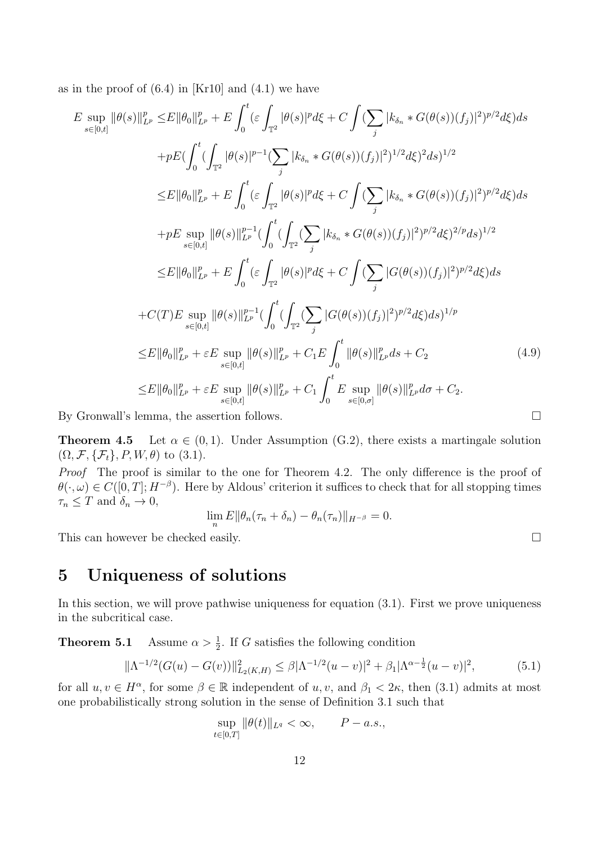as in the proof of  $(6.4)$  in [Kr10] and  $(4.1)$  we have

$$
E \sup_{s \in [0,t]} \|\theta(s)\|_{L^p}^p \leq E \|\theta_0\|_{L^p}^p + E \int_0^t (\varepsilon \int_{\mathbb{T}^2} |\theta(s)|^p d\xi + C \int (\sum_j |k_{\delta_n} * G(\theta(s))(f_j)|^2)^{p/2} d\xi) ds
$$
  
+
$$
+ pE (\int_0^t (\int_{\mathbb{T}^2} |\theta(s)|^{p-1} (\sum_j |k_{\delta_n} * G(\theta(s))(f_j)|^2)^{1/2} d\xi)^2 ds)^{1/2}
$$
  

$$
\leq E \|\theta_0\|_{L^p}^p + E \int_0^t (\varepsilon \int_{\mathbb{T}^2} |\theta(s)|^p d\xi + C \int (\sum_j |k_{\delta_n} * G(\theta(s))(f_j)|^2)^{p/2} d\xi) ds
$$
  
+
$$
+ pE \sup_{s \in [0,t]} \|\theta(s)\|_{L^p}^{p-1} (\int_0^t (\int_{\mathbb{T}^2} (\sum_j |k_{\delta_n} * G(\theta(s))(f_j)|^2)^{p/2} d\xi)^{2/p} ds)^{1/2}
$$
  

$$
\leq E \|\theta_0\|_{L^p}^p + E \int_0^t (\varepsilon \int_{\mathbb{T}^2} |\theta(s)|^p d\xi + C \int (\sum_j |G(\theta(s))(f_j)|^2)^{p/2} d\xi) ds
$$
  
+
$$
C(T)E \sup_{s \in [0,t]} \|\theta(s)\|_{L^p}^{p-1} (\int_0^t (\int_{\mathbb{T}^2} (\sum_j |G(\theta(s))(f_j)|^2)^{p/2} d\xi) ds)^{1/p}
$$
  

$$
\leq E \|\theta_0\|_{L^p}^p + \varepsilon E \sup_{s \in [0,t]} \|\theta(s)\|_{L^p}^p + C_1 E \int_0^t \|\theta(s)\|_{L^p}^p ds + C_2
$$
  
By Gronwall's lemma, the assertion follows.

**Theorem 4.5** Let  $\alpha \in (0,1)$ . Under Assumption (G.2), there exists a martingale solution  $(\Omega, \mathcal{F}, \{\mathcal{F}_t\}, P, W, \theta)$  to (3.1).

*Proof* The proof is similar to the one for Theorem 4.2. The only difference is the proof of  $\theta(\cdot,\omega) \in C([0,T]; H^{-\beta})$ . Here by Aldous' criterion it suffices to check that for all stopping times  $\tau_n \leq T$  and  $\delta_n \to 0$ ,

$$
\lim_{n} E \|\theta_n(\tau_n + \delta_n) - \theta_n(\tau_n)\|_{H^{-\beta}} = 0.
$$

This can however be checked easily.  $\Box$ 

### **5 Uniqueness of solutions**

In this section, we will prove pathwise uniqueness for equation (3.1). First we prove uniqueness in the subcritical case.

**Theorem 5.1** Assume  $\alpha > \frac{1}{2}$ . If G satisfies the following condition

$$
\|\Lambda^{-1/2}(G(u) - G(v))\|_{L_2(K,H)}^2 \le \beta|\Lambda^{-1/2}(u - v)|^2 + \beta_1|\Lambda^{\alpha - \frac{1}{2}}(u - v)|^2, \tag{5.1}
$$

for all  $u, v \in H^{\alpha}$ , for some  $\beta \in \mathbb{R}$  independent of  $u, v$ , and  $\beta_1 < 2\kappa$ , then (3.1) admits at most one probabilistically strong solution in the sense of Definition 3.1 such that

$$
\sup_{t\in[0,T]}\|\theta(t)\|_{L^q}<\infty, \qquad P-a.s.,
$$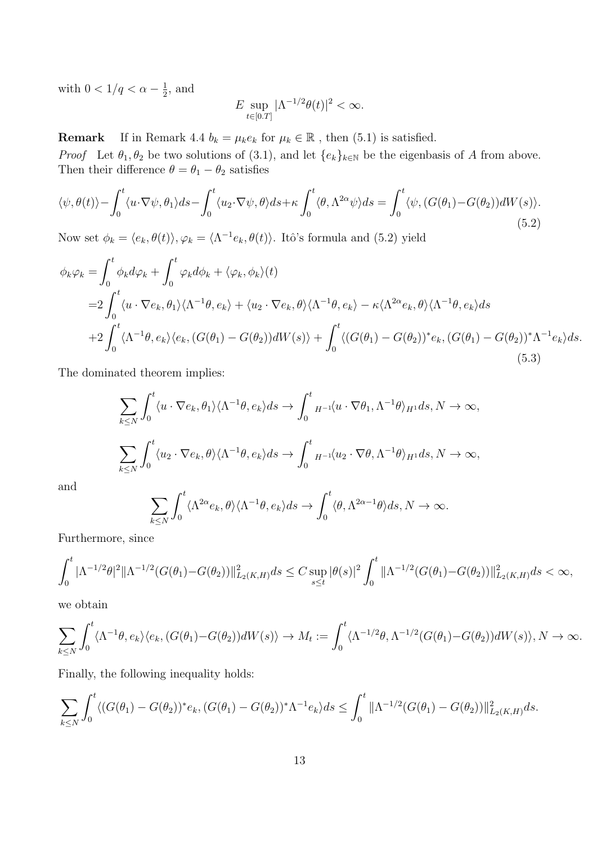with  $0 < 1/q < \alpha - \frac{1}{2}$  $\frac{1}{2}$ , and

$$
E \sup_{t \in [0,T]} |\Lambda^{-1/2}\theta(t)|^2 < \infty.
$$

**Remark** If in Remark 4.4  $b_k = \mu_k e_k$  for  $\mu_k \in \mathbb{R}$ , then (5.1) is satisfied.

*Proof* Let  $\theta_1, \theta_2$  be two solutions of (3.1), and let  $\{e_k\}_{k\in\mathbb{N}}$  be the eigenbasis of A from above. Then their difference  $\theta = \theta_1 - \theta_2$  satisfies

$$
\langle \psi, \theta(t) \rangle - \int_0^t \langle u \cdot \nabla \psi, \theta_1 \rangle ds - \int_0^t \langle u_2 \cdot \nabla \psi, \theta \rangle ds + \kappa \int_0^t \langle \theta, \Lambda^{2\alpha} \psi \rangle ds = \int_0^t \langle \psi, (G(\theta_1) - G(\theta_2)) dW(s) \rangle.
$$
\n(5.2)

Now set  $\phi_k = \langle e_k, \theta(t) \rangle, \varphi_k = \langle \Lambda^{-1} e_k, \theta(t) \rangle$ . Itô's formula and (5.2) yield

$$
\phi_k \varphi_k = \int_0^t \phi_k d\varphi_k + \int_0^t \varphi_k d\phi_k + \langle \varphi_k, \phi_k \rangle(t)
$$
  
= 
$$
2 \int_0^t \langle u \cdot \nabla e_k, \theta_1 \rangle \langle \Lambda^{-1} \theta, e_k \rangle + \langle u_2 \cdot \nabla e_k, \theta \rangle \langle \Lambda^{-1} \theta, e_k \rangle - \kappa \langle \Lambda^{2\alpha} e_k, \theta \rangle \langle \Lambda^{-1} \theta, e_k \rangle ds
$$
  
+ 
$$
2 \int_0^t \langle \Lambda^{-1} \theta, e_k \rangle \langle e_k, (G(\theta_1) - G(\theta_2)) dW(s) \rangle + \int_0^t \langle (G(\theta_1) - G(\theta_2))^* e_k, (G(\theta_1) - G(\theta_2))^* \Lambda^{-1} e_k \rangle ds.
$$
  
(5.3)

The dominated theorem implies:

$$
\sum_{k\leq N}\int_0^t \langle u\cdot \nabla e_k, \theta_1\rangle \langle \Lambda^{-1}\theta, e_k\rangle ds \to \int_0^t H^{-1}\langle u\cdot \nabla \theta_1, \Lambda^{-1}\theta\rangle H^{1}ds, N\to \infty,
$$
  

$$
\sum_{k\leq N}\int_0^t \langle u_2\cdot \nabla e_k, \theta\rangle \langle \Lambda^{-1}\theta, e_k\rangle ds \to \int_0^t H^{-1}\langle u_2\cdot \nabla \theta, \Lambda^{-1}\theta\rangle H^{1}ds, N\to \infty,
$$

and

$$
\sum_{k\leq N}\int_0^t \langle \Lambda^{2\alpha} e_k,\theta\rangle\langle \Lambda^{-1}\theta,e_k\rangle ds\to \int_0^t \langle \theta,\Lambda^{2\alpha-1}\theta\rangle ds, N\to\infty.
$$

Furthermore, since

$$
\int_0^t |\Lambda^{-1/2}\theta|^2 \|\Lambda^{-1/2}(G(\theta_1) - G(\theta_2))\|_{L_2(K,H)}^2 ds \leq C \sup_{s \leq t} |\theta(s)|^2 \int_0^t \|\Lambda^{-1/2}(G(\theta_1) - G(\theta_2))\|_{L_2(K,H)}^2 ds < \infty,
$$

we obtain

$$
\sum_{k\leq N}\int_0^t \langle \Lambda^{-1}\theta, e_k\rangle \langle e_k, (G(\theta_1)-G(\theta_2))dW(s)\rangle \to M_t := \int_0^t \langle \Lambda^{-1/2}\theta, \Lambda^{-1/2}(G(\theta_1)-G(\theta_2))dW(s)\rangle, N\to\infty.
$$

Finally, the following inequality holds:

$$
\sum_{k\leq N}\int_0^t \langle (G(\theta_1)-G(\theta_2))^*e_k, (G(\theta_1)-G(\theta_2))^* \Lambda^{-1}e_k \rangle ds \leq \int_0^t \|\Lambda^{-1/2}(G(\theta_1)-G(\theta_2))\|_{L_2(K,H)}^2 ds.
$$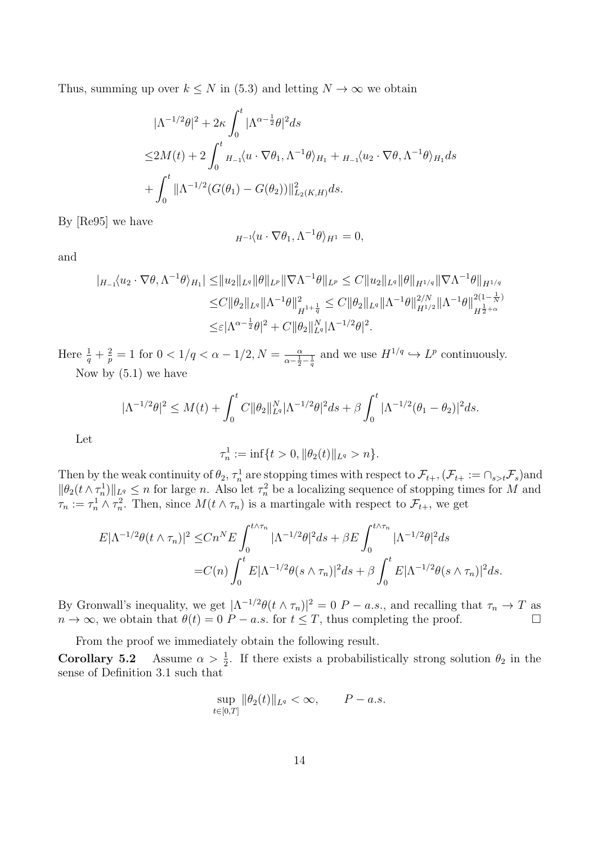Thus, summing up over  $k \leq N$  in (5.3) and letting  $N \to \infty$  we obtain

$$
\begin{aligned}\n&|\Lambda^{-1/2}\theta|^2 + 2\kappa \int_0^t |\Lambda^{\alpha-\frac{1}{2}}\theta|^2 ds \\
&\leq 2M(t) + 2 \int_0^t H_{-1}\langle u \cdot \nabla \theta_1, \Lambda^{-1}\theta \rangle_{H_1} + H_{-1}\langle u_2 \cdot \nabla \theta, \Lambda^{-1}\theta \rangle_{H_1} ds \\
&+ \int_0^t \|\Lambda^{-1/2}(G(\theta_1) - G(\theta_2))\|_{L_2(K,H)}^2 ds.\n\end{aligned}
$$

By [Re95] we have

$$
{}_{H^{-1}}\langle u\cdot\nabla\theta_1,\Lambda^{-1}\theta\rangle_{H^1}=0,
$$

and

$$
|_{H_{-1}}\langle u_2 \cdot \nabla \theta, \Lambda^{-1}\theta \rangle_{H_1}| \leq ||u_2||_{L^q} ||\theta||_{L^p} ||\nabla \Lambda^{-1}\theta||_{L^p} \leq C ||u_2||_{L^q} ||\theta||_{H^{1/q}} ||\nabla \Lambda^{-1}\theta||_{H^{1/q}} \n\leq C ||\theta_2||_{L^q} ||\Lambda^{-1}\theta||_{H^{1+\frac{1}{q}}}^2 \leq C ||\theta_2||_{L^q} ||\Lambda^{-1}\theta||_{H^{1/2}}^{2/N} ||\Lambda^{-1}\theta||_{H^{\frac{1}{2}+\alpha}}^{2(1-\frac{1}{N})} \n\leq \varepsilon |\Lambda^{\alpha-\frac{1}{2}}\theta|^2 + C ||\theta_2||_{L^q}^{N} |\Lambda^{-1/2}\theta|^2.
$$

Here  $\frac{1}{q} + \frac{2}{p}$  $\frac{2}{p} = 1$  for  $0 < 1/q < \alpha - 1/2$ ,  $N = \frac{\alpha}{\alpha - \frac{1}{2} - \frac{1}{q}}$  and we use  $H^{1/q} \hookrightarrow L^p$  continuously. Now by  $(5.1)$  we have

$$
|\Lambda^{-1/2}\theta|^2 \le M(t) + \int_0^t C \|\theta_2\|_{L^q}^N |\Lambda^{-1/2}\theta|^2 ds + \beta \int_0^t |\Lambda^{-1/2}(\theta_1 - \theta_2)|^2 ds.
$$

Let

$$
\tau_n^1 := \inf\{t > 0, \|\theta_2(t)\|_{L^q} > n\}.
$$

Then by the weak continuity of  $\theta_2$ ,  $\tau_n^1$  are stopping times with respect to  $\mathcal{F}_{t+}$ ,  $(\mathcal{F}_{t+} := \cap_{s>t} \mathcal{F}_s)$  and  $||\theta_2(t \wedge \tau_n^1)||_{L^q}$  ≤ *n* for large *n*. Also let  $\tau_n^2$  be a localizing sequence of stopping times for *M* and  $\tau_n := \tau_n^1 \wedge \tau_n^2$ . Then, since  $M(t \wedge \tau_n)$  is a martingale with respect to  $\mathcal{F}_{t+}$ , we get

$$
E|\Lambda^{-1/2}\theta(t\wedge\tau_n)|^2 \leq Cn^N E \int_0^{t\wedge\tau_n} |\Lambda^{-1/2}\theta|^2 ds + \beta E \int_0^{t\wedge\tau_n} |\Lambda^{-1/2}\theta|^2 ds
$$
  
= $C(n) \int_0^t E|\Lambda^{-1/2}\theta(s\wedge\tau_n)|^2 ds + \beta \int_0^t E|\Lambda^{-1/2}\theta(s\wedge\tau_n)|^2 ds.$ 

By Gronwall's inequality, we get  $|\Lambda^{-1/2}\theta(t \wedge \tau_n)|^2 = 0$  *P* – *a.s.*, and recalling that  $\tau_n \to T$  as  $n \to \infty$ , we obtain that  $\theta(t) = 0$   $P - a.s$ . for  $t \leq T$ , thus completing the proof. □

From the proof we immediately obtain the following result. **Corollary 5.2** Assume  $\alpha > \frac{1}{2}$ . If there exists a probabilistically strong solution  $\theta_2$  in the sense of Definition 3.1 such that

$$
\sup_{t\in[0,T]}\|\theta_2(t)\|_{L^q}<\infty, \qquad P-a.s.
$$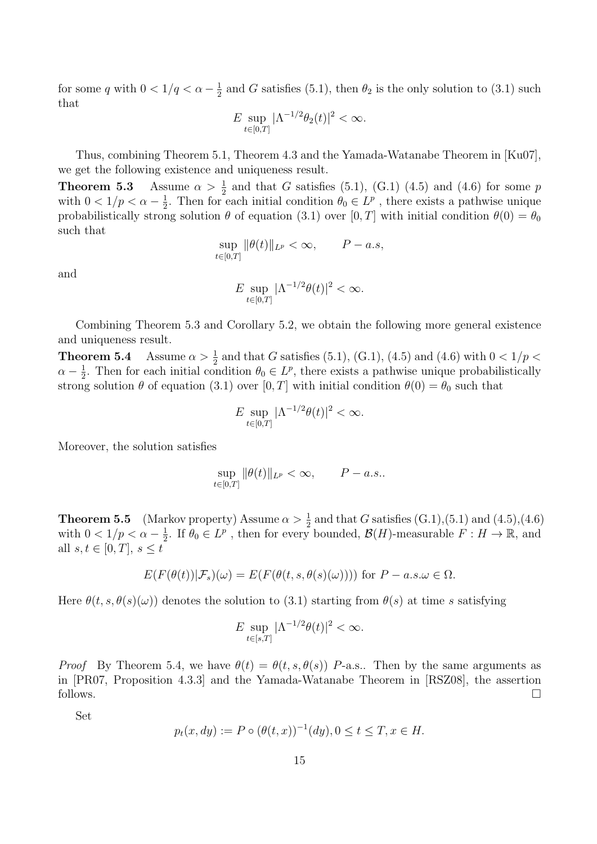for some q with  $0 < 1/q < \alpha - \frac{1}{2}$  $\frac{1}{2}$  and G satisfies (5.1), then  $\theta_2$  is the only solution to (3.1) such that

$$
E \sup_{t \in [0,T]} |\Lambda^{-1/2} \theta_2(t)|^2 < \infty.
$$

Thus, combining Theorem 5.1, Theorem 4.3 and the Yamada-Watanabe Theorem in [Ku07], we get the following existence and uniqueness result.

**Theorem 5.3** Assume  $\alpha > \frac{1}{2}$  and that G satisfies (5.1), (G.1) (4.5) and (4.6) for some p with  $0 < 1/p < \alpha - \frac{1}{2}$  $\frac{1}{2}$ . Then for each initial condition  $\theta_0 \in L^p$ , there exists a pathwise unique probabilistically strong solution  $\theta$  of equation (3.1) over [0, *T*] with initial condition  $\theta(0) = \theta_0$ such that

$$
\sup_{t\in[0,T]}\|\theta(t)\|_{L^p}<\infty, \qquad P-a.s,
$$

and

$$
E \sup_{t \in [0,T]} |\Lambda^{-1/2}\theta(t)|^2 < \infty.
$$

Combining Theorem 5.3 and Corollary 5.2, we obtain the following more general existence and uniqueness result.

**Theorem 5.4** Assume  $\alpha > \frac{1}{2}$  and that *G* satisfies (5.1), (G.1), (4.5) and (4.6) with  $0 < 1/p <$  $\alpha - \frac{1}{2}$  $\frac{1}{2}$ . Then for each initial condition  $\theta_0 \in L^p$ , there exists a pathwise unique probabilistically strong solution  $\theta$  of equation (3.1) over [0, *T*] with initial condition  $\theta(0) = \theta_0$  such that

$$
E \sup_{t \in [0,T]} |\Lambda^{-1/2}\theta(t)|^2 < \infty.
$$

Moreover, the solution satisfies

$$
\sup_{t\in[0,T]}\|\theta(t)\|_{L^p}<\infty, \qquad P-a.s..
$$

**Theorem 5.5** (Markov property) Assume  $\alpha > \frac{1}{2}$  and that G satisfies (G.1),(5.1) and (4.5),(4.6) with  $0 < 1/p < \alpha - \frac{1}{2}$  $\frac{1}{2}$ . If  $\theta_0 \in L^p$ , then for every bounded,  $\mathcal{B}(H)$ -measurable  $F : H \to \mathbb{R}$ , and all  $s, t \in [0, T], s \le t$ 

$$
E(F(\theta(t))|\mathcal{F}_s)(\omega) = E(F(\theta(t,s,\theta(s)(\omega)))) \text{ for } P - a.s.\omega \in \Omega.
$$

Here  $\theta(t, s, \theta(s)(\omega))$  denotes the solution to (3.1) starting from  $\theta(s)$  at time s satisfying

$$
E \sup_{t \in [s,T]} |\Lambda^{-1/2}\theta(t)|^2 < \infty.
$$

*Proof* By Theorem 5.4, we have  $\theta(t) = \theta(t, s, \theta(s))$  *P*-a.s.. Then by the same arguments as in [PR07, Proposition 4.3.3] and the Yamada-Watanabe Theorem in [RSZ08], the assertion follows.  $\Box$ 

Set

$$
p_t(x, dy) := P \circ (\theta(t, x))^{-1}(dy), 0 \le t \le T, x \in H.
$$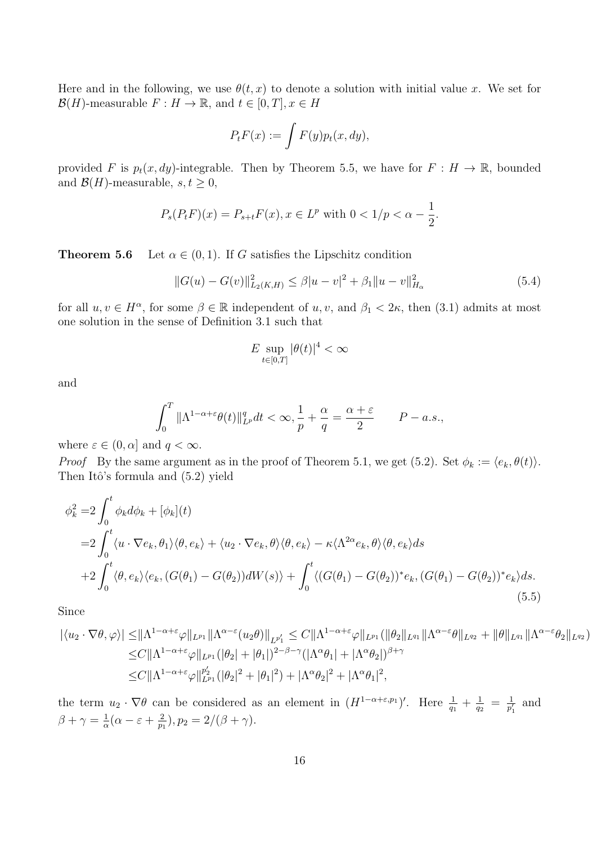Here and in the following, we use  $\theta(t, x)$  to denote a solution with initial value x. We set for  $\mathcal{B}(H)$ -measurable  $F : H \to \mathbb{R}$ , and  $t \in [0, T]$ ,  $x \in H$ 

$$
P_t F(x) := \int F(y) p_t(x, dy),
$$

provided *F* is  $p_t(x, dy)$ -integrable. Then by Theorem 5.5, we have for  $F : H \to \mathbb{R}$ , bounded and  $\mathcal{B}(H)$ -measurable,  $s, t \geq 0$ ,

$$
P_s(P_t F)(x) = P_{s+t} F(x), x \in L^p \text{ with } 0 < 1/p < \alpha - \frac{1}{2}.
$$

**Theorem 5.6** Let  $\alpha \in (0,1)$ . If G satisfies the Lipschitz condition

$$
||G(u) - G(v)||_{L_2(K,H)}^2 \le \beta |u - v|^2 + \beta_1 ||u - v||_{H_\alpha}^2
$$
\n(5.4)

for all  $u, v \in H^{\alpha}$ , for some  $\beta \in \mathbb{R}$  independent of  $u, v$ , and  $\beta_1 < 2\kappa$ , then (3.1) admits at most one solution in the sense of Definition 3.1 such that

$$
E \sup_{t \in [0,T]} |\theta(t)|^4 < \infty
$$

and

$$
\int_0^T \|\Lambda^{1-\alpha+\varepsilon}\theta(t)\|_{L^p}^q dt < \infty, \frac{1}{p} + \frac{\alpha}{q} = \frac{\alpha+\varepsilon}{2} \qquad P-a.s.,
$$

where  $\varepsilon \in (0, \alpha]$  and  $q < \infty$ .

*Proof* By the same argument as in the proof of Theorem 5.1, we get (5.2). Set  $\phi_k := \langle e_k, \theta(t) \rangle$ . Then Itô's formula and  $(5.2)$  yield

$$
\phi_k^2 = 2 \int_0^t \phi_k d\phi_k + [\phi_k](t)
$$
  
= 
$$
2 \int_0^t \langle u \cdot \nabla e_k, \theta_1 \rangle \langle \theta, e_k \rangle + \langle u_2 \cdot \nabla e_k, \theta \rangle \langle \theta, e_k \rangle - \kappa \langle \Lambda^{2\alpha} e_k, \theta \rangle \langle \theta, e_k \rangle ds
$$
  
+ 
$$
2 \int_0^t \langle \theta, e_k \rangle \langle e_k, (G(\theta_1) - G(\theta_2)) dW(s) \rangle + \int_0^t \langle (G(\theta_1) - G(\theta_2))^* e_k, (G(\theta_1) - G(\theta_2))^* e_k \rangle ds.
$$
  
(5.5)

Since

$$
\begin{split} |\langle u_2 \cdot \nabla \theta, \varphi \rangle| &\leq \|\Lambda^{1-\alpha+\varepsilon} \varphi\|_{L^{p_1}} \|\Lambda^{\alpha-\varepsilon}(u_2 \theta)\|_{L^{p'_1}} \leq C \|\Lambda^{1-\alpha+\varepsilon} \varphi\|_{L^{p_1}} (\|\theta_2\|_{L^{q_1}} \|\Lambda^{\alpha-\varepsilon} \theta\|_{L^{q_2}} + \|\theta\|_{L^{q_1}} \|\Lambda^{\alpha-\varepsilon} \theta_2\|_{L^{q_2}}) \\ &\leq C \|\Lambda^{1-\alpha+\varepsilon} \varphi\|_{L^{p_1}} (\|\theta_2\|+\|\theta_1\|)^{2-\beta-\gamma} (\|\Lambda^{\alpha} \theta_1\|+\|\Lambda^{\alpha} \theta_2\|)^{\beta+\gamma} \\ &\leq C \|\Lambda^{1-\alpha+\varepsilon} \varphi\|_{L^{p_1}}^{p'_2} (\|\theta_2\|^2+\|\theta_1\|^2) + \|\Lambda^{\alpha} \theta_2\|^2 + \|\Lambda^{\alpha} \theta_1\|^2, \end{split}
$$

the term  $u_2 \cdot \nabla \theta$  can be considered as an element in  $(H^{1-\alpha+\varepsilon,p_1})'$ . Here  $\frac{1}{q_1} + \frac{1}{q_2}$  $\frac{1}{q_2} = \frac{1}{p'}$  $\frac{1}{p'_1}$  and  $\beta + \gamma = \frac{1}{\alpha}$  $\frac{1}{\alpha}(\alpha - \varepsilon + \frac{2}{p_1}$  $\frac{2}{p_1}$ ,  $p_2 = 2/(\beta + \gamma)$ .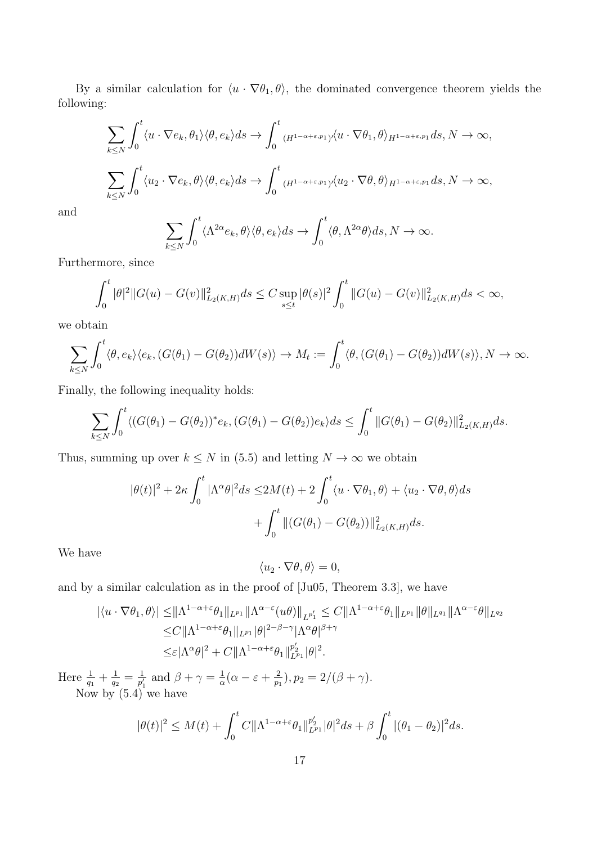By a similar calculation for  $\langle u \cdot \nabla \theta_1, \theta \rangle$ , the dominated convergence theorem yields the following:

$$
\sum_{k\leq N}\int_0^t \langle u\cdot \nabla e_k, \theta_1\rangle \langle \theta, e_k\rangle ds \to \int_0^t \langle H^{1-\alpha+\varepsilon,p_1}\rangle \langle u\cdot \nabla \theta_1, \theta\rangle_{H^{1-\alpha+\varepsilon,p_1}} ds, N \to \infty,
$$
  

$$
\sum_{k\leq N}\int_0^t \langle u_2\cdot \nabla e_k, \theta\rangle \langle \theta, e_k\rangle ds \to \int_0^t \langle H^{1-\alpha+\varepsilon,p_1}\rangle \langle u_2\cdot \nabla \theta, \theta\rangle_{H^{1-\alpha+\varepsilon,p_1}} ds, N \to \infty,
$$

and

$$
\sum_{k\leq N}\int_0^t \langle \Lambda^{2\alpha}e_k, \theta \rangle \langle \theta, e_k \rangle ds \to \int_0^t \langle \theta, \Lambda^{2\alpha} \theta \rangle ds, N \to \infty.
$$

Furthermore, since

$$
\int_0^t |\theta|^2 \|G(u) - G(v)\|_{L_2(K,H)}^2 ds \leq C \sup_{s \leq t} |\theta(s)|^2 \int_0^t \|G(u) - G(v)\|_{L_2(K,H)}^2 ds < \infty,
$$

we obtain

$$
\sum_{k\leq N}\int_0^t \langle \theta, e_k \rangle \langle e_k, (G(\theta_1) - G(\theta_2))dW(s) \rangle \to M_t := \int_0^t \langle \theta, (G(\theta_1) - G(\theta_2))dW(s) \rangle, N \to \infty.
$$

Finally, the following inequality holds:

$$
\sum_{k\leq N}\int_0^t \langle (G(\theta_1)-G(\theta_2))^*e_k, (G(\theta_1)-G(\theta_2))e_k\rangle ds \leq \int_0^t \|G(\theta_1)-G(\theta_2)\|_{L_2(K,H)}^2 ds.
$$

Thus, summing up over  $k \leq N$  in (5.5) and letting  $N \to \infty$  we obtain

$$
|\theta(t)|^2 + 2\kappa \int_0^t |\Lambda^\alpha \theta|^2 ds \le 2M(t) + 2 \int_0^t \langle u \cdot \nabla \theta_1, \theta \rangle + \langle u_2 \cdot \nabla \theta, \theta \rangle ds
$$

$$
+ \int_0^t \|(G(\theta_1) - G(\theta_2))\|_{L_2(K,H)}^2 ds.
$$

We have

$$
\langle u_2 \cdot \nabla \theta, \theta \rangle = 0,
$$

and by a similar calculation as in the proof of [Ju05, Theorem 3.3], we have

$$
|\langle u \cdot \nabla \theta_1, \theta \rangle| \leq ||\Lambda^{1-\alpha+\varepsilon}\theta_1||_{L^{p_1}} ||\Lambda^{\alpha-\varepsilon}(u\theta)||_{L^{p'_1}} \leq C ||\Lambda^{1-\alpha+\varepsilon}\theta_1||_{L^{p_1}} ||\theta||_{L^{q_1}} ||\Lambda^{\alpha-\varepsilon}\theta||_{L^{q_2}}
$$
  
\n
$$
\leq C ||\Lambda^{1-\alpha+\varepsilon}\theta_1||_{L^{p_1}} ||\theta|^{2-\beta-\gamma} |\Lambda^{\alpha}\theta|^{\beta+\gamma}
$$
  
\n
$$
\leq \varepsilon |\Lambda^{\alpha}\theta|^2 + C ||\Lambda^{1-\alpha+\varepsilon}\theta_1||_{L^{p_1}}^{p'_2} ||\theta|^2.
$$

Here  $\frac{1}{q_1} + \frac{1}{q_2}$  $\frac{1}{q_2}=\frac{1}{p'_1}$  $\frac{1}{p'_1}$  and  $\beta + \gamma = \frac{1}{\alpha}$  $\frac{1}{\alpha}(\alpha - \varepsilon + \frac{2}{p_1})$  $\frac{2}{p_1}$ ,  $p_2 = 2/(\beta + \gamma)$ . Now by (5.4) we have

$$
|\theta(t)|^2 \le M(t) + \int_0^t C ||\Lambda^{1-\alpha+\varepsilon}\theta_1||_{L^{p_1}}^{p_2'} |\theta|^2 ds + \beta \int_0^t |(\theta_1 - \theta_2)|^2 ds.
$$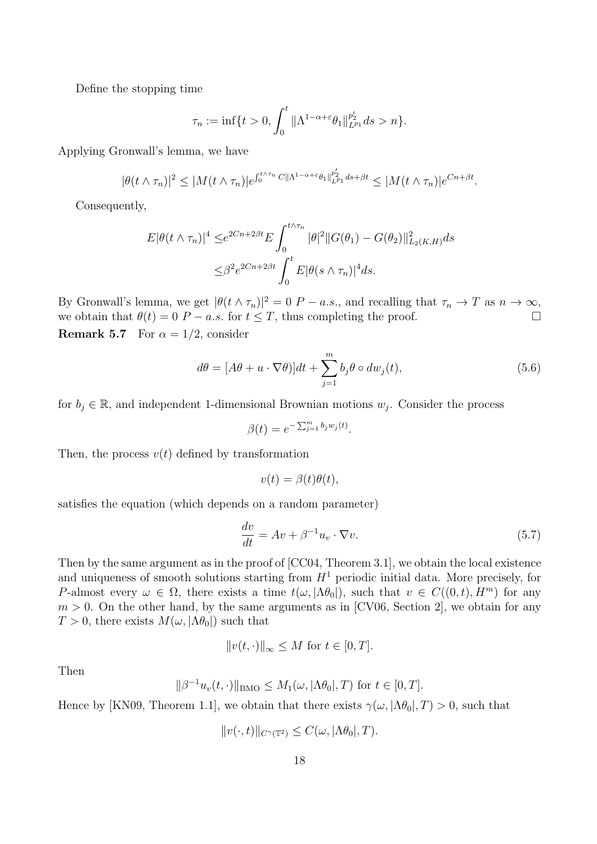Define the stopping time

$$
\tau_n := \inf \{ t > 0, \int_0^t \| \Lambda^{1-\alpha+\varepsilon} \theta_1 \|_{L^{p_1}}^{p_2'} ds > n \}.
$$

Applying Gronwall's lemma, we have

$$
|\theta(t\wedge\tau_n)|^2\leq |M(t\wedge\tau_n)|e^{\int_0^{t\wedge\tau_n}C\|\Lambda^{1-\alpha+\varepsilon}\theta_1\|_{L^{p_1}}^{p_2'}ds+\beta t}\leq |M(t\wedge\tau_n)|e^{Cn+\beta t}.
$$

Consequently,

$$
E|\theta(t \wedge \tau_n)|^4 \le e^{2Cn + 2\beta t} E \int_0^{t \wedge \tau_n} |\theta|^2 \|G(\theta_1) - G(\theta_2)\|_{L_2(K, H)}^2 ds
$$
  

$$
\le \beta^2 e^{2Cn + 2\beta t} \int_0^t E|\theta(s \wedge \tau_n)|^4 ds.
$$

By Gronwall's lemma, we get  $|\theta(t \wedge \tau_n)|^2 = 0$  *P* – *a.s.*, and recalling that  $\tau_n \to T$  as  $n \to \infty$ , we obtain that  $\theta(t) = 0$  *P*  $-a.s.$  for  $t \leq T$ , thus completing the proof. □ **Remark 5.7** For  $\alpha = 1/2$ , consider

$$
d\theta = [A\theta + u \cdot \nabla \theta]dt + \sum_{j=1}^{m} b_j \theta \circ dw_j(t),
$$
\n(5.6)

for  $b_j \in \mathbb{R}$ , and independent 1-dimensional Brownian motions  $w_j$ . Consider the process

$$
\beta(t) = e^{-\sum_{j=1}^m b_j w_j(t)}.
$$

Then, the process  $v(t)$  defined by transformation

$$
v(t) = \beta(t)\theta(t),
$$

satisfies the equation (which depends on a random parameter)

$$
\frac{dv}{dt} = Av + \beta^{-1}u_v \cdot \nabla v.
$$
\n(5.7)

Then by the same argument as in the proof of [CC04, Theorem 3.1], we obtain the local existence and uniqueness of smooth solutions starting from  $H<sup>1</sup>$  periodic initial data. More precisely, for P-almost every  $\omega \in \Omega$ , there exists a time  $t(\omega, |\Lambda \theta_0|)$ , such that  $v \in C((0, t), H^m)$  for any  $m > 0$ . On the other hand, by the same arguments as in [CV06, Section 2], we obtain for any  $T > 0$ , there exists  $M(\omega, |\Lambda \theta_0|)$  such that

$$
||v(t, \cdot)||_{\infty} \le M \text{ for } t \in [0, T].
$$

Then

$$
\|\beta^{-1}u_v(t,\cdot)\|_{\text{BMO}} \le M_1(\omega, |\Lambda \theta_0|, T) \text{ for } t \in [0, T].
$$

Hence by [KN09, Theorem 1.1], we obtain that there exists  $\gamma(\omega, |\Lambda \theta_0|, T) > 0$ , such that

$$
||v(\cdot,t)||_{C^{\gamma}(\mathbb{T}^2)} \leq C(\omega, |\Lambda \theta_0|, T).
$$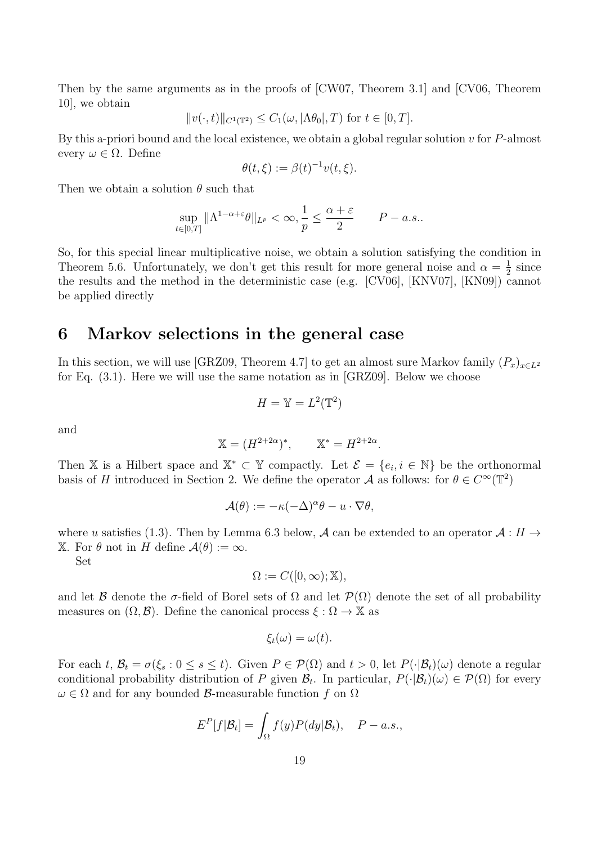Then by the same arguments as in the proofs of [CW07, Theorem 3.1] and [CV06, Theorem 10], we obtain

$$
||v(\cdot,t)||_{C^1(\mathbb{T}^2)} \leq C_1(\omega, |\Lambda \theta_0|, T) \text{ for } t \in [0, T].
$$

By this a-priori bound and the local existence, we obtain a global regular solution  $v$  for  $P$ -almost every  $\omega \in \Omega$ . Define

$$
\theta(t,\xi) := \beta(t)^{-1} v(t,\xi).
$$

Then we obtain a solution  $\theta$  such that

$$
\sup_{t\in[0,T]}\|\Lambda^{1-\alpha+\varepsilon}\theta\|_{L^p}<\infty,\frac{1}{p}\leq\frac{\alpha+\varepsilon}{2}\qquad P-a.s..
$$

So, for this special linear multiplicative noise, we obtain a solution satisfying the condition in Theorem 5.6. Unfortunately, we don't get this result for more general noise and  $\alpha = \frac{1}{2}$  $rac{1}{2}$  since the results and the method in the deterministic case (e.g. [CV06], [KNV07], [KN09]) cannot be applied directly

### **6 Markov selections in the general case**

In this section, we will use [GRZ09, Theorem 4.7] to get an almost sure Markov family  $(P_x)_{x\in L^2}$ for Eq. (3.1). Here we will use the same notation as in [GRZ09]. Below we choose

$$
H = \mathbb{Y} = L^2(\mathbb{T}^2)
$$

and

$$
\mathbb{X} = (H^{2+2\alpha})^*, \qquad \mathbb{X}^* = H^{2+2\alpha}.
$$

Then X is a Hilbert space and  $X^* \subset Y$  compactly. Let  $\mathcal{E} = \{e_i, i \in \mathbb{N}\}\$  be the orthonormal basis of *H* introduced in Section 2. We define the operator  $\mathcal A$  as follows: for  $\theta \in C^{\infty}(\mathbb{T}^2)$ 

$$
\mathcal{A}(\theta) := -\kappa (-\Delta)^{\alpha} \theta - u \cdot \nabla \theta,
$$

where *u* satisfies (1.3). Then by Lemma 6.3 below, A can be extended to an operator  $A : H \rightarrow$  $\mathbb{X}$ . For *θ* not in *H* define  $\mathcal{A}(\theta) := \infty$ .

Set

$$
\Omega := C([0,\infty);\mathbb{X}),
$$

and let *B* denote the  $\sigma$ -field of Borel sets of  $\Omega$  and let  $\mathcal{P}(\Omega)$  denote the set of all probability measures on  $(\Omega, \mathcal{B})$ . Define the canonical process  $\xi : \Omega \to \mathbb{X}$  as

$$
\xi_t(\omega)=\omega(t).
$$

For each  $t, \mathcal{B}_t = \sigma(\xi_s : 0 \le s \le t)$ . Given  $P \in \mathcal{P}(\Omega)$  and  $t > 0$ , let  $P(\cdot | \mathcal{B}_t)(\omega)$  denote a regular conditional probability distribution of P given  $\mathcal{B}_t$ . In particular,  $P(\cdot|\mathcal{B}_t)(\omega) \in \mathcal{P}(\Omega)$  for every  $\omega \in \Omega$  and for any bounded *B*-measurable function f on  $\Omega$ 

$$
E^{P}[f|\mathcal{B}_{t}] = \int_{\Omega} f(y)P(dy|\mathcal{B}_{t}), \quad P - a.s.,
$$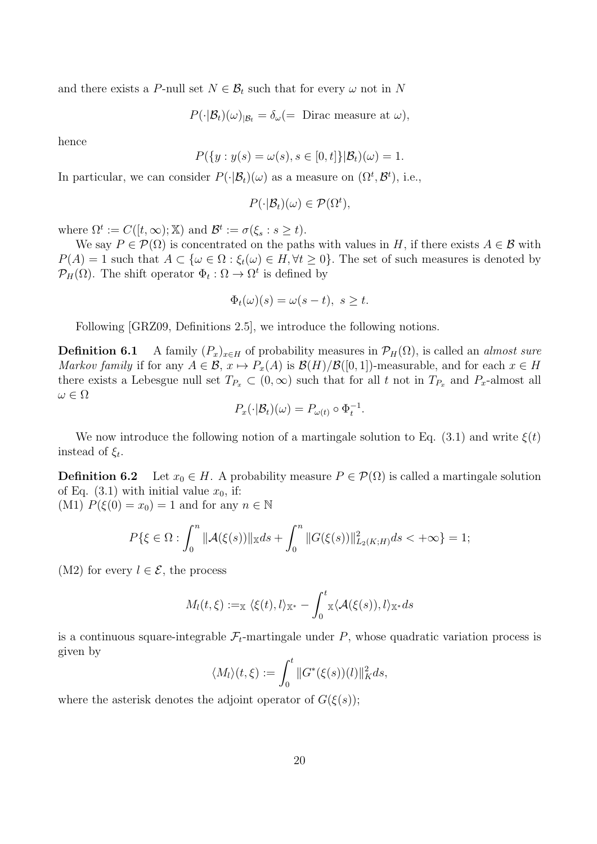and there exists a P-null set  $N \in \mathcal{B}_t$  such that for every  $\omega$  not in N

$$
P(\cdot|\mathcal{B}_t)(\omega)_{|\mathcal{B}_t} = \delta_\omega (= \text{ Dirac measure at } \omega),
$$

hence

$$
P({y : y(s) = \omega(s), s \in [0, t]} | \mathcal{B}_t)(\omega) = 1.
$$

In particular, we can consider  $P(\cdot|\mathcal{B}_t)(\omega)$  as a measure on  $(\Omega^t, \mathcal{B}^t)$ , i.e.,

$$
P(\cdot|\mathcal{B}_t)(\omega) \in \mathcal{P}(\Omega^t),
$$

where  $\Omega^t := C([t, \infty); \mathbb{X})$  and  $\mathcal{B}^t := \sigma(\xi_s : s \ge t)$ .

We say  $P \in \mathcal{P}(\Omega)$  is concentrated on the paths with values in H, if there exists  $A \in \mathcal{B}$  with  $P(A) = 1$  such that  $A \subset \{\omega \in \Omega : \xi_t(\omega) \in H, \forall t \geq 0\}$ . The set of such measures is denoted by  $\mathcal{P}_H(\Omega)$ . The shift operator  $\Phi_t : \Omega \to \Omega^t$  is defined by

$$
\Phi_t(\omega)(s) = \omega(s - t), \ s \ge t.
$$

Following [GRZ09, Definitions 2.5], we introduce the following notions.

**Definition 6.1** A family  $(P_x)_{x \in H}$  of probability measures in  $\mathcal{P}_H(\Omega)$ , is called an *almost sure Markov family* if for any  $A \in \mathcal{B}$ ,  $x \mapsto P_x(A)$  is  $\mathcal{B}(H)/\mathcal{B}([0,1])$ -measurable, and for each  $x \in H$ there exists a Lebesgue null set  $T_{P_x} \subset (0,\infty)$  such that for all t not in  $T_{P_x}$  and  $P_x$ -almost all  $\omega \in \Omega$ 

$$
P_x(\cdot|\mathcal{B}_t)(\omega) = P_{\omega(t)} \circ \Phi_t^{-1}.
$$

We now introduce the following notion of a martingale solution to Eq. (3.1) and write  $\xi(t)$ instead of  $\xi_t$ .

**Definition 6.2** Let  $x_0 \in H$ . A probability measure  $P \in \mathcal{P}(\Omega)$  is called a martingale solution of Eq.  $(3.1)$  with initial value  $x_0$ , if:

(M1)  $P(\xi(0) = x_0) = 1$  and for any  $n \in \mathbb{N}$ 

$$
P\{\xi \in \Omega : \int_0^n \|\mathcal{A}(\xi(s))\|_{\mathbb{X}} ds + \int_0^n \|G(\xi(s))\|_{L_2(K;H)}^2 ds < +\infty\} = 1;
$$

(M2) for every  $l \in \mathcal{E}$ , the process

$$
M_l(t,\xi) := \mathbf{x} \langle \xi(t), l \rangle_{\mathbb{X}^*} - \int_0^t \mathbf{x} \langle \mathcal{A}(\xi(s)), l \rangle_{\mathbb{X}^*} ds
$$

is a continuous square-integrable  $\mathcal{F}_t$ -martingale under P, whose quadratic variation process is given by

$$
\langle M_l \rangle (t,\xi) := \int_0^t \|G^*(\xi(s))(l)\|_K^2 ds,
$$

where the asterisk denotes the adjoint operator of  $G(\xi(s))$ ;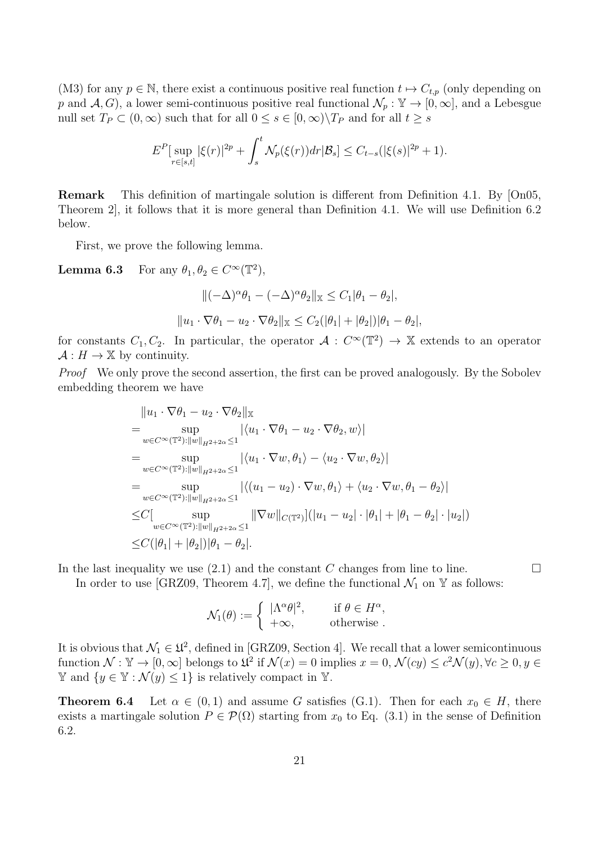(M3) for any  $p \in \mathbb{N}$ , there exist a continuous positive real function  $t \mapsto C_{t,p}$  (only depending on p and  $A, G$ , a lower semi-continuous positive real functional  $\mathcal{N}_p : \mathbb{Y} \to [0, \infty]$ , and a Lebesgue null set  $T_P \subset (0, \infty)$  such that for all  $0 \le s \in [0, \infty) \setminus T_P$  and for all  $t \ge s$ 

$$
E^{P}[\sup_{r \in [s,t]} |\xi(r)|^{2p} + \int_{s}^{t} \mathcal{N}_{p}(\xi(r)) dr |\mathcal{B}_{s}] \leq C_{t-s}(|\xi(s)|^{2p} + 1).
$$

**Remark** This definition of martingale solution is different from Definition 4.1. By [On05, Theorem 2], it follows that it is more general than Definition 4.1. We will use Definition 6.2 below.

First, we prove the following lemma.

**Lemma 6.3** For any  $\theta_1, \theta_2 \in C^{\infty}(\mathbb{T}^2)$ ,

$$
\|(-\Delta)^{\alpha}\theta_1 - (-\Delta)^{\alpha}\theta_2\|_{\mathbb{X}} \le C_1|\theta_1 - \theta_2|,
$$
  

$$
\|u_1 \cdot \nabla \theta_1 - u_2 \cdot \nabla \theta_2\|_{\mathbb{X}} \le C_2(|\theta_1| + |\theta_2|)|\theta_1 - \theta_2|,
$$

for constants  $C_1, C_2$ . In particular, the operator  $\mathcal{A}: C^{\infty}(\mathbb{T}^2) \to \mathbb{X}$  extends to an operator  $\mathcal{A}: H \to \mathbb{X}$  by continuity.

*Proof* We only prove the second assertion, the first can be proved analogously. By the Sobolev embedding theorem we have

$$
\|u_1 \cdot \nabla \theta_1 - u_2 \cdot \nabla \theta_2\|_{\mathbb{X}}
$$
\n
$$
= \sup_{w \in C^{\infty}(\mathbb{T}^2): \|w\|_{H^{2+2\alpha}} \le 1} |\langle u_1 \cdot \nabla \theta_1 - u_2 \cdot \nabla \theta_2, w \rangle|
$$
\n
$$
= \sup_{w \in C^{\infty}(\mathbb{T}^2): \|w\|_{H^{2+2\alpha}} \le 1} |\langle u_1 \cdot \nabla w, \theta_1 \rangle - \langle u_2 \cdot \nabla w, \theta_2 \rangle|
$$
\n
$$
= \sup_{w \in C^{\infty}(\mathbb{T}^2): \|w\|_{H^{2+2\alpha}} \le 1} |\langle (u_1 - u_2) \cdot \nabla w, \theta_1 \rangle + \langle u_2 \cdot \nabla w, \theta_1 - \theta_2 \rangle|
$$
\n
$$
\le C \Big[ \sup_{w \in C^{\infty}(\mathbb{T}^2): \|w\|_{H^{2+2\alpha}} \le 1} \| \nabla w \|_{C(\mathbb{T}^2)} |(|u_1 - u_2| \cdot |\theta_1| + |\theta_1 - \theta_2| \cdot |u_2|)
$$
\n
$$
\le C (|\theta_1| + |\theta_2|) |\theta_1 - \theta_2|.
$$

In the last inequality we use  $(2.1)$  and the constant C changes from line to line.  $\Box$ 

In order to use [GRZ09, Theorem 4.7], we define the functional  $\mathcal{N}_1$  on  $\mathbb{Y}$  as follows:

$$
\mathcal{N}_1(\theta) := \begin{cases} |\Lambda^{\alpha} \theta|^2, & \text{if } \theta \in H^{\alpha}, \\ +\infty, & \text{otherwise}. \end{cases}
$$

It is obvious that  $\mathcal{N}_1 \in \mathfrak{U}^2$ , defined in [GRZ09, Section 4]. We recall that a lower semicontinuous  $\mathcal{L}$  function  $\mathcal{N}: \mathbb{Y} \to [0, \infty]$  belongs to  $\mathfrak{U}^2$  if  $\mathcal{N}(x) = 0$  implies  $x = 0, \mathcal{N}(cy) \leq c^2 \mathcal{N}(y), \forall c \geq 0, y \in \mathcal{N}(y)$  $\mathbb{Y}$  and  $\{y \in \mathbb{Y} : \mathcal{N}(y) \leq 1\}$  is relatively compact in  $\mathbb{Y}$ .

**Theorem 6.4** Let  $\alpha \in (0,1)$  and assume G satisfies (G.1). Then for each  $x_0 \in H$ , there exists a martingale solution  $P \in \mathcal{P}(\Omega)$  starting from  $x_0$  to Eq. (3.1) in the sense of Definition 6.2.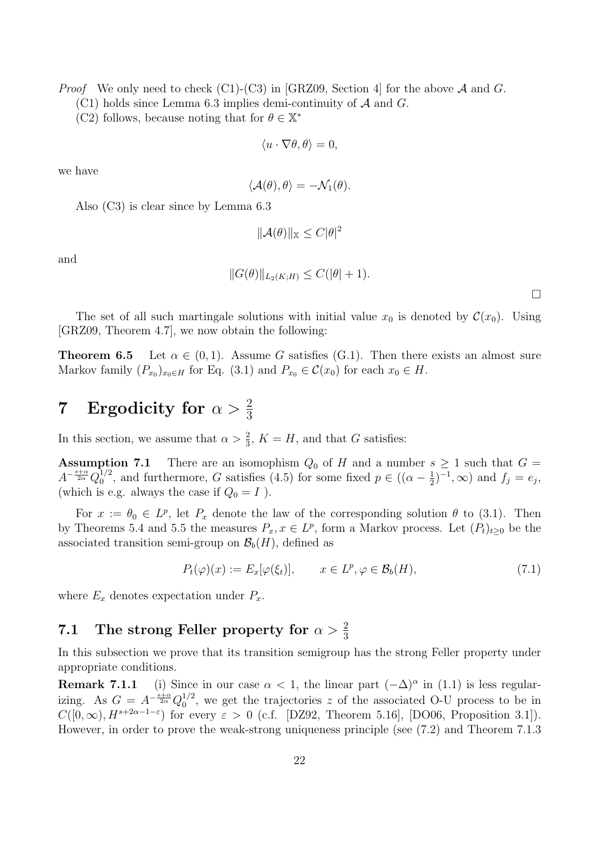*Proof* We only need to check  $(C1)$ - $(C3)$  in [GRZ09, Section 4] for the above A and G.

(C1) holds since Lemma 6.3 implies demi-continuity of  $A$  and  $G$ .

(C2) follows, because noting that for  $\theta \in \mathbb{X}^*$ 

$$
\langle u \cdot \nabla \theta, \theta \rangle = 0,
$$

we have

$$
\langle \mathcal{A}(\theta), \theta \rangle = -\mathcal{N}_1(\theta).
$$

Also (C3) is clear since by Lemma 6.3

$$
\|\mathcal{A}(\theta)\|_{\mathbb{X}} \leq C|\theta|^2
$$

and

$$
||G(\theta)||_{L_2(K;H)} \leq C(|\theta|+1).
$$

□

The set of all such martingale solutions with initial value  $x_0$  is denoted by  $\mathcal{C}(x_0)$ . Using [GRZ09, Theorem 4.7], we now obtain the following:

**Theorem 6.5** Let  $\alpha \in (0,1)$ . Assume G satisfies (G.1). Then there exists an almost sure Markov family  $(P_{x_0})_{x_0 \in H}$  for Eq. (3.1) and  $P_{x_0} \in C(x_0)$  for each  $x_0 \in H$ .

# **7** Ergodicity for  $\alpha > \frac{2}{3}$

In this section, we assume that  $\alpha > \frac{2}{3}$ ,  $K = H$ , and that G satisfies:

**Assumption 7.1** There are an isomophism  $Q_0$  of  $H$  and a number  $s \ge 1$  such that  $G =$  $A^{-\frac{s+\alpha}{2\alpha}}Q_0^{1/2}$  $_{0}^{1/2}$ , and furthermore, *G* satisfies (4.5) for some fixed  $p \in ((\alpha - \frac{1}{2})$  $(\frac{1}{2})^{-1}, \infty)$  and  $f_j = e_j$ , (which is e.g. always the case if  $Q_0 = I$ ).

For  $x := \theta_0 \in L^p$ , let  $P_x$  denote the law of the corresponding solution  $\theta$  to (3.1). Then by Theorems 5.4 and 5.5 the measures  $P_x, x \in L^p$ , form a Markov process. Let  $(P_t)_{t\geq0}$  be the associated transition semi-group on  $\mathcal{B}_{h}(H)$ , defined as

$$
P_t(\varphi)(x) := E_x[\varphi(\xi_t)], \qquad x \in L^p, \varphi \in \mathcal{B}_b(H), \tag{7.1}
$$

where  $E_x$  denotes expectation under  $P_x$ .

## $7.1$  The strong Feller property for  $\alpha > \frac{2}{3}$

In this subsection we prove that its transition semigroup has the strong Feller property under appropriate conditions.

**Remark 7.1.1** (i) Since in our case  $\alpha < 1$ , the linear part  $(-\Delta)^{\alpha}$  in (1.1) is less regularizing. As  $G = A^{-\frac{s+\alpha}{2\alpha}} Q_0^{1/2}$  $_{0}^{1/2}$ , we get the trajectories z of the associated O-U process to be in  $C([0,\infty), H^{s+2\alpha-1-\varepsilon})$  for every  $\varepsilon > 0$  (c.f. [DZ92, Theorem 5.16], [DO06, Proposition 3.1]). However, in order to prove the weak-strong uniqueness principle (see (7.2) and Theorem 7.1.3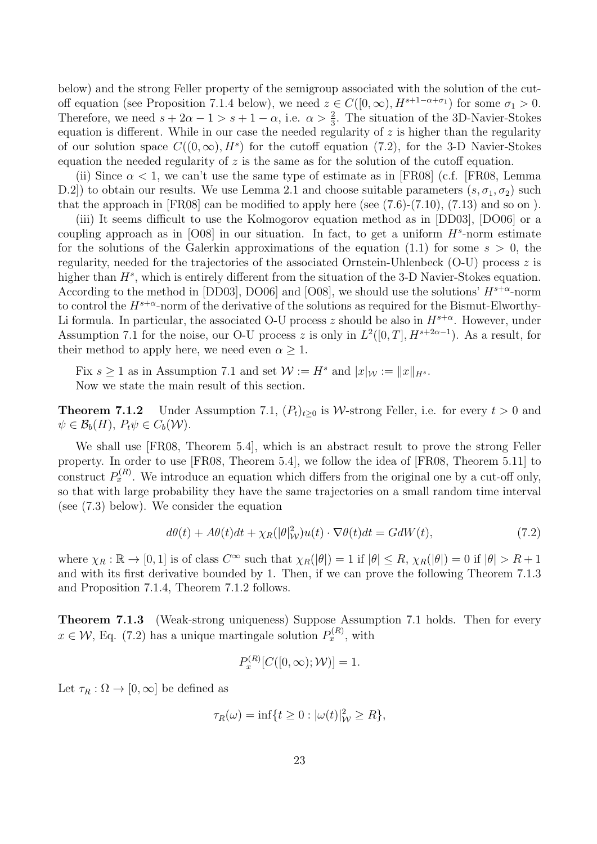below) and the strong Feller property of the semigroup associated with the solution of the cutoff equation (see Proposition 7.1.4 below), we need  $z \in C([0,\infty), H^{s+1-\alpha+\sigma_1})$  for some  $\sigma_1 > 0$ . Therefore, we need  $s + 2\alpha - 1 > s + 1 - \alpha$ , i.e.  $\alpha > \frac{2}{3}$ . The situation of the 3D-Navier-Stokes equation is different. While in our case the needed regularity of  $z$  is higher than the regularity of our solution space  $C((0,\infty), H^s)$  for the cutoff equation (7.2), for the 3-D Navier-Stokes equation the needed regularity of  $z$  is the same as for the solution of the cutoff equation.

(ii) Since  $\alpha$  < 1, we can't use the same type of estimate as in [FR08] (c.f. [FR08, Lemma D.2]) to obtain our results. We use Lemma 2.1 and choose suitable parameters  $(s, \sigma_1, \sigma_2)$  such that the approach in  $[FR08]$  can be modified to apply here (see  $(7.6)-(7.10)$ ,  $(7.13)$ ) and so on ).

(iii) It seems difficult to use the Kolmogorov equation method as in [DD03], [DO06] or a coupling approach as in [O08] in our situation. In fact, to get a uniform  $H^s$ -norm estimate for the solutions of the Galerkin approximations of the equation  $(1.1)$  for some  $s > 0$ , the regularity, needed for the trajectories of the associated Ornstein-Uhlenbeck  $(O-U)$  process z is higher than  $H^s$ , which is entirely different from the situation of the 3-D Navier-Stokes equation. According to the method in [DD03], DO06] and [O08], we should use the solutions'  $H^{s+\alpha}$ -norm to control the  $H^{s+\alpha}$ -norm of the derivative of the solutions as required for the Bismut-Elworthy-Li formula. In particular, the associated O-U process  $z$  should be also in  $H^{s+\alpha}$ . However, under Assumption 7.1 for the noise, our O-U process z is only in  $L^2([0,T], H^{s+2\alpha-1})$ . As a result, for their method to apply here, we need even  $\alpha \geq 1$ .

Fix  $s \geq 1$  as in Assumption 7.1 and set  $W := H^s$  and  $|x|_W := ||x||_{H^s}$ . Now we state the main result of this section.

**Theorem 7.1.2** Under Assumption 7.1,  $(P_t)_{t>0}$  is W-strong Feller, i.e. for every  $t>0$  and  $\psi \in \mathcal{B}_b(H)$ ,  $P_t \psi \in C_b(\mathcal{W})$ .

We shall use [FR08, Theorem 5.4], which is an abstract result to prove the strong Feller property. In order to use [FR08, Theorem 5.4], we follow the idea of [FR08, Theorem 5.11] to construct  $P_x^{(R)}$ . We introduce an equation which differs from the original one by a cut-off only, so that with large probability they have the same trajectories on a small random time interval (see (7.3) below). We consider the equation

$$
d\theta(t) + A\theta(t)dt + \chi_R(\theta|\mathcal{V}_W^2)u(t) \cdot \nabla\theta(t)dt = GdW(t),\tag{7.2}
$$

where  $\chi_R : \mathbb{R} \to [0,1]$  is of class  $C^\infty$  such that  $\chi_R(|\theta|) = 1$  if  $|\theta| \le R$ ,  $\chi_R(|\theta|) = 0$  if  $|\theta| > R + 1$ and with its first derivative bounded by 1. Then, if we can prove the following Theorem 7.1.3 and Proposition 7.1.4, Theorem 7.1.2 follows.

**Theorem 7.1.3** (Weak-strong uniqueness) Suppose Assumption 7.1 holds. Then for every  $x \in \mathcal{W}$ , Eq. (7.2) has a unique martingale solution  $P_x^{(R)}$ , with

$$
P_x^{(R)}[C([0,\infty);\mathcal{W})] = 1.
$$

Let  $\tau_R : \Omega \to [0, \infty]$  be defined as

$$
\tau_R(\omega) = \inf\{t \ge 0 : |\omega(t)|_{\mathcal{W}}^2 \ge R\},\
$$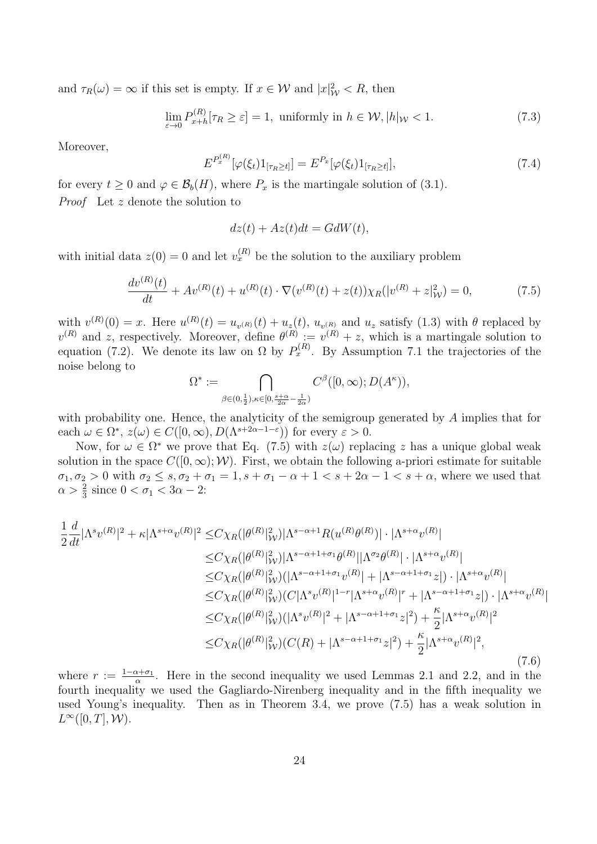and  $\tau_R(\omega) = \infty$  if this set is empty. If  $x \in \mathcal{W}$  and  $|x|_{\mathcal{W}}^2 < R$ , then

$$
\lim_{\varepsilon \to 0} P_{x+h}^{(R)}[\tau_R \ge \varepsilon] = 1, \text{ uniformly in } h \in \mathcal{W}, |h|_{\mathcal{W}} < 1. \tag{7.3}
$$

Moreover,

$$
E^{P_x^{(R)}}[\varphi(\xi_t)1_{[\tau_R \ge t]}] = E^{P_x}[\varphi(\xi_t)1_{[\tau_R \ge t]}],
$$
\n(7.4)

for every  $t \geq 0$  and  $\varphi \in \mathcal{B}_b(H)$ , where  $P_x$  is the martingale solution of (3.1). *Proof* Let z denote the solution to

$$
dz(t) + Az(t)dt = GdW(t),
$$

with initial data  $z(0) = 0$  and let  $v_x^{(R)}$  be the solution to the auxiliary problem

$$
\frac{dv^{(R)}(t)}{dt} + Av^{(R)}(t) + u^{(R)}(t) \cdot \nabla (v^{(R)}(t) + z(t)) \chi_R(|v^{(R)} + z|_{\mathcal{W}}^2) = 0,\tag{7.5}
$$

with  $v^{(R)}(0) = x$ . Here  $u^{(R)}(t) = u_{v^{(R)}}(t) + u_z(t)$ ,  $u_{v^{(R)}}$  and  $u_z$  satisfy (1.3) with  $\theta$  replaced by  $v^{(R)}$  and z, respectively. Moreover, define  $\theta^{(R)} := v^{(R)} + z$ , which is a martingale solution to equation (7.2). We denote its law on  $\Omega$  by  $P_x^{(R)}$ . By Assumption 7.1 the trajectories of the noise belong to

$$
\Omega^* := \bigcap_{\beta \in (0,\frac{1}{2}), \kappa \in [0,\frac{s+\alpha}{2\alpha}-\frac{1}{2\alpha})} C^{\beta}([0,\infty);D(A^{\kappa})),
$$

with probability one. Hence, the analyticity of the semigroup generated by  $A$  implies that for each  $\omega \in \Omega^*, z(\omega) \in C([0,\infty), D(\Lambda^{s+2\alpha-1-\varepsilon}))$  for every  $\varepsilon > 0$ .

Now, for  $\omega \in \Omega^*$  we prove that Eq. (7.5) with  $z(\omega)$  replacing z has a unique global weak solution in the space  $C([0,\infty);\mathcal{W})$ . First, we obtain the following a-priori estimate for suitable  $\sigma_1, \sigma_2 > 0$  with  $\sigma_2 \leq s, \sigma_2 + \sigma_1 = 1, s + \sigma_1 - \alpha + 1 < s + 2\alpha - 1 < s + \alpha$ , where we used that  $\alpha > \frac{2}{3}$  since  $0 < \sigma_1 < 3\alpha - 2$ :

$$
\frac{1}{2} \frac{d}{dt} |\Lambda^s v^{(R)}|^2 + \kappa |\Lambda^{s+\alpha} v^{(R)}|^2 \leq C \chi_R(|\theta^{(R)}|_{\mathcal{W}}^2) |\Lambda^{s-\alpha+1} R(u^{(R)} \theta^{(R)})| \cdot |\Lambda^{s+\alpha} v^{(R)}| \n\leq C \chi_R(|\theta^{(R)}|_{\mathcal{W}}^2) |\Lambda^{s-\alpha+1+\sigma_1} \theta^{(R)}| |\Lambda^{\sigma_2} \theta^{(R)}| \cdot |\Lambda^{s+\alpha} v^{(R)}| \n\leq C \chi_R(|\theta^{(R)}|_{\mathcal{W}}^2) (|\Lambda^{s-\alpha+1+\sigma_1} v^{(R)}| + |\Lambda^{s-\alpha+1+\sigma_1} z|) \cdot |\Lambda^{s+\alpha} v^{(R)}| \n\leq C \chi_R(|\theta^{(R)}|_{\mathcal{W}}^2) (C |\Lambda^s v^{(R)}|^{1-r} |\Lambda^{s+\alpha} v^{(R)}|^{r} + |\Lambda^{s-\alpha+1+\sigma_1} z|) \cdot |\Lambda^{s+\alpha} v^{(R)}| \n\leq C \chi_R(|\theta^{(R)}|_{\mathcal{W}}^2) (|\Lambda^s v^{(R)}|^2 + |\Lambda^{s-\alpha+1+\sigma_1} z|^2) + \frac{\kappa}{2} |\Lambda^{s+\alpha} v^{(R)}|^2 \n\leq C \chi_R(|\theta^{(R)}|_{\mathcal{W}}^2) (C(R) + |\Lambda^{s-\alpha+1+\sigma_1} z|^2) + \frac{\kappa}{2} |\Lambda^{s+\alpha} v^{(R)}|^2,
$$
\n(7.6)

where  $r := \frac{1-\alpha+\sigma_1}{\alpha}$ . Here in the second inequality we used Lemmas 2.1 and 2.2, and in the fourth inequality we used the Gagliardo-Nirenberg inequality and in the fifth inequality we used Young's inequality. Then as in Theorem 3.4, we prove (7.5) has a weak solution in  $L^{\infty}([0,T],\mathcal{W}).$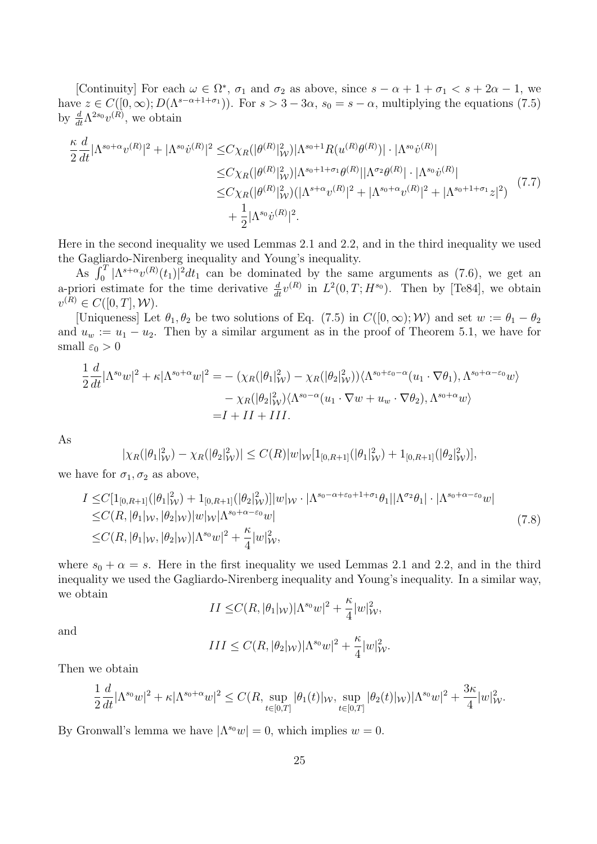[Continuity] For each  $\omega \in \Omega^*$ ,  $\sigma_1$  and  $\sigma_2$  as above, since  $s - \alpha + 1 + \sigma_1 < s + 2\alpha - 1$ , we have  $z \in C([0,\infty); D(\Lambda^{s-\alpha+1+\sigma_1}))$ . For  $s > 3-3\alpha$ ,  $s_0 = s-\alpha$ , multiplying the equations (7.5) by  $\frac{d}{dt} \Lambda^{2s_0} v^{(R)}$ , we obtain

$$
\frac{\kappa}{2} \frac{d}{dt} |\Lambda^{s_0 + \alpha} v^{(R)}|^2 + |\Lambda^{s_0} \dot{v}^{(R)}|^2 \leq C \chi_R(|\theta^{(R)}|_{\mathcal{W}}^2) |\Lambda^{s_0 + 1} R(u^{(R)} \theta^{(R)})| \cdot |\Lambda^{s_0} \dot{v}^{(R)}| \n\leq C \chi_R(|\theta^{(R)}|_{\mathcal{W}}^2) |\Lambda^{s_0 + 1 + \sigma_1} \theta^{(R)}| |\Lambda^{\sigma_2} \theta^{(R)}| \cdot |\Lambda^{s_0} \dot{v}^{(R)}| \n\leq C \chi_R(|\theta^{(R)}|_{\mathcal{W}}^2) (|\Lambda^{s + \alpha} v^{(R)}|^2 + |\Lambda^{s_0 + \alpha} v^{(R)}|^2 + |\Lambda^{s_0 + 1 + \sigma_1} z|^2) \n+ \frac{1}{2} |\Lambda^{s_0} \dot{v}^{(R)}|^2.
$$
\n(7.7)

Here in the second inequality we used Lemmas 2.1 and 2.2, and in the third inequality we used the Gagliardo-Nirenberg inequality and Young's inequality.

As  $\int_0^T |\Lambda^{s+\alpha} v^{(R)}(t_1)|^2 dt_1$  can be dominated by the same arguments as (7.6), we get an a-priori estimate for the time derivative  $\frac{d}{dt}v^{(R)}$  in  $L^2(0,T;H^{s_0})$ . Then by [Te84], we obtain  $v^{(R)} \in C([0, T], \mathcal{W}).$ 

[Uniqueness] Let  $\theta_1, \theta_2$  be two solutions of Eq. (7.5) in  $C([0, \infty); \mathcal{W})$  and set  $w := \theta_1 - \theta_2$ and  $u_w := u_1 - u_2$ . Then by a similar argument as in the proof of Theorem 5.1, we have for small  $\varepsilon_0 > 0$ 

$$
\frac{1}{2}\frac{d}{dt}|\Lambda^{s_0}w|^2 + \kappa|\Lambda^{s_0+\alpha}w|^2 = -(\chi_R(|\theta_1|_W^2) - \chi_R(|\theta_2|_W^2))\langle\Lambda^{s_0+\varepsilon_0-\alpha}(u_1\cdot\nabla\theta_1),\Lambda^{s_0+\alpha-\varepsilon_0}w\rangle
$$

$$
- \chi_R(|\theta_2|_W^2)\langle\Lambda^{s_0-\alpha}(u_1\cdot\nabla w + u_w\cdot\nabla\theta_2),\Lambda^{s_0+\alpha}w\rangle
$$

$$
= I + II + III.
$$

As

$$
|\chi_R(|\theta_1|_{\mathcal{W}}^2) - \chi_R(|\theta_2|_{\mathcal{W}}^2)| \le C(R)|w|_{\mathcal{W}}[1_{[0,R+1]}(|\theta_1|_{\mathcal{W}}^2) + 1_{[0,R+1]}(|\theta_2|_{\mathcal{W}}^2)],
$$

we have for  $\sigma_1, \sigma_2$  as above,

$$
I \leq C[1_{[0,R+1]}(|\theta_1|_W^2) + 1_{[0,R+1]}(|\theta_2|_W^2)]|w|_W \cdot |\Lambda^{s_0 - \alpha + \varepsilon_0 + 1 + \sigma_1} \theta_1||\Lambda^{\sigma_2} \theta_1| \cdot |\Lambda^{s_0 + \alpha - \varepsilon_0} w|
$$
  
\n
$$
\leq C(R, |\theta_1|_W, |\theta_2|_W)|w|_W|\Lambda^{s_0 + \alpha - \varepsilon_0} w|
$$
  
\n
$$
\leq C(R, |\theta_1|_W, |\theta_2|_W)|\Lambda^{s_0} w|^2 + \frac{\kappa}{4}|w|_W^2,
$$
\n(7.8)

where  $s_0 + \alpha = s$ . Here in the first inequality we used Lemmas 2.1 and 2.2, and in the third inequality we used the Gagliardo-Nirenberg inequality and Young's inequality. In a similar way, we obtain

$$
II\leq\!\!C(R,|\theta_1|_{\mathcal{W}})|\Lambda^{s_0}w|^2+\frac{\kappa}{4}|w|^2_{\mathcal{W}},
$$

and

$$
III \le C(R, |\theta_2|_{\mathcal{W}}) |\Lambda^{s_0} w|^2 + \frac{\kappa}{4} |w|_{\mathcal{W}}^2.
$$

Then we obtain

$$
\frac{1}{2}\frac{d}{dt}|\Lambda^{s_0}w|^2+\kappa|\Lambda^{s_0+\alpha}w|^2\leq C(R,\sup_{t\in[0,T]}|\theta_1(t)|_{\mathcal{W}},\sup_{t\in[0,T]}|\theta_2(t)|_{\mathcal{W}})|\Lambda^{s_0}w|^2+\frac{3\kappa}{4}|w|_{\mathcal{W}}^2.
$$

By Gronwall's lemma we have  $|\Lambda^{s_0} w| = 0$ , which implies  $w = 0$ .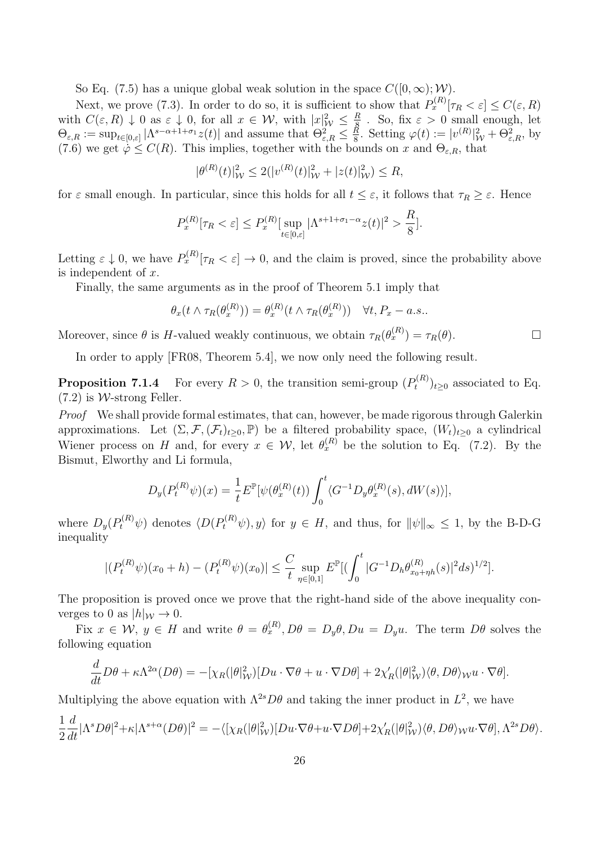So Eq. (7.5) has a unique global weak solution in the space  $C([0,\infty);\mathcal{W})$ .

Next, we prove (7.3). In order to do so, it is sufficient to show that  $P_x^{(R)}[\tau_R < \varepsilon] \leq C(\varepsilon, R)$ with  $C(\varepsilon, R) \downarrow 0$  as  $\varepsilon \downarrow 0$ , for all  $x \in \mathcal{W}$ , with  $|x|_{\mathcal{W}}^2 \leq \frac{R}{8}$  $\frac{R}{8}$ . So, fix  $\varepsilon > 0$  small enough, let  $\Theta_{\varepsilon,R} := \sup_{t \in [0,\varepsilon]} |A^{s-\alpha+1+\sigma_1}z(t)|$  and assume that  $\Theta_{\varepsilon,R}^2 \leq \frac{R}{8}$  $\frac{R}{8}$ . Setting  $\varphi(t) := |v^{(R)}|_{\mathcal{W}}^2 + \Theta_{\varepsilon,R}^2$ , by (7.6) we get  $\varphi \leq C(R)$ . This implies, together with the bounds on x and  $\Theta_{\varepsilon,R}$ , that

$$
|\theta^{(R)}(t)|_{\mathcal{W}}^2 \le 2(|v^{(R)}(t)|_{\mathcal{W}}^2 + |z(t)|_{\mathcal{W}}^2) \le R,
$$

for  $\varepsilon$  small enough. In particular, since this holds for all  $t \leq \varepsilon$ , it follows that  $\tau_R \geq \varepsilon$ . Hence

$$
P_x^{(R)}[\tau_R < \varepsilon] \le P_x^{(R)}[\sup_{t \in [0,\varepsilon]} |\Lambda^{s+1+\sigma_1-\alpha} z(t)|^2 > \frac{R}{8}].
$$

Letting  $\varepsilon \downarrow 0$ , we have  $P_x^{(R)}[\tau_R < \varepsilon] \to 0$ , and the claim is proved, since the probability above is independent of  $x$ .

Finally, the same arguments as in the proof of Theorem 5.1 imply that

$$
\theta_x(t \wedge \tau_R(\theta_x^{(R)})) = \theta_x^{(R)}(t \wedge \tau_R(\theta_x^{(R)})) \quad \forall t, P_x - a.s..
$$

Moreover, since  $\theta$  is H-valued weakly continuous, we obtain  $\tau_R(\theta_x^{(R)}) = \tau_R(\theta)$ .

In order to apply [FR08, Theorem 5.4], we now only need the following result.

**Proposition 7.1.4** For every  $R > 0$ , the transition semi-group  $(P_t^{(R)})$  $P_t^{(R)}$ <sub> $t \geq 0$ </sub> associated to Eq.  $(7.2)$  is *W*-strong Feller.

*Proof* We shall provide formal estimates, that can, however, be made rigorous through Galerkin approximations. Let  $(\Sigma, \mathcal{F}, (\mathcal{F}_t)_{t\geq 0}, \mathbb{P})$  be a filtered probability space,  $(W_t)_{t\geq 0}$  a cylindrical Wiener process on H and, for every  $x \in \mathcal{W}$ , let  $\theta_x^{(R)}$  be the solution to Eq. (7.2). By the Bismut, Elworthy and Li formula,

$$
D_y(P_t^{(R)}\psi)(x) = \frac{1}{t}E^{\mathbb{P}}[\psi(\theta_x^{(R)}(t))\int_0^t \langle G^{-1}D_y\theta_x^{(R)}(s), dW(s)\rangle],
$$

where  $D_y(P_t^{(R)}\psi)$  denotes  $\langle D(P_t^{(R)}\psi), y \rangle$  for  $y \in H$ , and thus, for  $\|\psi\|_{\infty} \leq 1$ , by the B-D-G inequality

$$
|(P_t^{(R)}\psi)(x_0+h)-(P_t^{(R)}\psi)(x_0)|\leq \frac{C}{t}\sup_{\eta\in[0,1]}E^{\mathbb{P}}[(\int_0^t|G^{-1}D_h\theta_{x_0+\eta h}^{(R)}(s)|^2ds)^{1/2}].
$$

The proposition is proved once we prove that the right-hand side of the above inequality converges to 0 as  $|h|_W \to 0$ .

Fix  $x \in \mathcal{W}, y \in H$  and write  $\theta = \theta_x^{(R)}, D\theta = D_y\theta, Du = D_yu$ . The term  $D\theta$  solves the following equation

$$
\frac{d}{dt}D\theta + \kappa \Lambda^{2\alpha}(D\theta) = -[\chi_R(|\theta|_{\mathcal{W}}^2)[Du\cdot \nabla \theta + u\cdot \nabla D\theta] + 2\chi_R'(|\theta|_{\mathcal{W}}^2)\langle \theta, D\theta \rangle_{\mathcal{W}} u\cdot \nabla \theta].
$$

Multiplying the above equation with  $\Lambda^{2s}D\theta$  and taking the inner product in  $L^2$ , we have

$$
\frac{1}{2}\frac{d}{dt}|\Lambda^s D\theta|^2 + \kappa|\Lambda^{s+\alpha}(D\theta)|^2 = -\langle [\chi_R(|\theta|_W^2)[Du\cdot\nabla\theta + u\cdot\nabla D\theta] + 2\chi_R'(|\theta|_W^2)\langle\theta, D\theta\rangle_W u\cdot\nabla\theta], \Lambda^{2s} D\theta\rangle.
$$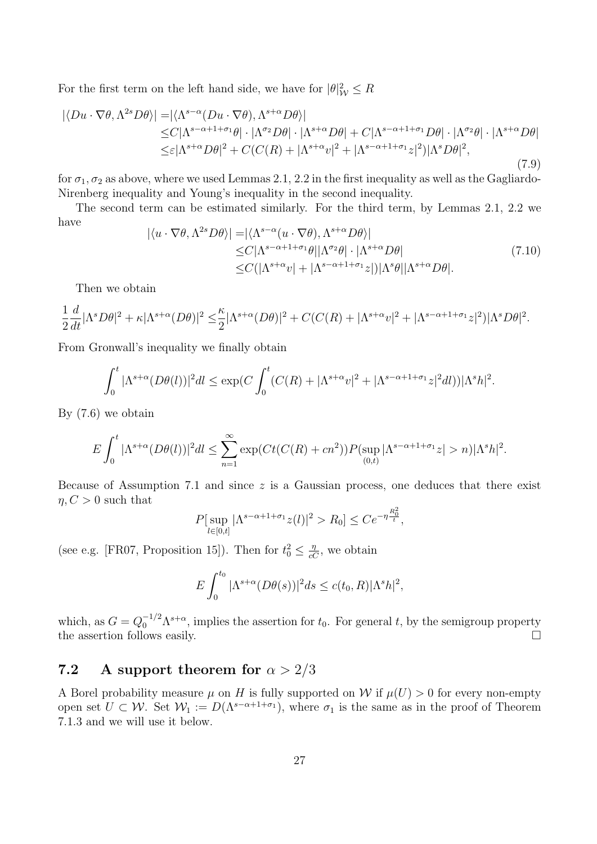For the first term on the left hand side, we have for  $|\theta|_W^2 \leq R$ 

$$
|\langle Du \cdot \nabla \theta, \Lambda^{2s} D\theta \rangle| = |\langle \Lambda^{s-\alpha} (Du \cdot \nabla \theta), \Lambda^{s+\alpha} D\theta \rangle|
$$
  
\n
$$
\leq C|\Lambda^{s-\alpha+1+\sigma_1}\theta| \cdot |\Lambda^{\sigma_2} D\theta| \cdot |\Lambda^{s+\alpha} D\theta| + C|\Lambda^{s-\alpha+1+\sigma_1} D\theta| \cdot |\Lambda^{\sigma_2}\theta| \cdot |\Lambda^{s+\alpha} D\theta|
$$
  
\n
$$
\leq \varepsilon |\Lambda^{s+\alpha} D\theta|^2 + C(C(R) + |\Lambda^{s+\alpha} v|^2 + |\Lambda^{s-\alpha+1+\sigma_1} z|^2)|\Lambda^s D\theta|^2,
$$
\n(7.9)

for  $\sigma_1, \sigma_2$  as above, where we used Lemmas 2.1, 2.2 in the first inequality as well as the Gagliardo-Nirenberg inequality and Young's inequality in the second inequality.

The second term can be estimated similarly. For the third term, by Lemmas 2.1, 2.2 we have

$$
|\langle u \cdot \nabla \theta, \Lambda^{2s} D\theta \rangle| = |\langle \Lambda^{s-\alpha}(u \cdot \nabla \theta), \Lambda^{s+\alpha} D\theta \rangle|
$$
  
\n
$$
\leq C|\Lambda^{s-\alpha+1+\sigma_1}\theta| |\Lambda^{\sigma_2}\theta| \cdot |\Lambda^{s+\alpha} D\theta|
$$
  
\n
$$
\leq C(|\Lambda^{s+\alpha}v| + |\Lambda^{s-\alpha+1+\sigma_1}z|)|\Lambda^s\theta| |\Lambda^{s+\alpha} D\theta|.
$$
\n(7.10)

Then we obtain

$$
\frac{1}{2}\frac{d}{dt}|\Lambda^s D\theta|^2 + \kappa|\Lambda^{s+\alpha}(D\theta)|^2 \leq \frac{\kappa}{2}|\Lambda^{s+\alpha}(D\theta)|^2 + C(C(R) + |\Lambda^{s+\alpha}v|^2 + |\Lambda^{s-\alpha+1+\sigma_1}z|^2)|\Lambda^s D\theta|^2.
$$

From Gronwall's inequality we finally obtain

$$
\int_0^t |\Lambda^{s+\alpha}(D\theta(l))|^2 dl \le \exp(C \int_0^t (C(R) + |\Lambda^{s+\alpha}v|^2 + |\Lambda^{s-\alpha+1+\sigma_1}z|^2 dl)) |\Lambda^s h|^2.
$$

By (7.6) we obtain

$$
E\int_0^t |\Lambda^{s+\alpha}(D\theta(l))|^2 dl \le \sum_{n=1}^\infty \exp(Ct(C(R)+cn^2))P(\sup_{(0,t)}|\Lambda^{s-\alpha+1+\sigma_1}z|>n)|\Lambda^s h|^2.
$$

Because of Assumption 7.1 and since  $z$  is a Gaussian process, one deduces that there exist  $\eta, C > 0$  such that  $-2$ 

$$
P[\sup_{l\in[0,t]}|\Lambda^{s-\alpha+1+\sigma_1}z(l)|^2>R_0]\le Ce^{-\eta\frac{R_0^{\kappa}}{t}},
$$

(see e.g. [FR07, Proposition 15]). Then for  $t_0^2 \leq \frac{\eta}{cC}$ , we obtain

$$
E\int_0^{t_0} |\Lambda^{s+\alpha}(D\theta(s))|^2 ds \le c(t_0, R) |\Lambda^s h|^2,
$$

which, as  $G = Q_0^{-1/2} \Lambda^{s+\alpha}$ , implies the assertion for  $t_0$ . For general t, by the semigroup property the assertion follows easily.  $\Box$ 

### **7.2** A support theorem for  $\alpha > 2/3$

A Borel probability measure  $\mu$  on  $H$  is fully supported on  $W$  if  $\mu(U) > 0$  for every non-empty open set  $U \subset W$ . Set  $W_1 := D(\Lambda^{s-\alpha+1+\sigma_1})$ , where  $\sigma_1$  is the same as in the proof of Theorem 7.1.3 and we will use it below.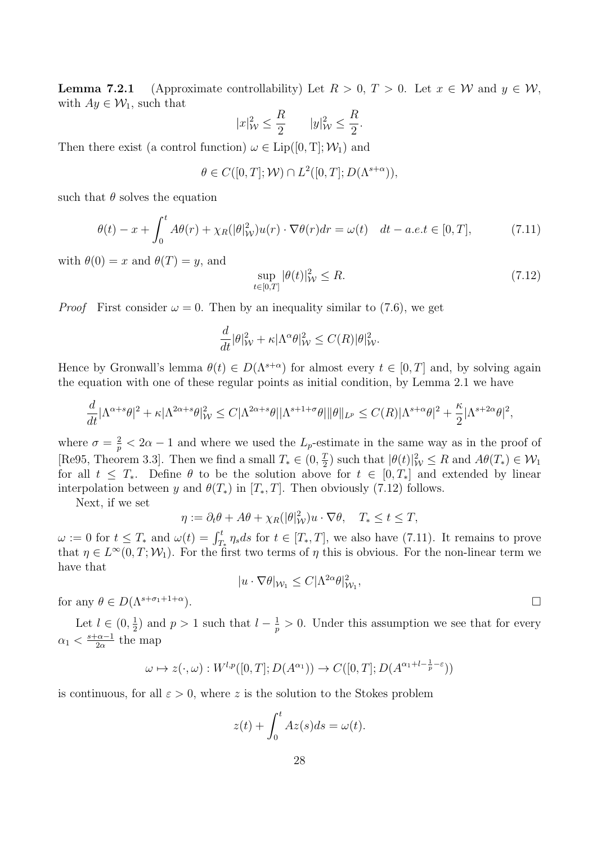**Lemma 7.2.1** (Approximate controllability) Let  $R > 0$ ,  $T > 0$ . Let  $x \in \mathcal{W}$  and  $y \in \mathcal{W}$ , with  $Ay \in \mathcal{W}_1$ , such that

$$
|x|_{\mathcal{W}}^2 \le \frac{R}{2} \qquad |y|_{\mathcal{W}}^2 \le \frac{R}{2}.
$$

Then there exist (a control function)  $\omega \in \text{Lip}([0, T]; \mathcal{W}_1)$  and

$$
\theta \in C([0,T];\mathcal{W}) \cap L^2([0,T];D(\Lambda^{s+\alpha})),
$$

such that  $\theta$  solves the equation

$$
\theta(t) - x + \int_0^t A\theta(r) + \chi_R(\theta|_{\mathcal{W}}^2)u(r) \cdot \nabla\theta(r)dr = \omega(t) \quad dt - a.e.t \in [0, T], \tag{7.11}
$$

with  $\theta(0) = x$  and  $\theta(T) = y$ , and

$$
\sup_{t \in [0,T]} |\theta(t)|_{\mathcal{W}}^2 \le R. \tag{7.12}
$$

*Proof* First consider  $\omega = 0$ . Then by an inequality similar to (7.6), we get

$$
\frac{d}{dt}|\theta|_{\mathcal{W}}^2 + \kappa |\Lambda^{\alpha}\theta|_{\mathcal{W}}^2 \le C(R)|\theta|_{\mathcal{W}}^2.
$$

Hence by Gronwall's lemma  $\theta(t) \in D(\Lambda^{s+\alpha})$  for almost every  $t \in [0,T]$  and, by solving again the equation with one of these regular points as initial condition, by Lemma 2.1 we have

$$
\frac{d}{dt}|\Lambda^{\alpha+s}\theta|^2+\kappa|\Lambda^{2\alpha+s}\theta|_{\mathcal{W}}^2\leq C|\Lambda^{2\alpha+s}\theta||\Lambda^{s+1+\sigma}\theta|\|\theta\|_{L^p}\leq C(R)|\Lambda^{s+\alpha}\theta|^2+\frac{\kappa}{2}|\Lambda^{s+2\alpha}\theta|^2,
$$

where  $\sigma = \frac{2}{n}$  $\frac{2}{p}$  < 2 $\alpha$  − 1 and where we used the  $L_p$ -estimate in the same way as in the proof of [Re95, Theorem 3.3]. Then we find a small  $T_* \in (0, \frac{7}{2})$  $\frac{T}{2}$ ) such that  $|\theta(t)|_{\mathcal{W}}^2 \leq R$  and  $A\theta(T_*) \in \mathcal{W}_1$ for all  $t \leq T_*$ . Define  $\theta$  to be the solution above for  $t \in [0, T_*]$  and extended by linear interpolation between y and  $\theta(T_*)$  in  $[T_*, T]$ . Then obviously (7.12) follows.

Next, if we set

$$
\eta := \partial_t \theta + A\theta + \chi_R(\|\theta\|_{\mathcal{W}}^2) u \cdot \nabla \theta, \quad T_* \le t \le T,
$$

 $\omega := 0$  for  $t \leq T_*$  and  $\omega(t) = \int_{T_*}^t \eta_s ds$  for  $t \in [T_*, T]$ , we also have (7.11). It remains to prove that  $\eta \in L^{\infty}(0,T; \mathcal{W}_1)$ . For the first two terms of  $\eta$  this is obvious. For the non-linear term we have that

$$
|u\cdot\nabla\theta|_{\mathcal{W}_1}\leq C|\Lambda^{2\alpha}\theta|_{\mathcal{W}_1}^2,
$$

for any  $\theta \in D(\Lambda^{s+\sigma_1+1+\alpha})$ . ).  $\Box$ 

Let  $l \in (0, \frac{1}{2})$  $\frac{1}{2}$ ) and  $p > 1$  such that  $l - \frac{1}{p}$  $\frac{1}{p} > 0$ . Under this assumption we see that for every  $\alpha_1 < \frac{s+\alpha-1}{2\alpha}$  the map

$$
\omega \mapsto z(\cdot,\omega): W^{l,p}([0,T];D(A^{\alpha_1})) \to C([0,T];D(A^{\alpha_1+l-\frac{1}{p}-\varepsilon}))
$$

is continuous, for all  $\varepsilon > 0$ , where z is the solution to the Stokes problem

$$
z(t) + \int_0^t A z(s) ds = \omega(t).
$$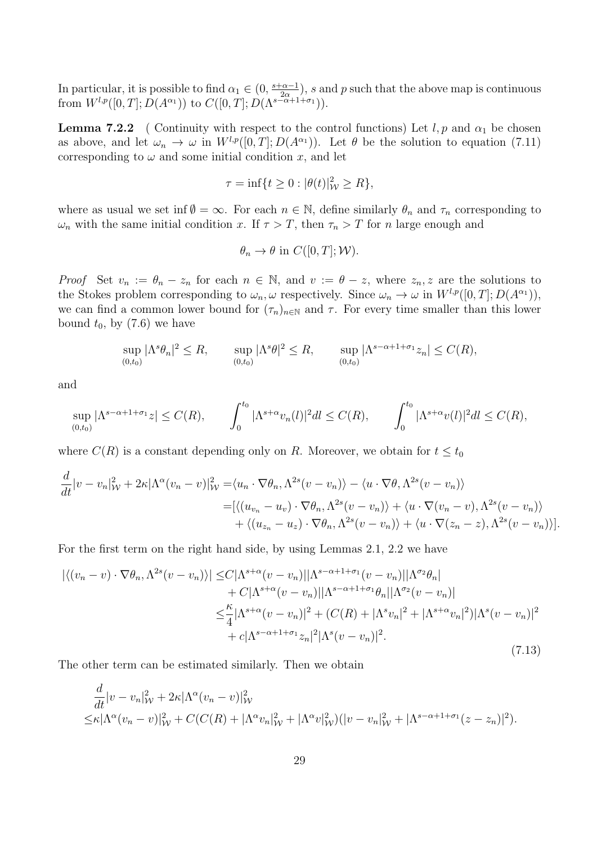In particular, it is possible to find  $\alpha_1 \in (0, \frac{s+\alpha-1}{2\alpha})$ , s and p such that the above map is continuous from  $W^{l,p}([0,T]; D(A^{\alpha_1}))$  to  $C([0,T]; D(\Lambda^{s-\alpha+1+\sigma_1})).$ 

**Lemma 7.2.2** ( Continuity with respect to the control functions) Let  $l, p$  and  $\alpha_1$  be chosen as above, and let  $\omega_n \to \omega$  in  $W^{l,p}([0,T]; D(A^{\alpha_1}))$ . Let  $\theta$  be the solution to equation (7.11) corresponding to  $\omega$  and some initial condition  $x$ , and let

$$
\tau = \inf\{t \ge 0 : |\theta(t)|^2_{\mathcal{W}} \ge R\},\
$$

where as usual we set inf  $\emptyset = \infty$ . For each  $n \in \mathbb{N}$ , define similarly  $\theta_n$  and  $\tau_n$  corresponding to  $\omega_n$  with the same initial condition x. If  $\tau > T$ , then  $\tau_n > T$  for n large enough and

$$
\theta_n \to \theta
$$
 in  $C([0,T]; \mathcal{W})$ .

*Proof* Set  $v_n := \theta_n - z_n$  for each  $n \in \mathbb{N}$ , and  $v := \theta - z$ , where  $z_n, z$  are the solutions to the Stokes problem corresponding to  $\omega_n, \omega$  respectively. Since  $\omega_n \to \omega$  in  $W^{l,p}([0,T]; D(A^{\alpha_1}))$ , we can find a common lower bound for  $(\tau_n)_{n\in\mathbb{N}}$  and  $\tau$ . For every time smaller than this lower bound  $t_0$ , by (7.6) we have

$$
\sup_{(0,t_0)} |\Lambda^s \theta_n|^2 \le R, \qquad \sup_{(0,t_0)} |\Lambda^s \theta|^2 \le R, \qquad \sup_{(0,t_0)} |\Lambda^{s-\alpha+1+\sigma_1} z_n| \le C(R),
$$

and

$$
\sup_{(0,t_0)} |\Lambda^{s-\alpha+1+\sigma_1} z| \le C(R), \qquad \int_0^{t_0} |\Lambda^{s+\alpha} v_n(l)|^2 dl \le C(R), \qquad \int_0^{t_0} |\Lambda^{s+\alpha} v(l)|^2 dl \le C(R),
$$

where  $C(R)$  is a constant depending only on R. Moreover, we obtain for  $t \leq t_0$ 

$$
\frac{d}{dt}|v - v_n|_{\mathcal{W}}^2 + 2\kappa |\Lambda^{\alpha}(v_n - v)|_{\mathcal{W}}^2 = \langle u_n \cdot \nabla \theta_n, \Lambda^{2s}(v - v_n) \rangle - \langle u \cdot \nabla \theta, \Lambda^{2s}(v - v_n) \rangle \n= [\langle (u_{v_n} - u_v) \cdot \nabla \theta_n, \Lambda^{2s}(v - v_n) \rangle + \langle u \cdot \nabla (v_n - v), \Lambda^{2s}(v - v_n) \rangle \n+ \langle (u_{z_n} - u_z) \cdot \nabla \theta_n, \Lambda^{2s}(v - v_n) \rangle + \langle u \cdot \nabla (z_n - z), \Lambda^{2s}(v - v_n) \rangle].
$$

For the first term on the right hand side, by using Lemmas 2.1, 2.2 we have

$$
\left| \langle (v_n - v) \cdot \nabla \theta_n, \Lambda^{2s} (v - v_n) \rangle \right| \le C |\Lambda^{s + \alpha} (v - v_n)| |\Lambda^{s - \alpha + 1 + \sigma_1} (v - v_n)| |\Lambda^{\sigma_2} \theta_n| + C |\Lambda^{s + \alpha} (v - v_n)| |\Lambda^{s - \alpha + 1 + \sigma_1} \theta_n| |\Lambda^{\sigma_2} (v - v_n)|
$$
  

$$
\le \frac{\kappa}{4} |\Lambda^{s + \alpha} (v - v_n)|^2 + (C(R) + |\Lambda^s v_n|^2 + |\Lambda^{s + \alpha} v_n|^2) |\Lambda^s (v - v_n)|^2
$$
  

$$
+ c |\Lambda^{s - \alpha + 1 + \sigma_1} z_n|^2 |\Lambda^s (v - v_n)|^2.
$$
 (7.13)

The other term can be estimated similarly. Then we obtain

$$
\frac{d}{dt}|v - v_n|_{\mathcal{W}}^2 + 2\kappa |\Lambda^{\alpha}(v_n - v)|_{\mathcal{W}}^2 \leq \kappa |\Lambda^{\alpha}(v_n - v)|_{\mathcal{W}}^2 + C(C(R) + |\Lambda^{\alpha}v_n|_{\mathcal{W}}^2 + |\Lambda^{\alpha}v|_{\mathcal{W}}^2)(|v - v_n|_{\mathcal{W}}^2 + |\Lambda^{s - \alpha + 1 + \sigma_1}(z - z_n)|^2).
$$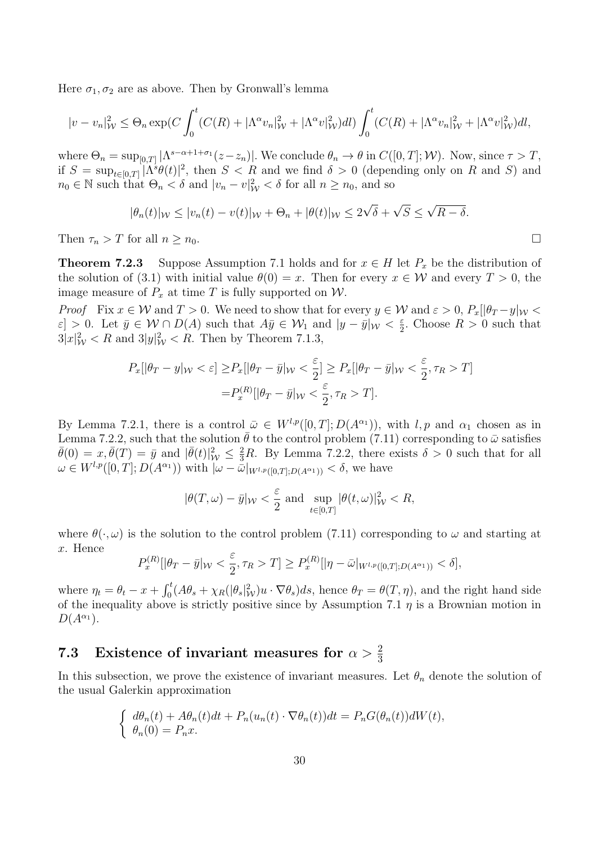Here  $\sigma_1, \sigma_2$  are as above. Then by Gronwall's lemma

$$
|v - v_n|^2_W \leq \Theta_n \exp(C \int_0^t (C(R) + |\Lambda^\alpha v_n|^2_W + |\Lambda^\alpha v|^2_W) dl) \int_0^t (C(R) + |\Lambda^\alpha v_n|^2_W + |\Lambda^\alpha v|^2_W) dl,
$$

where  $\Theta_n = \sup_{[0,T]} |\Lambda^{s-\alpha+1+\sigma_1}(z-z_n)|$ . We conclude  $\theta_n \to \theta$  in  $C([0,T]; \mathcal{W})$ . Now, since  $\tau > T$ , if  $S = \sup_{t \in [0,T]} |\Lambda^s \theta(t)|^2$ , then  $S < R$  and we find  $\delta > 0$  (depending only on R and S) and  $n_0 \in \mathbb{N}$  such that  $\Theta_n < \delta$  and  $|v_n - v|_{\mathcal{W}}^2 < \delta$  for all  $n \ge n_0$ , and so

$$
|\theta_n(t)|_{\mathcal{W}} \le |v_n(t) - v(t)|_{\mathcal{W}} + \Theta_n + |\theta(t)|_{\mathcal{W}} \le 2\sqrt{\delta} + \sqrt{S} \le \sqrt{R - \delta}.
$$

Then  $\tau_n > T$  for all  $n \geq n_0$ .

**Theorem 7.2.3** Suppose Assumption 7.1 holds and for  $x \in H$  let  $P_x$  be the distribution of the solution of (3.1) with initial value  $\theta(0) = x$ . Then for every  $x \in \mathcal{W}$  and every  $T > 0$ , the image measure of  $P_x$  at time T is fully supported on W.

*Proof* Fix  $x \in \mathcal{W}$  and  $T > 0$ . We need to show that for every  $y \in \mathcal{W}$  and  $\varepsilon > 0$ ,  $P_x[|\theta_T - y|_{\mathcal{W}} <$  $\mathcal{E}$  > 0. Let  $\bar{y} \in \mathcal{W} \cap D(A)$  such that  $A\bar{y} \in \mathcal{W}_1$  and  $|y - \bar{y}|_{\mathcal{W}} < \frac{\varepsilon}{2}$  $\frac{\varepsilon}{2}$ . Choose  $R > 0$  such that  $3|x|_W^2 < R$  and  $3|y|_W^2 < R$ . Then by Theorem 7.1.3,

$$
P_x[|\theta_T - y|_{\mathcal{W}} < \varepsilon] \ge P_x[|\theta_T - \bar{y}|_{\mathcal{W}} < \frac{\varepsilon}{2}] \ge P_x[|\theta_T - \bar{y}|_{\mathcal{W}} < \frac{\varepsilon}{2}, \tau_R > T]
$$
  
= 
$$
P_x^{(R)}[|\theta_T - \bar{y}|_{\mathcal{W}} < \frac{\varepsilon}{2}, \tau_R > T].
$$

By Lemma 7.2.1, there is a control  $\bar{\omega} \in W^{l,p}([0,T]; D(A^{\alpha_1}))$ , with *l*, *p* and  $\alpha_1$  chosen as in Lemma 7.2.2, such that the solution  $\bar{\theta}$  to the control problem (7.11) corresponding to  $\bar{\omega}$  satisfies  $\bar{\theta}(0) = x, \bar{\theta}(T) = \bar{y}$  and  $|\bar{\theta}(t)|_W^2 \leq \frac{2}{3}R$ . By Lemma 7.2.2, there exists  $\delta > 0$  such that for all  $\omega \in W^{l,p}([0,T]; D(A^{\alpha_1}))$  with  $|\omega - \overline{\omega}|_{W^{l,p}([0,T]; D(A^{\alpha_1}))} < \delta$ , we have

$$
|\theta(T,\omega)-\bar{y}|_{\mathcal{W}} < \frac{\varepsilon}{2}
$$
 and  $\sup_{t \in [0,T]} |\theta(t,\omega)|_{\mathcal{W}}^2 < R$ ,

where  $\theta(\cdot,\omega)$  is the solution to the control problem (7.11) corresponding to  $\omega$  and starting at . Hence

$$
P_x^{(R)}[|\theta_T - \bar{y}|_{\mathcal{W}} < \frac{\varepsilon}{2}, \tau_R > T] \ge P_x^{(R)}[|\eta - \bar{\omega}|_{W^{l,p}([0,T];D(A^{\alpha_1}))} < \delta],
$$

where  $\eta_t = \theta_t - x + \int_0^t (A\theta_s + \chi_R(\vert \theta_s \vert_W^2) u \cdot \nabla \theta_s) ds$ , hence  $\theta_T = \theta(T, \eta)$ , and the right hand side of the inequality above is strictly positive since by Assumption 7.1  $\eta$  is a Brownian motion in  $D(A^{\alpha_1}).$ 

## **7.3** Existence of invariant measures for  $\alpha > \frac{2}{3}$

In this subsection, we prove the existence of invariant measures. Let  $\theta_n$  denote the solution of the usual Galerkin approximation

$$
\begin{cases} d\theta_n(t) + A\theta_n(t)dt + P_n(u_n(t) \cdot \nabla \theta_n(t))dt = P_n G(\theta_n(t))dW(t), \\ \theta_n(0) = P_n x. \end{cases}
$$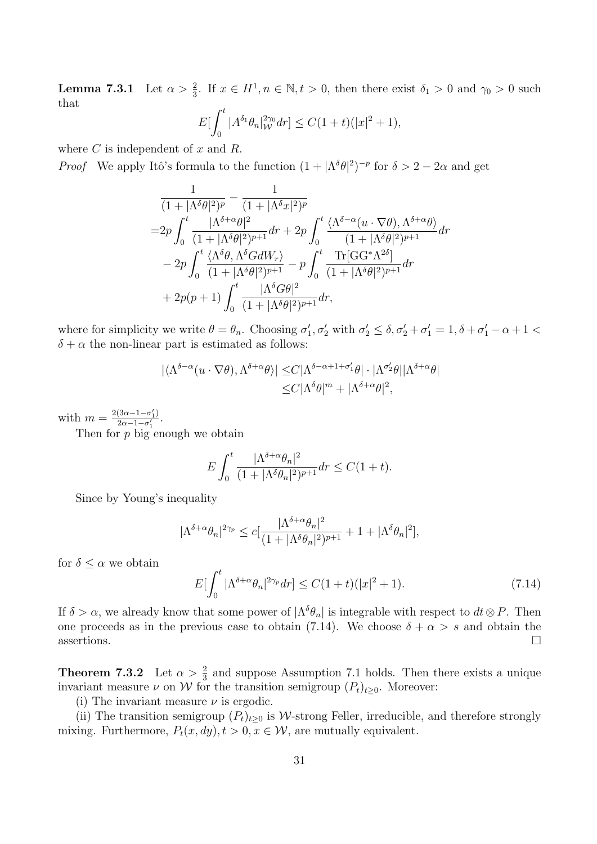**Lemma 7.3.1** Let  $\alpha > \frac{2}{3}$ . If  $x \in H^1, n \in \mathbb{N}, t > 0$ , then there exist  $\delta_1 > 0$  and  $\gamma_0 > 0$  such that

$$
E[\int_0^t |A^{\delta_1} \theta_n|_{\mathcal{W}}^{2\gamma_0} dr] \le C(1+t)(|x|^2+1),
$$

where  $C$  is independent of  $x$  and  $R$ .

*Proof* We apply Itô's formula to the function  $(1 + |\Lambda^{\delta}\theta|^2)^{-p}$  for  $\delta > 2 - 2\alpha$  and get

$$
\frac{1}{(1+|\Lambda^{\delta}\theta|^{2})^{p}} - \frac{1}{(1+|\Lambda^{\delta}x|^{2})^{p}}
$$
\n
$$
= 2p \int_{0}^{t} \frac{|\Lambda^{\delta+\alpha}\theta|^{2}}{(1+|\Lambda^{\delta}\theta|^{2})^{p+1}} dr + 2p \int_{0}^{t} \frac{\langle \Lambda^{\delta-\alpha}(u \cdot \nabla\theta), \Lambda^{\delta+\alpha}\theta \rangle}{(1+|\Lambda^{\delta}\theta|^{2})^{p+1}} dr
$$
\n
$$
- 2p \int_{0}^{t} \frac{\langle \Lambda^{\delta}\theta, \Lambda^{\delta}GdW_{r} \rangle}{(1+|\Lambda^{\delta}\theta|^{2})^{p+1}} - p \int_{0}^{t} \frac{\text{Tr}[GG^{*}\Lambda^{2\delta}]}{(1+|\Lambda^{\delta}\theta|^{2})^{p+1}} dr
$$
\n
$$
+ 2p(p+1) \int_{0}^{t} \frac{|\Lambda^{\delta}G\theta|^{2}}{(1+|\Lambda^{\delta}\theta|^{2})^{p+1}} dr,
$$

where for simplicity we write  $\theta = \theta_n$ . Choosing  $\sigma'_1, \sigma'_2$  with  $\sigma'_2 \leq \delta, \sigma'_2 + \sigma'_1 = 1, \delta + \sigma'_1 - \alpha + 1$  $\delta + \alpha$  the non-linear part is estimated as follows:

$$
|\langle \Lambda^{\delta-\alpha}(u \cdot \nabla \theta), \Lambda^{\delta+\alpha}\theta \rangle| \leq C|\Lambda^{\delta-\alpha+1+\sigma'_1}\theta| \cdot |\Lambda^{\sigma'_2}\theta||\Lambda^{\delta+\alpha}\theta|
$$
  

$$
\leq C|\Lambda^{\delta}\theta|^m + |\Lambda^{\delta+\alpha}\theta|^2,
$$

with  $m = \frac{2(3\alpha - 1 - \sigma'_1)}{2\alpha - 1 - \sigma'_1}$  $\frac{(3\alpha-1-\sigma_1)}{2\alpha-1-\sigma_1'}$ 

Then for  $p$  big enough we obtain

$$
E\int_0^t \frac{|\Lambda^{\delta+\alpha}\theta_n|^2}{(1+|\Lambda^\delta\theta_n|^2)^{p+1}}dr \le C(1+t).
$$

Since by Young's inequality

$$
|\Lambda^{\delta+\alpha}\theta_n|^{2\gamma_p} \leq c\left[\frac{|\Lambda^{\delta+\alpha}\theta_n|^2}{(1+|\Lambda^{\delta}\theta_n|^2)^{p+1}} + 1 + |\Lambda^{\delta}\theta_n|^2\right],
$$

for  $\delta \leq \alpha$  we obtain

$$
E[\int_0^t |\Lambda^{\delta + \alpha} \theta_n|^{2\gamma_p} dr] \le C(1+t)(|x|^2 + 1). \tag{7.14}
$$

If  $\delta > \alpha$ , we already know that some power of  $\vert \Lambda^{\delta} \theta_n \vert$  is integrable with respect to  $dt \otimes P$ . Then one proceeds as in the previous case to obtain (7.14). We choose  $\delta + \alpha > s$  and obtain the assertions.  $\Box$ 

**Theorem 7.3.2** Let  $\alpha > \frac{2}{3}$  and suppose Assumption 7.1 holds. Then there exists a unique invariant measure  $\nu$  on  $\mathcal W$  for the transition semigroup  $(P_t)_{t\geq0}$ . Moreover:

(i) The invariant measure  $\nu$  is ergodic.

(ii) The transition semigroup  $(P_t)_{t\geq 0}$  is W-strong Feller, irreducible, and therefore strongly mixing. Furthermore,  $P_t(x, dy), t > 0, x \in \mathcal{W}$ , are mutually equivalent.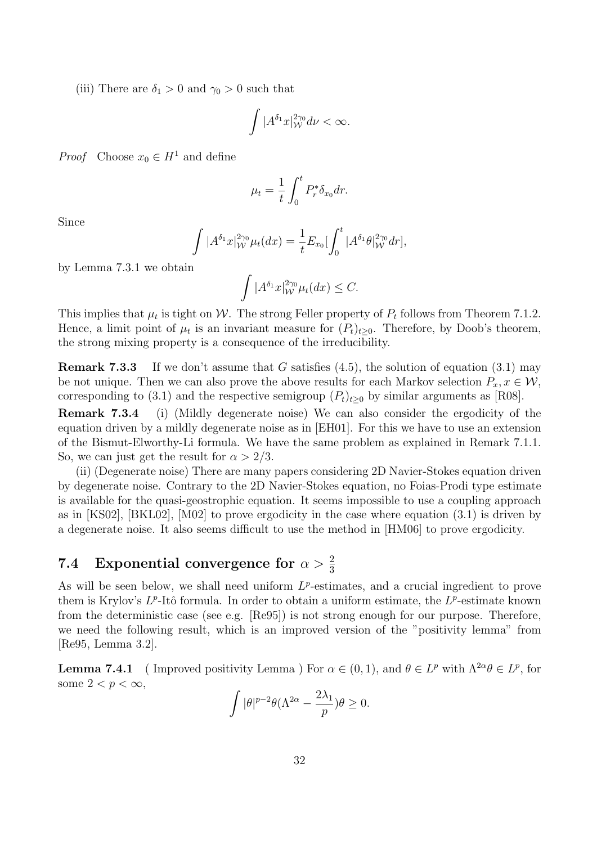(iii) There are  $\delta_1 > 0$  and  $\gamma_0 > 0$  such that

$$
\int |A^{\delta_1}x|_{\mathcal{W}}^{2\gamma_0} d\nu < \infty.
$$

*Proof* Choose  $x_0 \in H^1$  and define

$$
\mu_t = \frac{1}{t} \int_0^t P_r^* \delta_{x_0} dr.
$$

Since

$$
\int |A^{\delta_1}x|_{\mathcal{W}}^{2\gamma_0}\mu_t(dx) = \frac{1}{t}E_{x_0}[\int_0^t |A^{\delta_1}\theta|_{\mathcal{W}}^{2\gamma_0}dr],
$$

by Lemma 7.3.1 we obtain

$$
\int |A^{\delta_1}x|_{\mathcal{W}}^{2\gamma_0} \mu_t(dx) \leq C.
$$

This implies that  $\mu_t$  is tight on W. The strong Feller property of  $P_t$  follows from Theorem 7.1.2. Hence, a limit point of  $\mu_t$  is an invariant measure for  $(P_t)_{t\geq 0}$ . Therefore, by Doob's theorem, the strong mixing property is a consequence of the irreducibility.

**Remark 7.3.3** If we don't assume that G satisfies  $(4.5)$ , the solution of equation  $(3.1)$  may be not unique. Then we can also prove the above results for each Markov selection  $P_x, x \in \mathcal{W}$ , corresponding to (3.1) and the respective semigroup  $(P_t)_{t\geq0}$  by similar arguments as [R08].

**Remark 7.3.4** (i) (Mildly degenerate noise) We can also consider the ergodicity of the equation driven by a mildly degenerate noise as in [EH01]. For this we have to use an extension of the Bismut-Elworthy-Li formula. We have the same problem as explained in Remark 7.1.1. So, we can just get the result for  $\alpha > 2/3$ .

(ii) (Degenerate noise) There are many papers considering 2D Navier-Stokes equation driven by degenerate noise. Contrary to the 2D Navier-Stokes equation, no Foias-Prodi type estimate is available for the quasi-geostrophic equation. It seems impossible to use a coupling approach as in  $[K502]$ ,  $[BKL02]$ ,  $[M02]$  to prove ergodicity in the case where equation  $(3.1)$  is driven by a degenerate noise. It also seems difficult to use the method in [HM06] to prove ergodicity.

## **7.4** Exponential convergence for  $\alpha > \frac{2}{3}$

As will be seen below, we shall need uniform  $L^p$ -estimates, and a crucial ingredient to prove them is Krylov's  $L^p$ -Itô formula. In order to obtain a uniform estimate, the  $L^p$ -estimate known from the deterministic case (see e.g. [Re95]) is not strong enough for our purpose. Therefore, we need the following result, which is an improved version of the "positivity lemma" from [Re95, Lemma 3.2].

**Lemma 7.4.1** (Improved positivity Lemma) For  $\alpha \in (0,1)$ , and  $\theta \in L^p$  with  $\Lambda^{2\alpha}\theta \in L^p$ , for some  $2 < p < \infty$ ,

$$
\int |\theta|^{p-2}\theta(\Lambda^{2\alpha} - \frac{2\lambda_1}{p})\theta \ge 0.
$$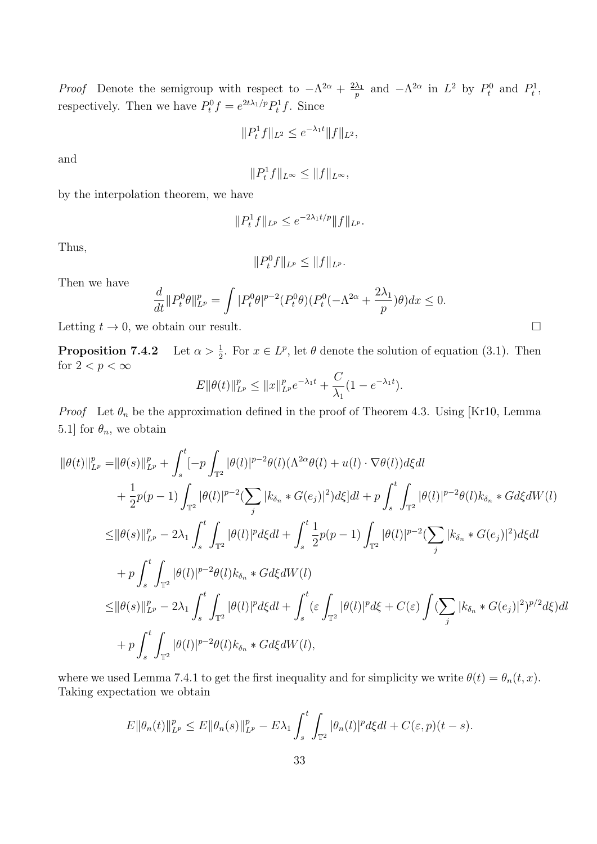*Proof* Denote the semigroup with respect to  $-\Lambda^{2\alpha} + \frac{2\lambda_1}{n}$  $\frac{\lambda_1}{p}$  and  $-\Lambda^{2\alpha}$  in  $L^2$  by  $P_t^0$  and  $P_t^1$ , respectively. Then we have  $P_t^0 f = e^{2t\lambda_1/p} P_t^1 f$ . Since

$$
||P_t^1f||_{L^2} \le e^{-\lambda_1 t} ||f||_{L^2},
$$

and

$$
||P_t^1f||_{L^{\infty}} \leq ||f||_{L^{\infty}},
$$

by the interpolation theorem, we have

$$
||P_t^1 f||_{L^p} \le e^{-2\lambda_1 t/p} ||f||_{L^p}.
$$

Thus,

$$
||P_t^0 f||_{L^p} \le ||f||_{L^p}.
$$

Then we have

$$
\frac{d}{dt}||P_t^0\theta||_{L^p}^p = \int |P_t^0\theta|^{p-2} (P_t^0\theta)(P_t^0(-\Lambda^{2\alpha} + \frac{2\lambda_1}{p})\theta)dx \le 0.
$$

Letting  $t \to 0$ , we obtain our result.  $\Box$ 

**Proposition 7.4.2** Let  $\alpha > \frac{1}{2}$ . For  $x \in L^p$ , let  $\theta$  denote the solution of equation (3.1). Then for  $2 < p < \infty$ 

$$
E\|\theta(t)\|_{L^p}^p \le \|x\|_{L^p}^p e^{-\lambda_1 t} + \frac{C}{\lambda_1} (1 - e^{-\lambda_1 t}).
$$

*Proof* Let  $\theta_n$  be the approximation defined in the proof of Theorem 4.3. Using [Kr10, Lemma 5.1] for  $\theta_n$ , we obtain

$$
\begin{split}\n\|\theta(t)\|_{L^{p}}^{p} &= \|\theta(s)\|_{L^{p}}^{p} + \int_{s}^{t} \left[ -p \int_{\mathbb{T}^{2}} |\theta(l)|^{p-2} \theta(l) (\Lambda^{2\alpha}\theta(l) + u(l) \cdot \nabla \theta(l)) d\xi dl \\
&+ \frac{1}{2} p(p-1) \int_{\mathbb{T}^{2}} |\theta(l)|^{p-2} (\sum_{j} |k_{\delta_{n}} \ast G(e_{j})|^{2}) d\xi] dl + p \int_{s}^{t} \int_{\mathbb{T}^{2}} |\theta(l)|^{p-2} \theta(l) k_{\delta_{n}} \ast G d\xi dW(l) \\
&\leq \|\theta(s)\|_{L^{p}}^{p} - 2\lambda_{1} \int_{s}^{t} \int_{\mathbb{T}^{2}} |\theta(l)|^{p} d\xi dl + \int_{s}^{t} \frac{1}{2} p(p-1) \int_{\mathbb{T}^{2}} |\theta(l)|^{p-2} (\sum_{j} |k_{\delta_{n}} \ast G(e_{j})|^{2}) d\xi dl \\
&+ p \int_{s}^{t} \int_{\mathbb{T}^{2}} |\theta(l)|^{p-2} \theta(l) k_{\delta_{n}} \ast G d\xi dW(l) \\
&\leq \|\theta(s)\|_{L^{p}}^{p} - 2\lambda_{1} \int_{s}^{t} \int_{\mathbb{T}^{2}} |\theta(l)|^{p} d\xi dl + \int_{s}^{t} (\varepsilon \int_{\mathbb{T}^{2}} |\theta(l)|^{p} d\xi + C(\varepsilon) \int (\sum_{j} |k_{\delta_{n}} \ast G(e_{j})|^{2})^{p/2} d\xi) dl \\
&+ p \int_{s}^{t} \int_{\mathbb{T}^{2}} |\theta(l)|^{p-2} \theta(l) k_{\delta_{n}} \ast G d\xi dW(l),\n\end{split}
$$

where we used Lemma 7.4.1 to get the first inequality and for simplicity we write  $\theta(t) = \theta_n(t, x)$ . Taking expectation we obtain

$$
E\|\theta_n(t)\|_{L^p}^p \leq E\|\theta_n(s)\|_{L^p}^p - E\lambda_1 \int_s^t \int_{\mathbb{T}^2} |\theta_n(l)|^p d\xi dl + C(\varepsilon, p)(t-s).
$$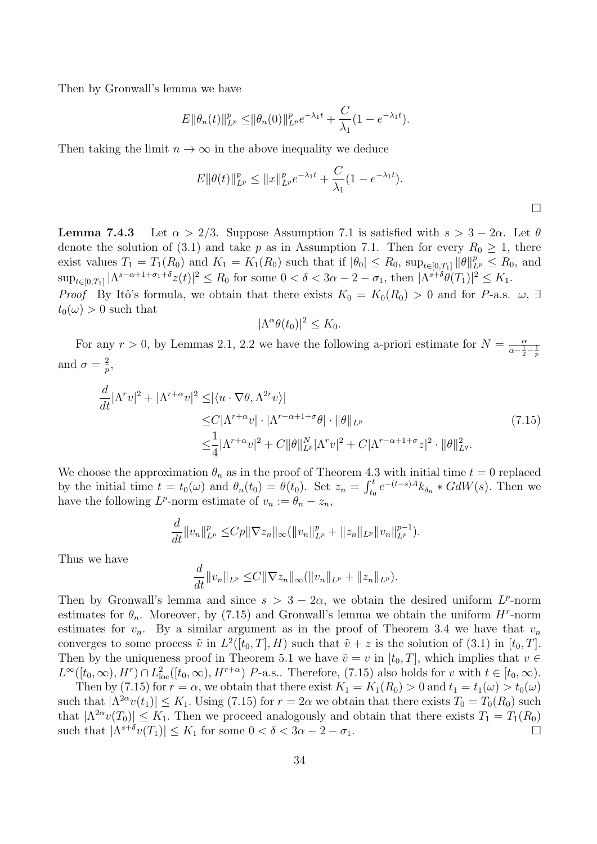Then by Gronwall's lemma we have

$$
E \|\theta_n(t)\|_{L^p}^p \le \|\theta_n(0)\|_{L^p}^p e^{-\lambda_1 t} + \frac{C}{\lambda_1} (1 - e^{-\lambda_1 t}).
$$

Then taking the limit  $n \to \infty$  in the above inequality we deduce

$$
E \|\theta(t)\|_{L^p}^p \le \|x\|_{L^p}^p e^{-\lambda_1 t} + \frac{C}{\lambda_1} (1 - e^{-\lambda_1 t}).
$$

**Lemma 7.4.3** Let  $\alpha > 2/3$ . Suppose Assumption 7.1 is satisfied with  $s > 3 - 2\alpha$ . Let  $\theta$ denote the solution of (3.1) and take p as in Assumption 7.1. Then for every  $R_0 \geq 1$ , there exist values  $T_1 = T_1(R_0)$  and  $K_1 = K_1(R_0)$  such that if  $|\theta_0| \le R_0$ ,  $\sup_{t \in [0,T_1]} ||\theta||_{L^p}^p \le R_0$ , and  $\sup_{t \in [0,T_1]} |\Lambda^{s-\alpha+1+\sigma_1+\delta} z(t)|^2 \le R_0$  for some  $0 < \delta < 3\alpha - 2 - \sigma_1$ , then  $|\Lambda^{s+\delta}\theta(T_1)|^2 \le K_1$ . *Proof* By Itô's formula, we obtain that there exists  $K_0 = K_0(R_0) > 0$  and for P-a.s.  $\omega$ ,  $\exists$ 

 $t_0(\omega) > 0$  such that

$$
|\Lambda^{\alpha}\theta(t_0)|^2 \leq K_0.
$$

For any  $r > 0$ , by Lemmas 2.1, 2.2 we have the following a-priori estimate for  $N = \frac{\alpha}{\alpha - \frac{1}{2} - \frac{1}{p}}$ and  $\sigma = \frac{2}{n}$  $\frac{2}{p},$ 

$$
\frac{d}{dt}|\Lambda^r v|^2 + |\Lambda^{r+\alpha} v|^2 \leq |\langle u \cdot \nabla \theta, \Lambda^{2r} v \rangle|
$$
  
\n
$$
\leq C|\Lambda^{r+\alpha} v| \cdot |\Lambda^{r-\alpha+1+\sigma} \theta| \cdot ||\theta||_{L^p}
$$
  
\n
$$
\leq \frac{1}{4}|\Lambda^{r+\alpha} v|^2 + C||\theta||_{L^p}^N |\Lambda^r v|^2 + C|\Lambda^{r-\alpha+1+\sigma} z|^2 \cdot ||\theta||_{L^q}^2.
$$
\n(7.15)

We choose the approximation  $\theta_n$  as in the proof of Theorem 4.3 with initial time  $t = 0$  replaced by the initial time  $t = t_0(\omega)$  and  $\theta_n(t_0) = \theta(t_0)$ . Set  $z_n = \int_{t_0}^t e^{-(t-s)A} k_{\delta_n} * G dW(s)$ . Then we have the following  $L^p$ -norm estimate of  $v_n := \theta_n - z_n$ ,

$$
\frac{d}{dt}||v_n||_{L^p}^p \leq Cp||\nabla z_n||_{\infty} (||v_n||_{L^p}^p + ||z_n||_{L^p}||v_n||_{L^p}^{p-1}).
$$

Thus we have

$$
\frac{d}{dt}||v_n||_{L^p} \leq C||\nabla z_n||_{\infty} (||v_n||_{L^p} + ||z_n||_{L^p}).
$$

Then by Gronwall's lemma and since  $s > 3 - 2\alpha$ , we obtain the desired uniform  $L^p$ -norm estimates for  $\theta_n$ . Moreover, by (7.15) and Gronwall's lemma we obtain the uniform  $H^r$ -norm estimates for  $v_n$ . By a similar argument as in the proof of Theorem 3.4 we have that  $v_n$ converges to some process  $\tilde{v}$  in  $L^2([t_0, T], H)$  such that  $\tilde{v} + z$  is the solution of (3.1) in  $[t_0, T]$ . Then by the uniqueness proof in Theorem 5.1 we have  $\tilde{v} = v$  in  $[t_0, T]$ , which implies that  $v \in$  $L^{\infty}([t_0, \infty), H^r) \cap L^2_{loc}([t_0, \infty), H^{r+\alpha})$  *P*-a.s.. Therefore, (7.15) also holds for v with  $t \in [t_0, \infty)$ .

Then by (7.15) for  $r = \alpha$ , we obtain that there exist  $K_1 = K_1(R_0) > 0$  and  $t_1 = t_1(\omega) > t_0(\omega)$ such that  $|\Lambda^{2\alpha}v(t_1)| \leq K_1$ . Using (7.15) for  $r = 2\alpha$  we obtain that there exists  $T_0 = T_0(R_0)$  such that  $|\Lambda^{2\alpha}v(T_0)| \leq K_1$ . Then we proceed analogously and obtain that there exists  $T_1 = T_1(R_0)$ such that  $|\Lambda^{s+\delta}v(T_1)| \leq K_1$  for some  $0 < \delta < 3\alpha - 2 - \sigma_1$ . □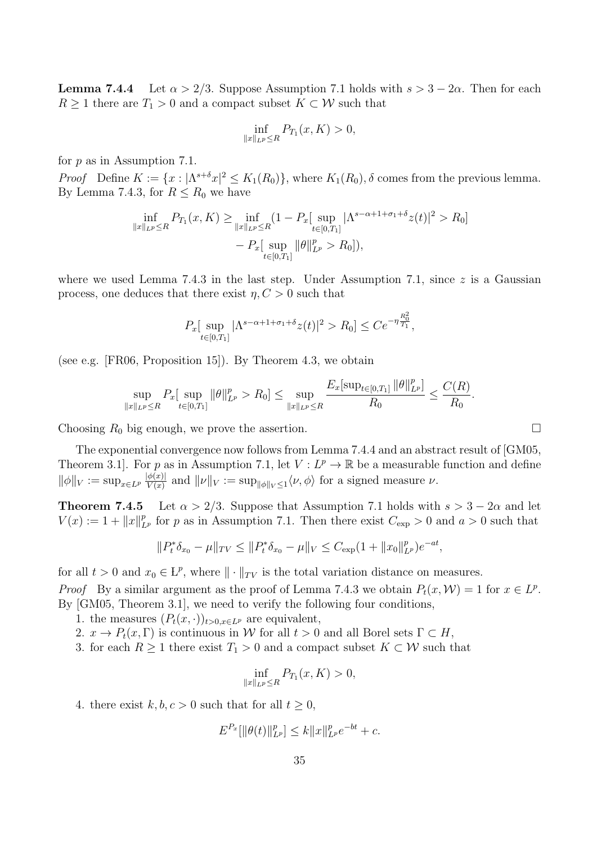**Lemma 7.4.4** Let  $\alpha > 2/3$ . Suppose Assumption 7.1 holds with  $s > 3 - 2\alpha$ . Then for each  $R \geq 1$  there are  $T_1 > 0$  and a compact subset  $K \subset \mathcal{W}$  such that

$$
\inf_{\|x\|_{L^p}\le R} P_{T_1}(x,K) > 0,
$$

for  $p$  as in Assumption 7.1.

*Proof* Define  $K := \{x : |\Lambda^{s+\delta}x|^2 \le K_1(R_0)\}\$ , where  $K_1(R_0), \delta$  comes from the previous lemma. By Lemma 7.4.3, for  $R \leq R_0$  we have

$$
\inf_{\|x\|_{L^p}\leq R} P_{T_1}(x,K) \geq \inf_{\|x\|_{L^p}\leq R} (1-P_x[\sup_{t\in[0,T_1]}|\Lambda^{s-\alpha+1+\sigma_1+\delta}z(t)|^2 > R_0] -P_x[\sup_{t\in[0,T_1]} \|\theta\|_{L^p}^p > R_0]),
$$

where we used Lemma 7.4.3 in the last step. Under Assumption 7.1, since  $z$  is a Gaussian process, one deduces that there exist  $\eta, C > 0$  such that

$$
P_x[\sup_{t \in [0,T_1]} |\Lambda^{s-\alpha+1+\sigma_1+\delta} z(t)|^2 > R_0] \leq C e^{-\eta \frac{R_0^2}{T_1}},
$$

(see e.g. [FR06, Proposition 15]). By Theorem 4.3, we obtain

$$
\sup_{\|x\|_{L^p}\leq R} P_x[\sup_{t\in[0,T_1]}\|\theta\|_{L^p}^p > R_0] \leq \sup_{\|x\|_{L^p}\leq R} \frac{E_x[\sup_{t\in[0,T_1]}\|\theta\|_{L^p}^p]}{R_0} \leq \frac{C(R)}{R_0}.
$$

Choosing  $R_0$  big enough, we prove the assertion.  $\Box$ 

The exponential convergence now follows from Lemma 7.4.4 and an abstract result of [GM05, Theorem 3.1]. For p as in Assumption 7.1, let  $V : L^p \to \mathbb{R}$  be a measurable function and define  $\|\phi\|_V := \sup_{x \in L^p} \frac{|\phi(x)|}{V(x)}$  and  $\|\nu\|_V := \sup_{\|\phi\|_V \le 1} \langle \nu, \phi \rangle$  for a signed measure  $\nu$ .

**Theorem 7.4.5** Let  $\alpha > 2/3$ . Suppose that Assumption 7.1 holds with  $s > 3 - 2\alpha$  and let  $V(x) := 1 + ||x||_{L^p}^p$  for p as in Assumption 7.1. Then there exist  $C_{\exp} > 0$  and  $a > 0$  such that

$$
||P_t^*\delta_{x_0} - \mu||_{TV} \le ||P_t^*\delta_{x_0} - \mu||_V \le C_{\exp}(1 + ||x_0||_{L^p}^p)e^{-at},
$$

for all  $t > 0$  and  $x_0 \in L^p$ , where  $|| \cdot ||_{TV}$  is the total variation distance on measures.

*Proof* By a similar argument as the proof of Lemma 7.4.3 we obtain  $P_t(x, W) = 1$  for  $x \in L^p$ . By [GM05, Theorem 3.1], we need to verify the following four conditions,

1. the measures  $(P_t(x, \cdot))_{t>0, x\in L^p}$  are equivalent,

2.  $x \to P_t(x, \Gamma)$  is continuous in W for all  $t > 0$  and all Borel sets  $\Gamma \subset H$ ,

3. for each  $R \geq 1$  there exist  $T_1 > 0$  and a compact subset  $K \subset \mathcal{W}$  such that

$$
\inf_{\|x\|_{L^p}\le R} P_{T_1}(x,K) > 0,
$$

4. there exist  $k, b, c > 0$  such that for all  $t \geq 0$ ,

$$
E^{P_x}[\|\theta(t)\|_{L^p}^p] \le k \|x\|_{L^p}^p e^{-bt} + c.
$$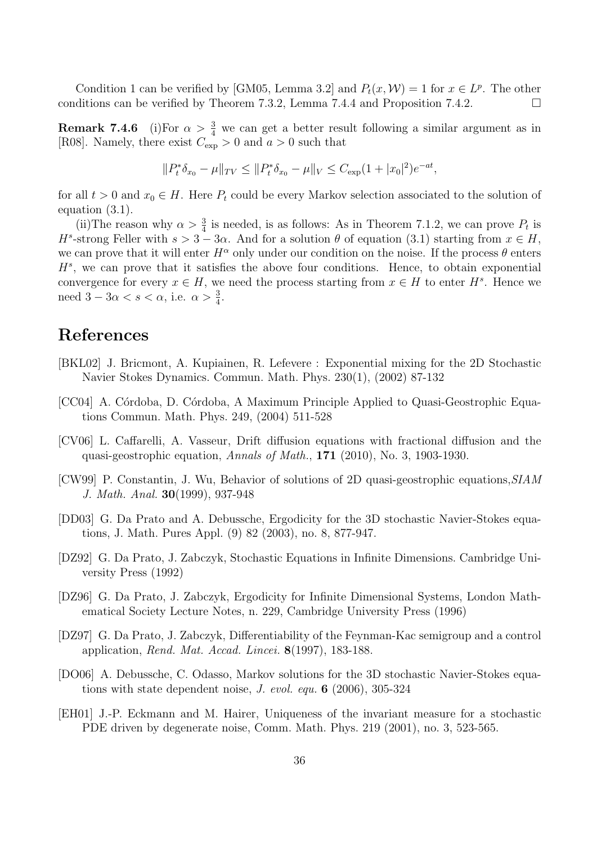Condition 1 can be verified by [GM05, Lemma 3.2] and  $P_t(x, W) = 1$  for  $x \in L^p$ . The other conditions can be verified by Theorem 7.3.2, Lemma 7.4.4 and Proposition 7.4.2.  $\Box$ 

**Remark 7.4.6** (i)For  $\alpha > \frac{3}{4}$  we can get a better result following a similar argument as in [R08]. Namely, there exist  $C_{\text{exp}} > 0$  and  $a > 0$  such that

$$
||P_t^*\delta_{x_0} - \mu||_{TV} \le ||P_t^*\delta_{x_0} - \mu||_V \le C_{\exp}(1+|x_0|^2)e^{-at},
$$

for all  $t > 0$  and  $x_0 \in H$ . Here  $P_t$  could be every Markov selection associated to the solution of equation (3.1).

(ii) The reason why  $\alpha > \frac{3}{4}$  is needed, is as follows: As in Theorem 7.1.2, we can prove  $P_t$  is  $H^s$ -strong Feller with  $s > 3 - 3\alpha$ . And for a solution  $\theta$  of equation (3.1) starting from  $x \in H$ , we can prove that it will enter  $H^{\alpha}$  only under our condition on the noise. If the process  $\theta$  enters  $H^s$ , we can prove that it satisfies the above four conditions. Hence, to obtain exponential convergence for every  $x \in H$ , we need the process starting from  $x \in H$  to enter  $H^s$ . Hence we need  $3-3\alpha < s < \alpha$ , i.e.  $\alpha > \frac{3}{4}$ .

### **References**

- [BKL02] J. Bricmont, A. Kupiainen, R. Lefevere : Exponential mixing for the 2D Stochastic Navier Stokes Dynamics. Commun. Math. Phys. 230(1), (2002) 87-132
- [CC04] A. Córdoba, D. Córdoba, A Maximum Principle Applied to Quasi-Geostrophic Equations Commun. Math. Phys. 249, (2004) 511-528
- [CV06] L. Caffarelli, A. Vasseur, Drift diffusion equations with fractional diffusion and the quasi-geostrophic equation, *Annals of Math.*, **171** (2010), No. 3, 1903-1930.
- [CW99] P. Constantin, J. Wu, Behavior of solutions of 2D quasi-geostrophic equations,*SIAM J. Math. Anal.* **30**(1999), 937-948
- [DD03] G. Da Prato and A. Debussche, Ergodicity for the 3D stochastic Navier-Stokes equations, J. Math. Pures Appl. (9) 82 (2003), no. 8, 877-947.
- [DZ92] G. Da Prato, J. Zabczyk, Stochastic Equations in Infinite Dimensions. Cambridge University Press (1992)
- [DZ96] G. Da Prato, J. Zabczyk, Ergodicity for Infinite Dimensional Systems, London Mathematical Society Lecture Notes, n. 229, Cambridge University Press (1996)
- [DZ97] G. Da Prato, J. Zabczyk, Differentiability of the Feynman-Kac semigroup and a control application, *Rend. Mat. Accad. Lincei.* **8**(1997), 183-188.
- [DO06] A. Debussche, C. Odasso, Markov solutions for the 3D stochastic Navier-Stokes equations with state dependent noise, *J. evol. equ.* **6** (2006), 305-324
- [EH01] J.-P. Eckmann and M. Hairer, Uniqueness of the invariant measure for a stochastic PDE driven by degenerate noise, Comm. Math. Phys. 219 (2001), no. 3, 523-565.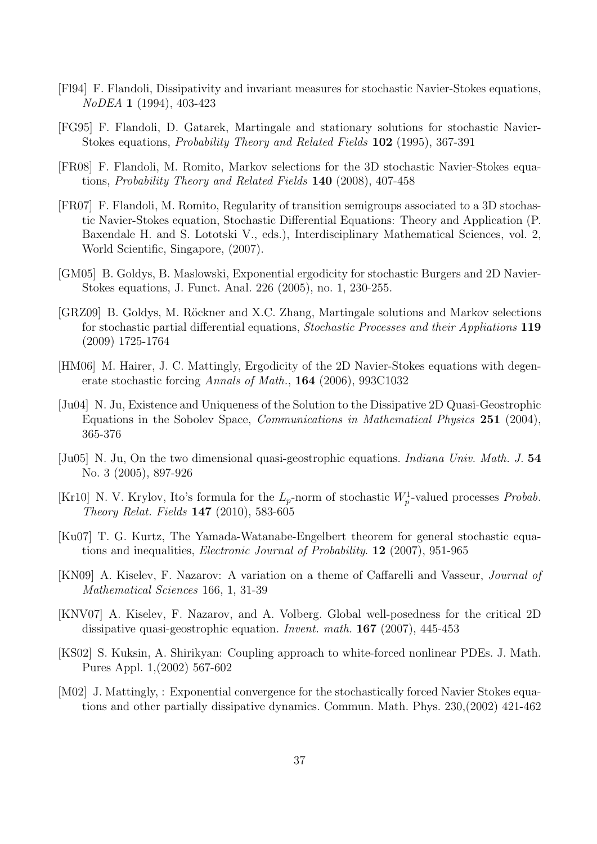- [Fl94] F. Flandoli, Dissipativity and invariant measures for stochastic Navier-Stokes equations, *NoDEA* **1** (1994), 403-423
- [FG95] F. Flandoli, D. Gatarek, Martingale and stationary solutions for stochastic Navier-Stokes equations, *Probability Theory and Related Fields* **102** (1995), 367-391
- [FR08] F. Flandoli, M. Romito, Markov selections for the 3D stochastic Navier-Stokes equations, *Probability Theory and Related Fields* **140** (2008), 407-458
- [FR07] F. Flandoli, M. Romito, Regularity of transition semigroups associated to a 3D stochastic Navier-Stokes equation, Stochastic Differential Equations: Theory and Application (P. Baxendale H. and S. Lototski V., eds.), Interdisciplinary Mathematical Sciences, vol. 2, World Scientific, Singapore, (2007).
- [GM05] B. Goldys, B. Maslowski, Exponential ergodicity for stochastic Burgers and 2D Navier-Stokes equations, J. Funct. Anal. 226 (2005), no. 1, 230-255.
- [GRZ09] B. Goldys, M. Röckner and X.C. Zhang, Martingale solutions and Markov selections for stochastic partial differential equations, *Stochastic Processes and their Appliations* **119** (2009) 1725-1764
- [HM06] M. Hairer, J. C. Mattingly, Ergodicity of the 2D Navier-Stokes equations with degenerate stochastic forcing *Annals of Math.*, **164** (2006), 993C1032
- [Ju04] N. Ju, Existence and Uniqueness of the Solution to the Dissipative 2D Quasi-Geostrophic Equations in the Sobolev Space, *Communications in Mathematical Physics* **251** (2004), 365-376
- [Ju05] N. Ju, On the two dimensional quasi-geostrophic equations. *Indiana Univ. Math. J.* **54** No. 3 (2005), 897-926
- [Kr10] N. V. Krylov, Ito's formula for the  $L_p$ -norm of stochastic  $W_p^1$ -valued processes *Probab. Theory Relat. Fields* **147** (2010), 583-605
- [Ku07] T. G. Kurtz, The Yamada-Watanabe-Engelbert theorem for general stochastic equations and inequalities, *Electronic Journal of Probability*. **12** (2007), 951-965
- [KN09] A. Kiselev, F. Nazarov: A variation on a theme of Caffarelli and Vasseur, *Journal of Mathematical Sciences* 166, 1, 31-39
- [KNV07] A. Kiselev, F. Nazarov, and A. Volberg. Global well-posedness for the critical 2D dissipative quasi-geostrophic equation. *Invent. math.* **167** (2007), 445-453
- [KS02] S. Kuksin, A. Shirikyan: Coupling approach to white-forced nonlinear PDEs. J. Math. Pures Appl. 1,(2002) 567-602
- [M02] J. Mattingly, : Exponential convergence for the stochastically forced Navier Stokes equations and other partially dissipative dynamics. Commun. Math. Phys. 230,(2002) 421-462